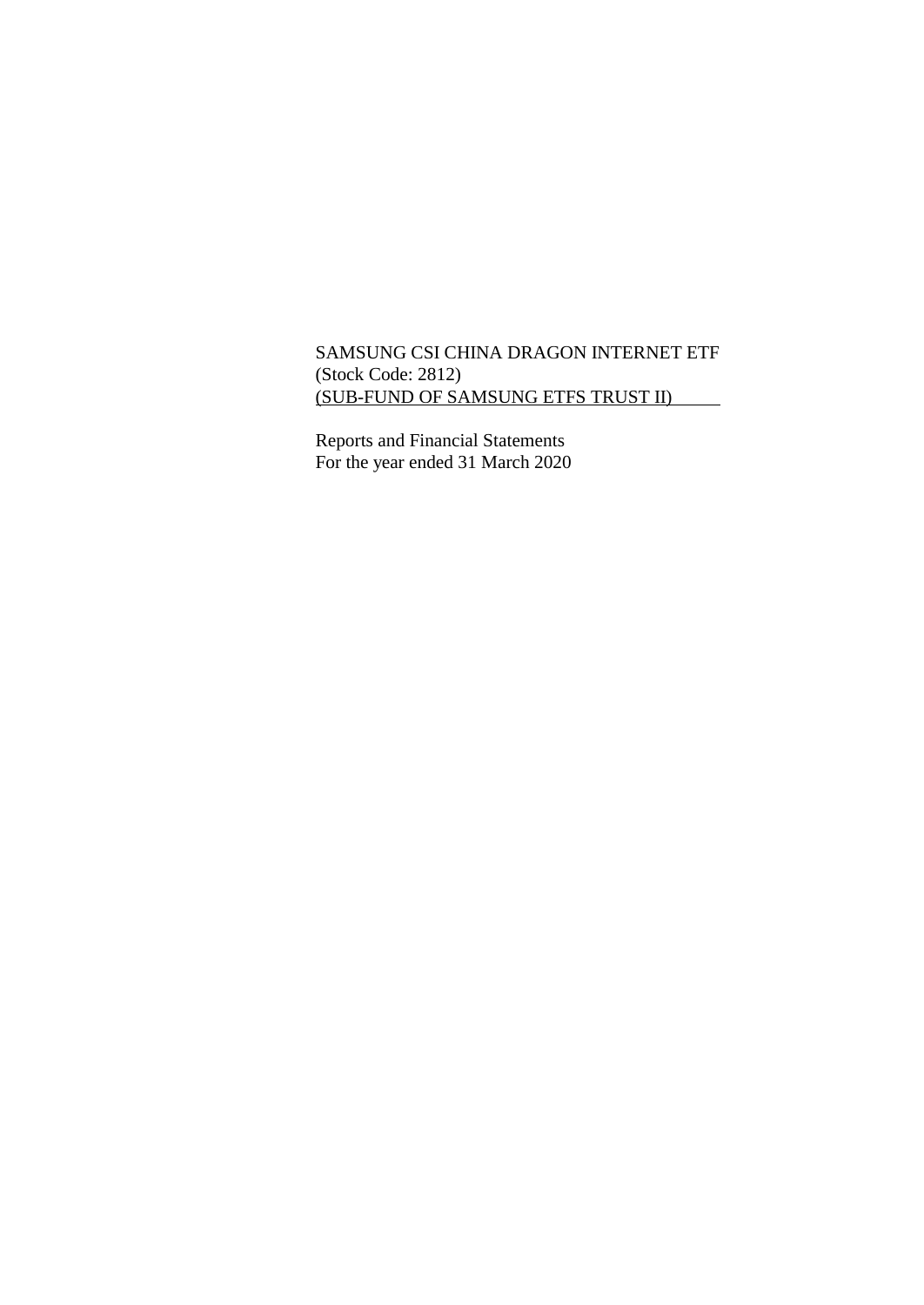# SAMSUNG CSI CHINA DRAGON INTERNET ETF (Stock Code: 2812) (SUB-FUND OF SAMSUNG ETFS TRUST II)

Reports and Financial Statements For the year ended 31 March 2020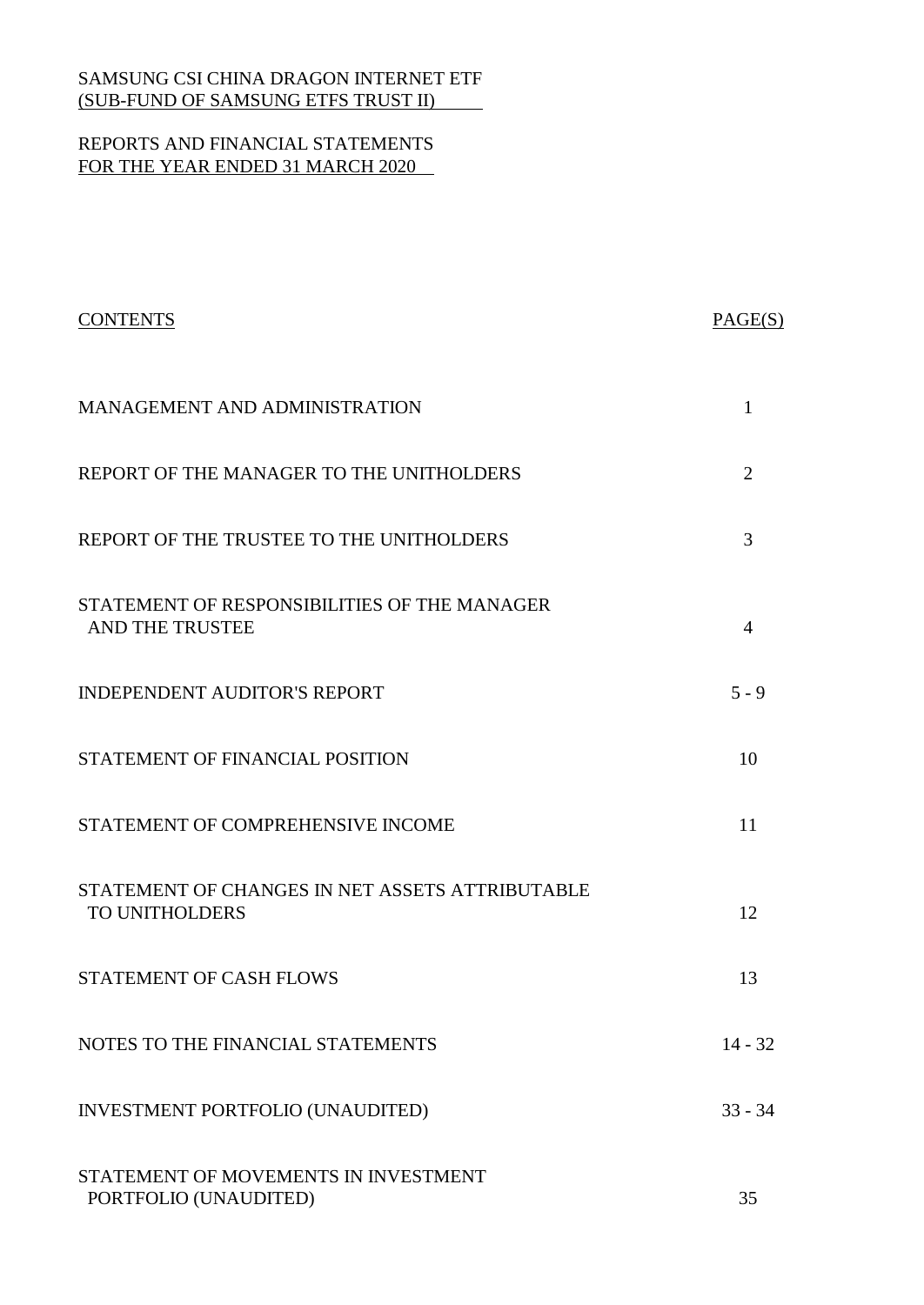# REPORTS AND FINANCIAL STATEMENTS FOR THE YEAR ENDED 31 MARCH 2020

| <b>CONTENTS</b>                                                   | PAGE(S)        |
|-------------------------------------------------------------------|----------------|
| MANAGEMENT AND ADMINISTRATION                                     | 1              |
| REPORT OF THE MANAGER TO THE UNITHOLDERS                          | $\overline{2}$ |
| REPORT OF THE TRUSTEE TO THE UNITHOLDERS                          | 3              |
| STATEMENT OF RESPONSIBILITIES OF THE MANAGER<br>AND THE TRUSTEE   | 4              |
| <b>INDEPENDENT AUDITOR'S REPORT</b>                               | $5 - 9$        |
| STATEMENT OF FINANCIAL POSITION                                   | 10             |
| STATEMENT OF COMPREHENSIVE INCOME                                 | 11             |
| STATEMENT OF CHANGES IN NET ASSETS ATTRIBUTABLE<br>TO UNITHOLDERS | 12             |
| <b>STATEMENT OF CASH FLOWS</b>                                    | 13             |
| NOTES TO THE FINANCIAL STATEMENTS                                 | $14 - 32$      |
| INVESTMENT PORTFOLIO (UNAUDITED)                                  | $33 - 34$      |
| STATEMENT OF MOVEMENTS IN INVESTMENT<br>PORTFOLIO (UNAUDITED)     | 35             |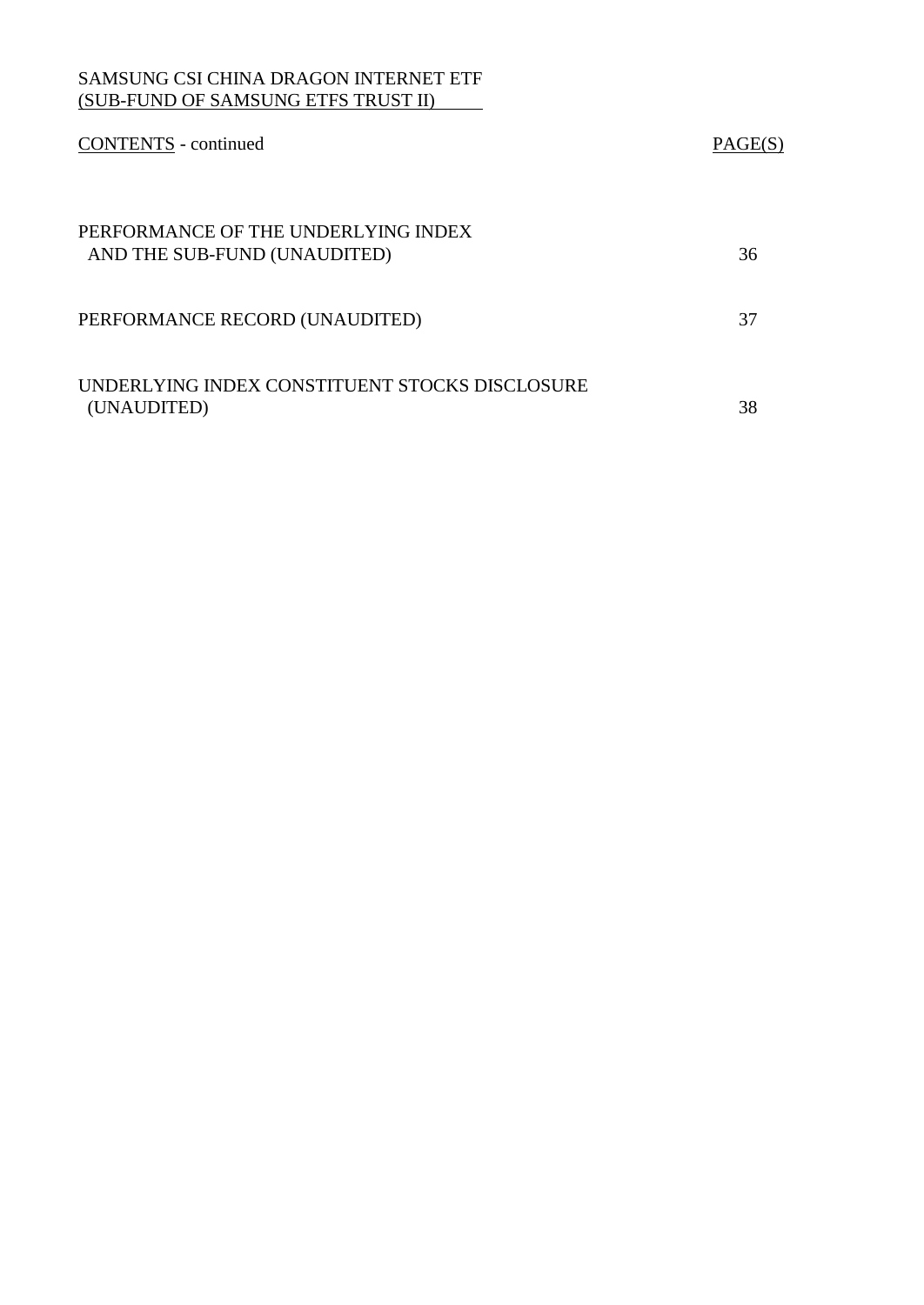| <b>CONTENTS</b> - continued                                         | PAGE(S) |
|---------------------------------------------------------------------|---------|
| PERFORMANCE OF THE UNDERLYING INDEX<br>AND THE SUB-FUND (UNAUDITED) | 36      |
| PERFORMANCE RECORD (UNAUDITED)                                      | 37      |
| UNDERLYING INDEX CONSTITUENT STOCKS DISCLOSURE<br>(UNAUDITED)       | 38      |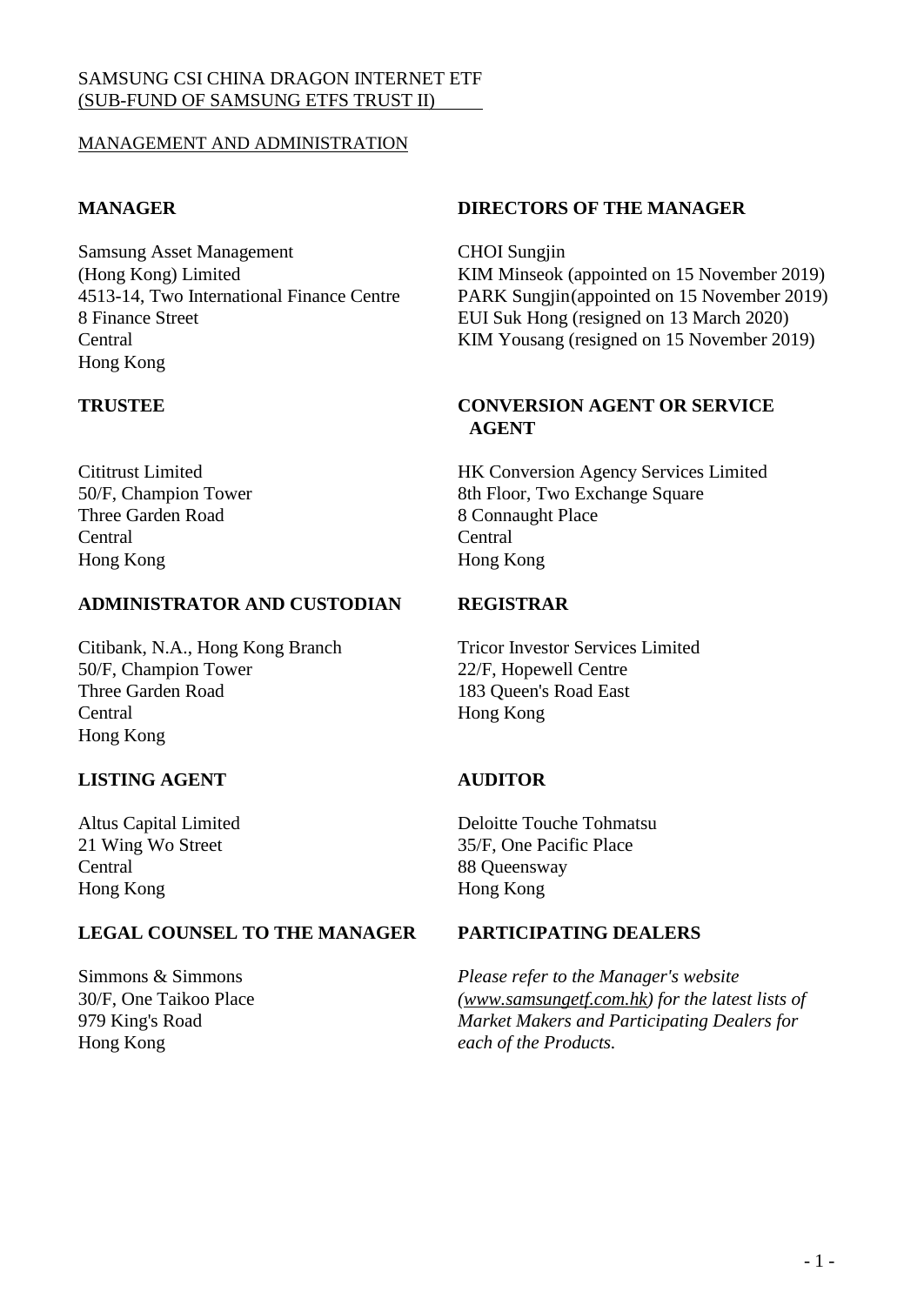# MANAGEMENT AND ADMINISTRATION

Samsung Asset Management CHOI Sungjin Hong Kong

Three Garden Road 8 Connaught Place Central Central Hong Kong Hong Kong

## **ADMINISTRATOR AND CUSTODIAN REGISTRAR**

Citibank, N.A., Hong Kong Branch Tricor Investor Services Limited 50/F, Champion Tower 22/F, Hopewell Centre Three Garden Road 183 Queen's Road East Central Hong Kong Hong Kong

# **LISTING AGENT AUDITOR**

Central 88 Queensway Hong Kong Hong Kong

# **LEGAL COUNSEL TO THE MANAGER PARTICIPATING DEALERS**

30/F, One Taikoo Place 979 King's Road Hong Kong

# **MANAGER DIRECTORS OF THE MANAGER**

(Hong Kong) Limited KIM Minseok (appointed on 15 November 2019) 4513-14, Two International Finance Centre PARK Sungjin(appointed on 15 November 2019) 8 Finance Street EUI Suk Hong (resigned on 13 March 2020) Central KIM Yousang (resigned on 15 November 2019)

# **TRUSTEE CONVERSION AGENT OR SERVICE AGENT**

Cititrust Limited HK Conversion Agency Services Limited 50/F, Champion Tower 8th Floor, Two Exchange Square

Altus Capital Limited Deloitte Touche Tohmatsu 21 Wing Wo Street 35/F, One Pacific Place

Simmons & Simmons *Please refer to the Manager's website [\(www.samsungetf.com.hk\)](http://www.samsungetf.com.hk/) for the latest lists of Market Makers and Participating Dealers for each of the Products.*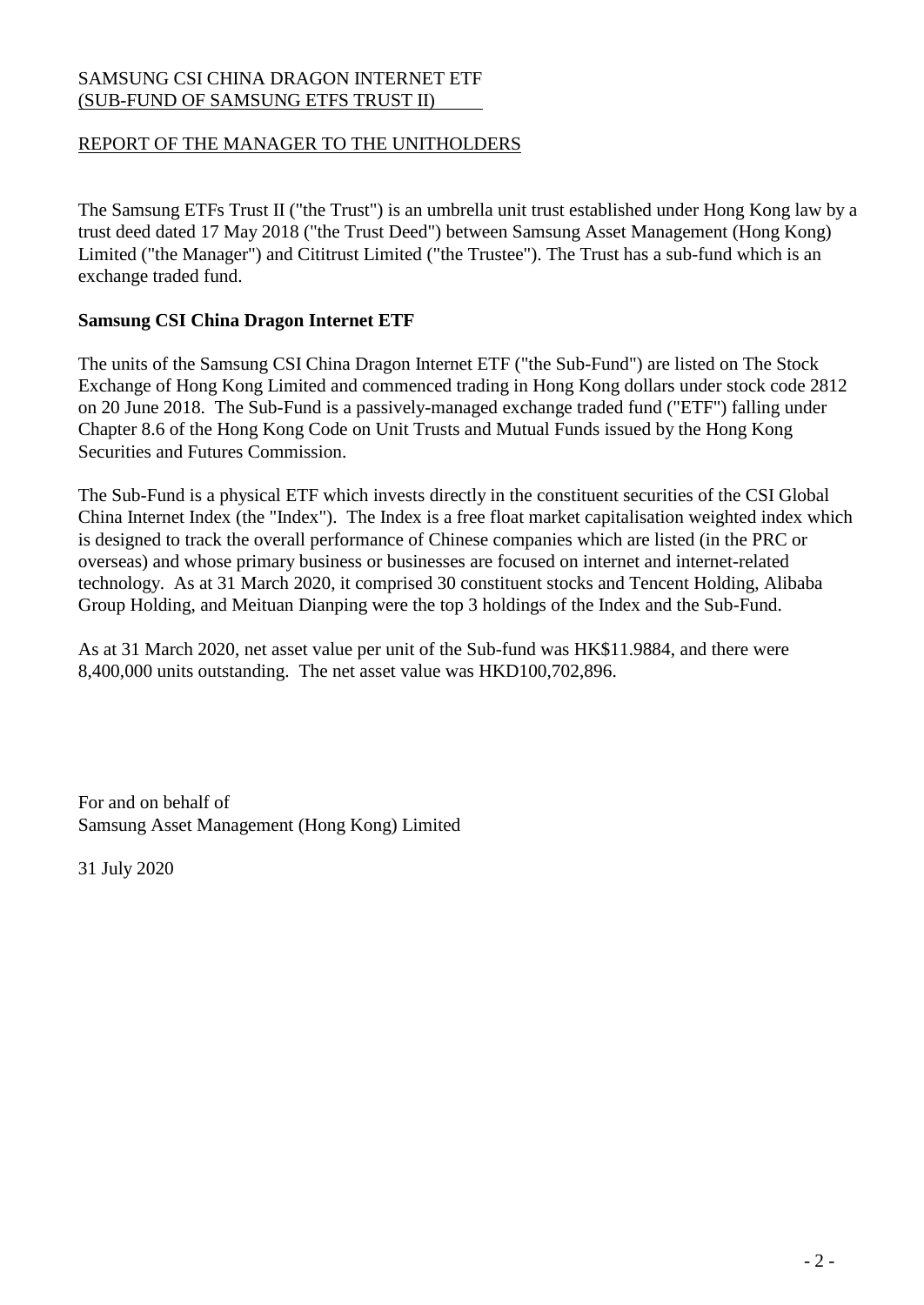# REPORT OF THE MANAGER TO THE UNITHOLDERS

The Samsung ETFs Trust II ("the Trust") is an umbrella unit trust established under Hong Kong law by a trust deed dated 17 May 2018 ("the Trust Deed") between Samsung Asset Management (Hong Kong) Limited ("the Manager") and Cititrust Limited ("the Trustee"). The Trust has a sub-fund which is an exchange traded fund.

# **Samsung CSI China Dragon Internet ETF**

The units of the Samsung CSI China Dragon Internet ETF ("the Sub-Fund") are listed on The Stock Exchange of Hong Kong Limited and commenced trading in Hong Kong dollars under stock code 2812 on 20 June 2018. The Sub-Fund is a passively-managed exchange traded fund ("ETF") falling under Chapter 8.6 of the Hong Kong Code on Unit Trusts and Mutual Funds issued by the Hong Kong Securities and Futures Commission.

The Sub-Fund is a physical ETF which invests directly in the constituent securities of the CSI Global China Internet Index (the "Index"). The Index is a free float market capitalisation weighted index which is designed to track the overall performance of Chinese companies which are listed (in the PRC or overseas) and whose primary business or businesses are focused on internet and internet-related technology. As at 31 March 2020, it comprised 30 constituent stocks and Tencent Holding, Alibaba Group Holding, and Meituan Dianping were the top 3 holdings of the Index and the Sub-Fund.

As at 31 March 2020, net asset value per unit of the Sub-fund was HK\$11.9884, and there were 8,400,000 units outstanding. The net asset value was HKD100,702,896.

For and on behalf of Samsung Asset Management (Hong Kong) Limited

31 July 2020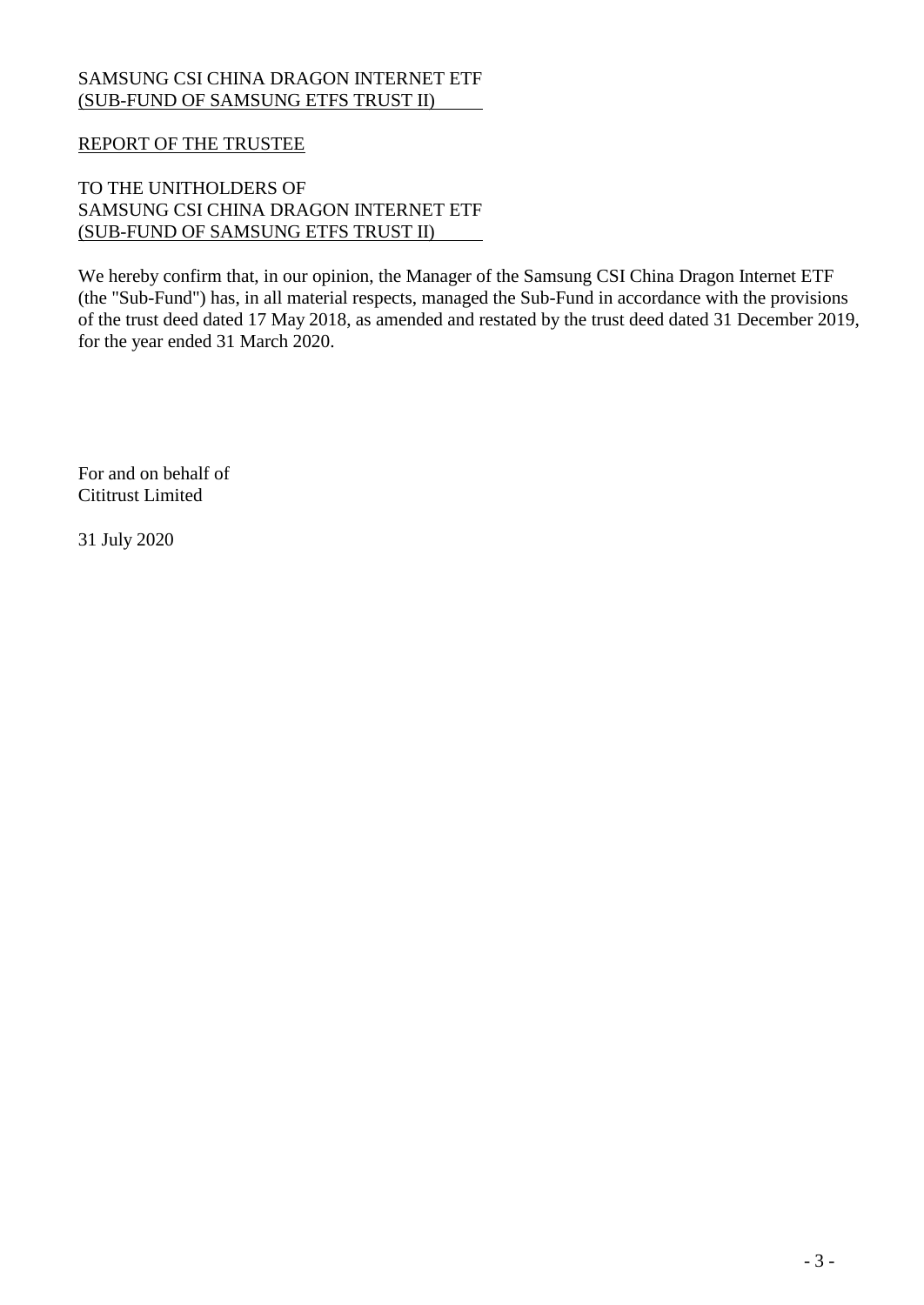# REPORT OF THE TRUSTEE

# TO THE UNITHOLDERS OF SAMSUNG CSI CHINA DRAGON INTERNET ETF (SUB-FUND OF SAMSUNG ETFS TRUST II)

We hereby confirm that, in our opinion, the Manager of the Samsung CSI China Dragon Internet ETF (the "Sub-Fund") has, in all material respects, managed the Sub-Fund in accordance with the provisions of the trust deed dated 17 May 2018, as amended and restated by the trust deed dated 31 December 2019, for the year ended 31 March 2020.

For and on behalf of Cititrust Limited

31 July 2020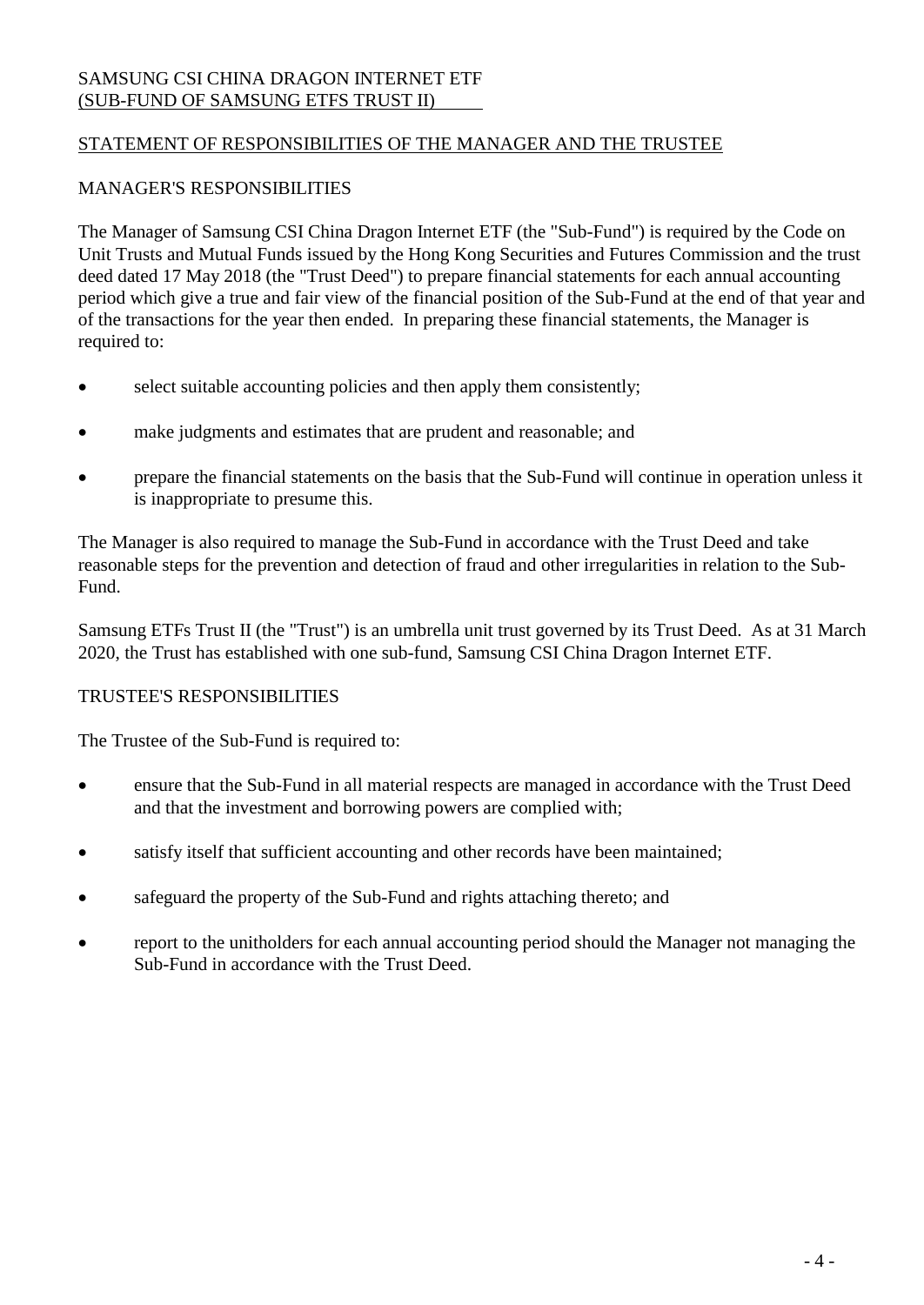# STATEMENT OF RESPONSIBILITIES OF THE MANAGER AND THE TRUSTEE

## MANAGER'S RESPONSIBILITIES

The Manager of Samsung CSI China Dragon Internet ETF (the "Sub-Fund") is required by the Code on Unit Trusts and Mutual Funds issued by the Hong Kong Securities and Futures Commission and the trust deed dated 17 May 2018 (the "Trust Deed") to prepare financial statements for each annual accounting period which give a true and fair view of the financial position of the Sub-Fund at the end of that year and of the transactions for the year then ended. In preparing these financial statements, the Manager is required to:

- select suitable accounting policies and then apply them consistently;
- make judgments and estimates that are prudent and reasonable; and
- prepare the financial statements on the basis that the Sub-Fund will continue in operation unless it is inappropriate to presume this.

The Manager is also required to manage the Sub-Fund in accordance with the Trust Deed and take reasonable steps for the prevention and detection of fraud and other irregularities in relation to the Sub-Fund.

Samsung ETFs Trust II (the "Trust") is an umbrella unit trust governed by its Trust Deed. As at 31 March 2020, the Trust has established with one sub-fund, Samsung CSI China Dragon Internet ETF.

# TRUSTEE'S RESPONSIBILITIES

The Trustee of the Sub-Fund is required to:

- ensure that the Sub-Fund in all material respects are managed in accordance with the Trust Deed and that the investment and borrowing powers are complied with;
- satisfy itself that sufficient accounting and other records have been maintained;
- safeguard the property of the Sub-Fund and rights attaching thereto; and
- report to the unitholders for each annual accounting period should the Manager not managing the Sub-Fund in accordance with the Trust Deed.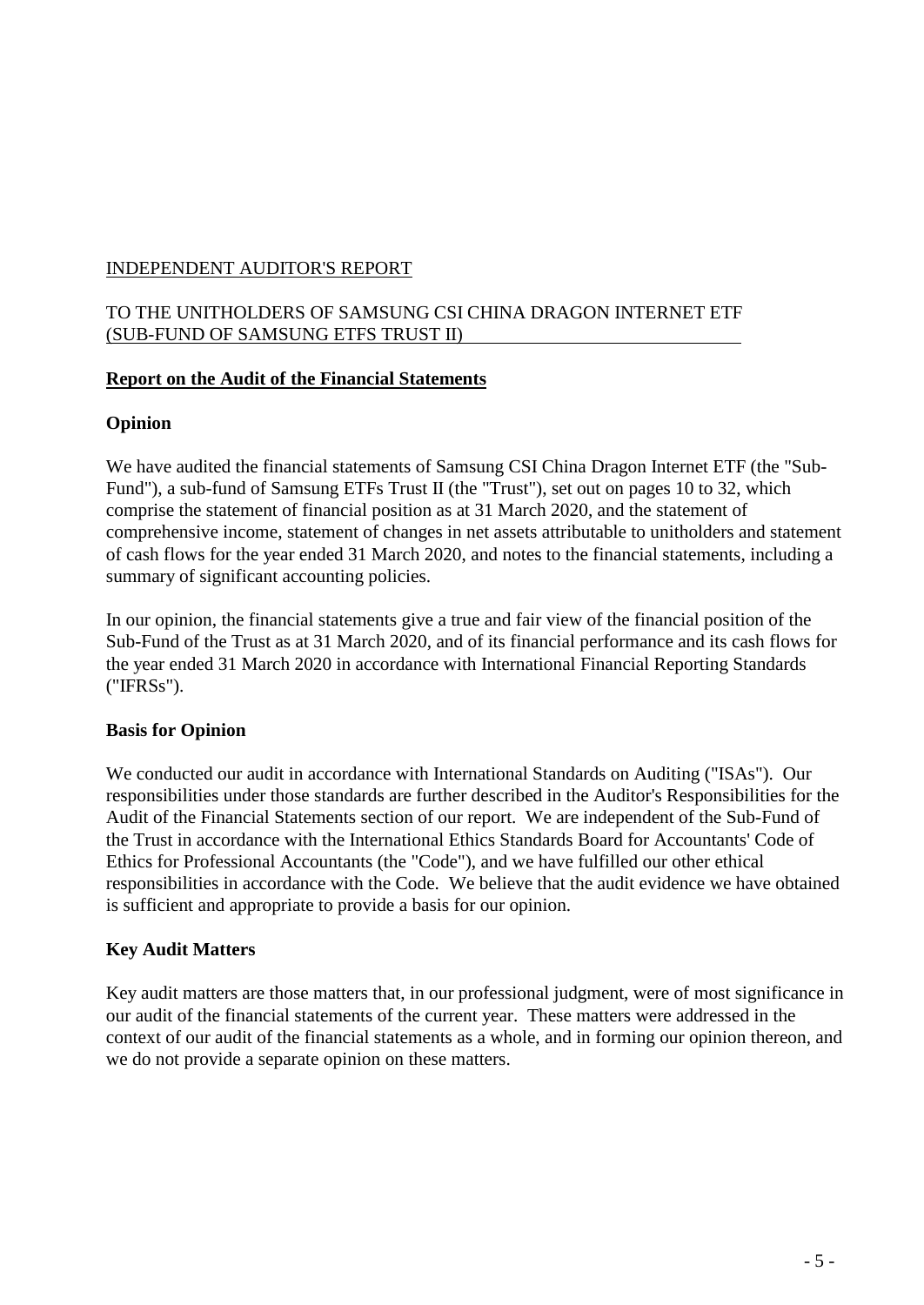# TO THE UNITHOLDERS OF SAMSUNG CSI CHINA DRAGON INTERNET ETF (SUB-FUND OF SAMSUNG ETFS TRUST II)

# **Report on the Audit of the Financial Statements**

# **Opinion**

We have audited the financial statements of Samsung CSI China Dragon Internet ETF (the "Sub-Fund"), a sub-fund of Samsung ETFs Trust II (the "Trust"), set out on pages 10 to 32, which comprise the statement of financial position as at 31 March 2020, and the statement of comprehensive income, statement of changes in net assets attributable to unitholders and statement of cash flows for the year ended 31 March 2020, and notes to the financial statements, including a summary of significant accounting policies.

In our opinion, the financial statements give a true and fair view of the financial position of the Sub-Fund of the Trust as at 31 March 2020, and of its financial performance and its cash flows for the year ended 31 March 2020 in accordance with International Financial Reporting Standards ("IFRSs").

# **Basis for Opinion**

We conducted our audit in accordance with International Standards on Auditing ("ISAs"). Our responsibilities under those standards are further described in the Auditor's Responsibilities for the Audit of the Financial Statements section of our report. We are independent of the Sub-Fund of the Trust in accordance with the International Ethics Standards Board for Accountants' Code of Ethics for Professional Accountants (the "Code"), and we have fulfilled our other ethical responsibilities in accordance with the Code. We believe that the audit evidence we have obtained is sufficient and appropriate to provide a basis for our opinion.

# **Key Audit Matters**

Key audit matters are those matters that, in our professional judgment, were of most significance in our audit of the financial statements of the current year. These matters were addressed in the context of our audit of the financial statements as a whole, and in forming our opinion thereon, and we do not provide a separate opinion on these matters.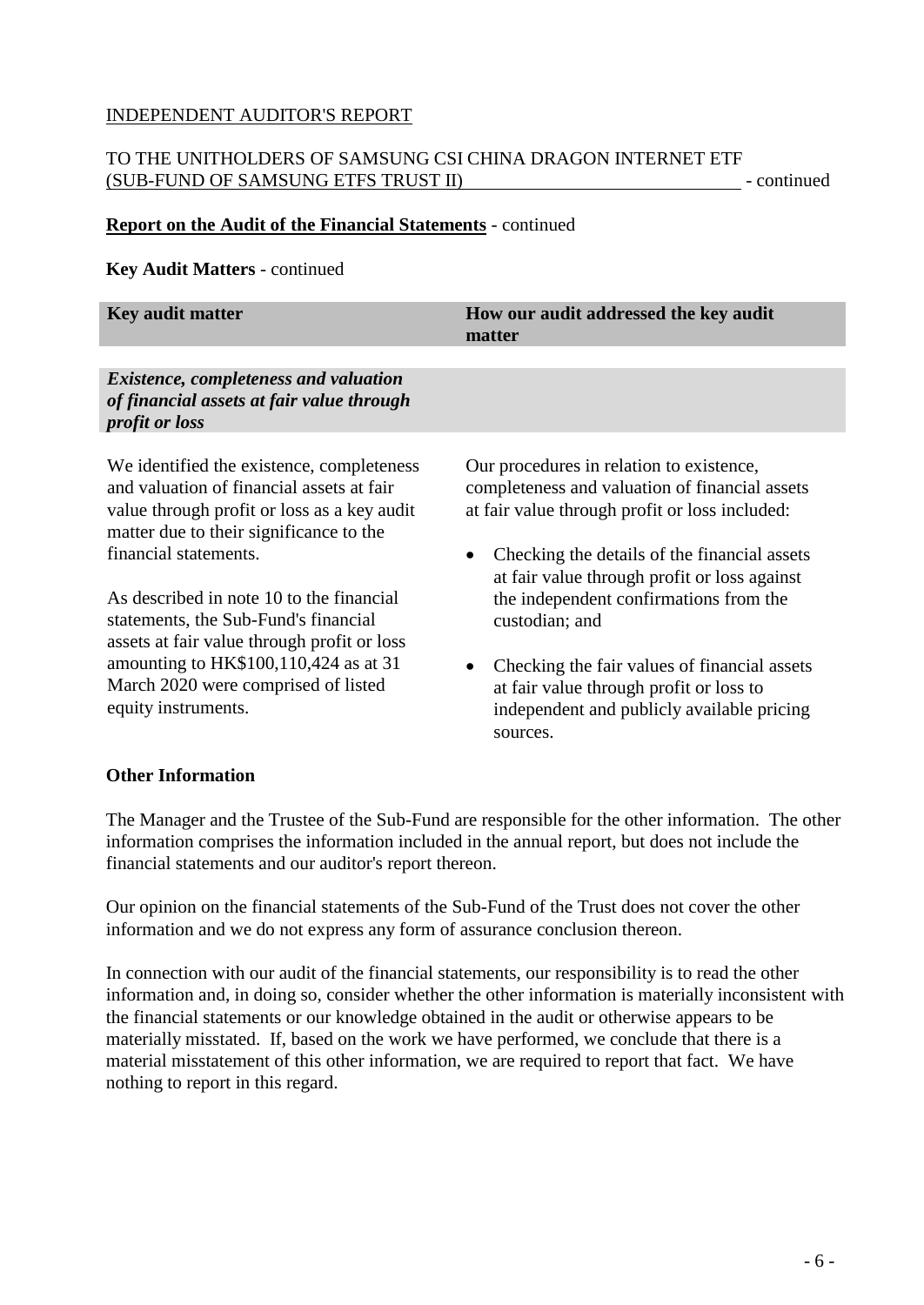# TO THE UNITHOLDERS OF SAMSUNG CSI CHINA DRAGON INTERNET ETF (SUB-FUND OF SAMSUNG ETFS TRUST II) - continued

#### **Report on the Audit of the Financial Statements** - continued

#### **Key Audit Matters** - continued

| Key audit matter                                                   | How our audit addressed the key audit<br>matter |
|--------------------------------------------------------------------|-------------------------------------------------|
| <i>Existence, completeness and valuation</i>                       |                                                 |
| of financial assets at fair value through<br><i>profit or loss</i> |                                                 |
| We identified the existence, completeness                          | Our procedures in relation to existence,        |

and valuation of financial assets at fair value through profit or loss as a key audit matter due to their significance to the financial statements.

As described in note 10 to the financial statements, the Sub-Fund's financial assets at fair value through profit or loss amounting to HK\$100,110,424 as at 31 March 2020 were comprised of listed equity instruments.

Our procedures in relation to existence, completeness and valuation of financial assets at fair value through profit or loss included:

- Checking the details of the financial assets at fair value through profit or loss against the independent confirmations from the custodian; and
- Checking the fair values of financial assets at fair value through profit or loss to independent and publicly available pricing sources.

## **Other Information**

The Manager and the Trustee of the Sub-Fund are responsible for the other information. The other information comprises the information included in the annual report, but does not include the financial statements and our auditor's report thereon.

Our opinion on the financial statements of the Sub-Fund of the Trust does not cover the other information and we do not express any form of assurance conclusion thereon.

In connection with our audit of the financial statements, our responsibility is to read the other information and, in doing so, consider whether the other information is materially inconsistent with the financial statements or our knowledge obtained in the audit or otherwise appears to be materially misstated. If, based on the work we have performed, we conclude that there is a material misstatement of this other information, we are required to report that fact. We have nothing to report in this regard.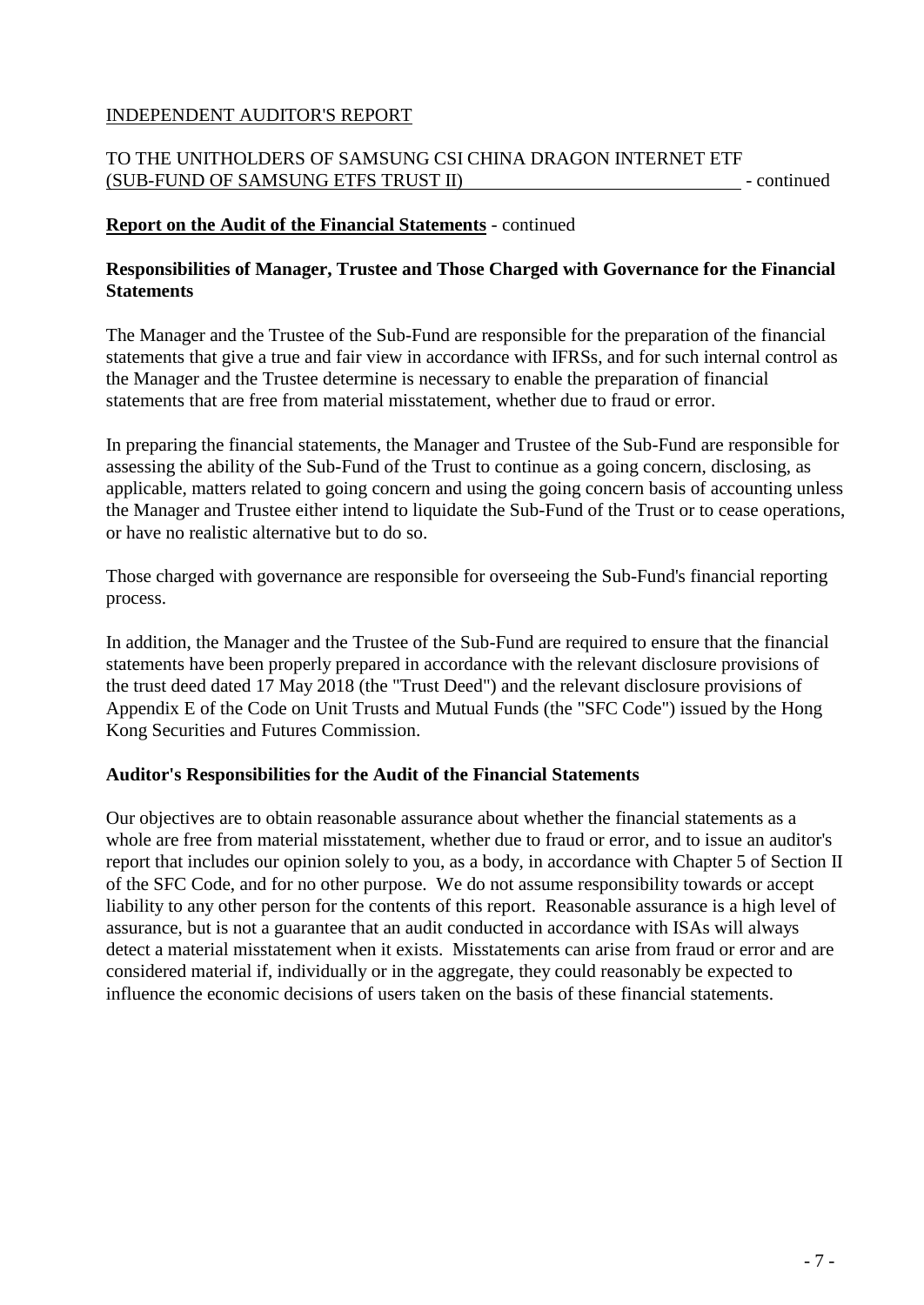# TO THE UNITHOLDERS OF SAMSUNG CSI CHINA DRAGON INTERNET ETF (SUB-FUND OF SAMSUNG ETFS TRUST II) - continued

## **Report on the Audit of the Financial Statements** - continued

## **Responsibilities of Manager, Trustee and Those Charged with Governance for the Financial Statements**

The Manager and the Trustee of the Sub-Fund are responsible for the preparation of the financial statements that give a true and fair view in accordance with IFRSs, and for such internal control as the Manager and the Trustee determine is necessary to enable the preparation of financial statements that are free from material misstatement, whether due to fraud or error.

In preparing the financial statements, the Manager and Trustee of the Sub-Fund are responsible for assessing the ability of the Sub-Fund of the Trust to continue as a going concern, disclosing, as applicable, matters related to going concern and using the going concern basis of accounting unless the Manager and Trustee either intend to liquidate the Sub-Fund of the Trust or to cease operations, or have no realistic alternative but to do so.

Those charged with governance are responsible for overseeing the Sub-Fund's financial reporting process.

In addition, the Manager and the Trustee of the Sub-Fund are required to ensure that the financial statements have been properly prepared in accordance with the relevant disclosure provisions of the trust deed dated 17 May 2018 (the "Trust Deed") and the relevant disclosure provisions of Appendix E of the Code on Unit Trusts and Mutual Funds (the "SFC Code") issued by the Hong Kong Securities and Futures Commission.

# **Auditor's Responsibilities for the Audit of the Financial Statements**

Our objectives are to obtain reasonable assurance about whether the financial statements as a whole are free from material misstatement, whether due to fraud or error, and to issue an auditor's report that includes our opinion solely to you, as a body, in accordance with Chapter 5 of Section II of the SFC Code, and for no other purpose. We do not assume responsibility towards or accept liability to any other person for the contents of this report. Reasonable assurance is a high level of assurance, but is not a guarantee that an audit conducted in accordance with ISAs will always detect a material misstatement when it exists. Misstatements can arise from fraud or error and are considered material if, individually or in the aggregate, they could reasonably be expected to influence the economic decisions of users taken on the basis of these financial statements.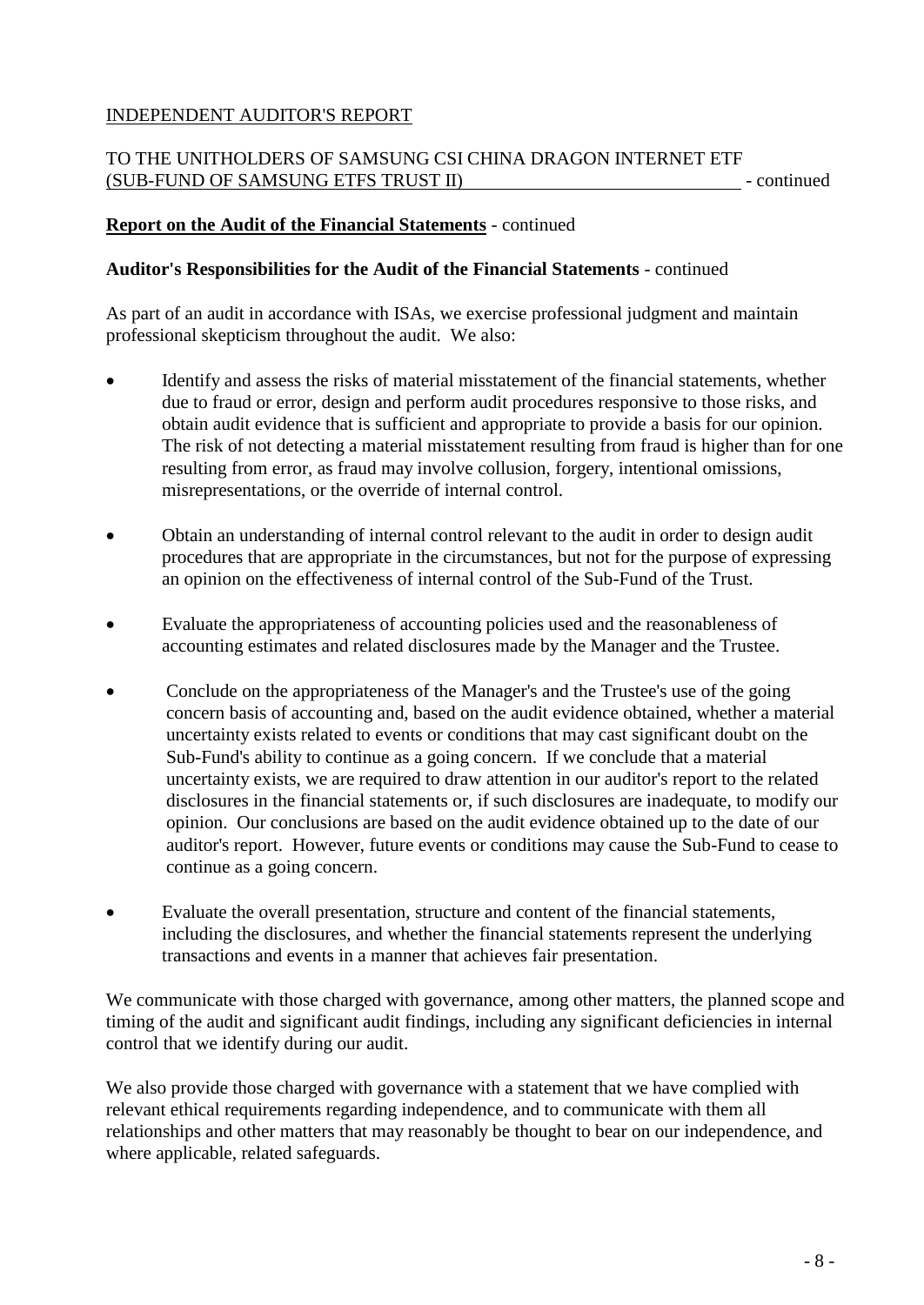# TO THE UNITHOLDERS OF SAMSUNG CSI CHINA DRAGON INTERNET ETF (SUB-FUND OF SAMSUNG ETFS TRUST II) - continued

## **Report on the Audit of the Financial Statements** - continued

### **Auditor's Responsibilities for the Audit of the Financial Statements** - continued

As part of an audit in accordance with ISAs, we exercise professional judgment and maintain professional skepticism throughout the audit. We also:

- Identify and assess the risks of material misstatement of the financial statements, whether due to fraud or error, design and perform audit procedures responsive to those risks, and obtain audit evidence that is sufficient and appropriate to provide a basis for our opinion. The risk of not detecting a material misstatement resulting from fraud is higher than for one resulting from error, as fraud may involve collusion, forgery, intentional omissions, misrepresentations, or the override of internal control.
- Obtain an understanding of internal control relevant to the audit in order to design audit procedures that are appropriate in the circumstances, but not for the purpose of expressing an opinion on the effectiveness of internal control of the Sub-Fund of the Trust.
- Evaluate the appropriateness of accounting policies used and the reasonableness of accounting estimates and related disclosures made by the Manager and the Trustee.
- Conclude on the appropriateness of the Manager's and the Trustee's use of the going concern basis of accounting and, based on the audit evidence obtained, whether a material uncertainty exists related to events or conditions that may cast significant doubt on the Sub-Fund's ability to continue as a going concern. If we conclude that a material uncertainty exists, we are required to draw attention in our auditor's report to the related disclosures in the financial statements or, if such disclosures are inadequate, to modify our opinion. Our conclusions are based on the audit evidence obtained up to the date of our auditor's report. However, future events or conditions may cause the Sub-Fund to cease to continue as a going concern.
- Evaluate the overall presentation, structure and content of the financial statements, including the disclosures, and whether the financial statements represent the underlying transactions and events in a manner that achieves fair presentation.

We communicate with those charged with governance, among other matters, the planned scope and timing of the audit and significant audit findings, including any significant deficiencies in internal control that we identify during our audit.

We also provide those charged with governance with a statement that we have complied with relevant ethical requirements regarding independence, and to communicate with them all relationships and other matters that may reasonably be thought to bear on our independence, and where applicable, related safeguards.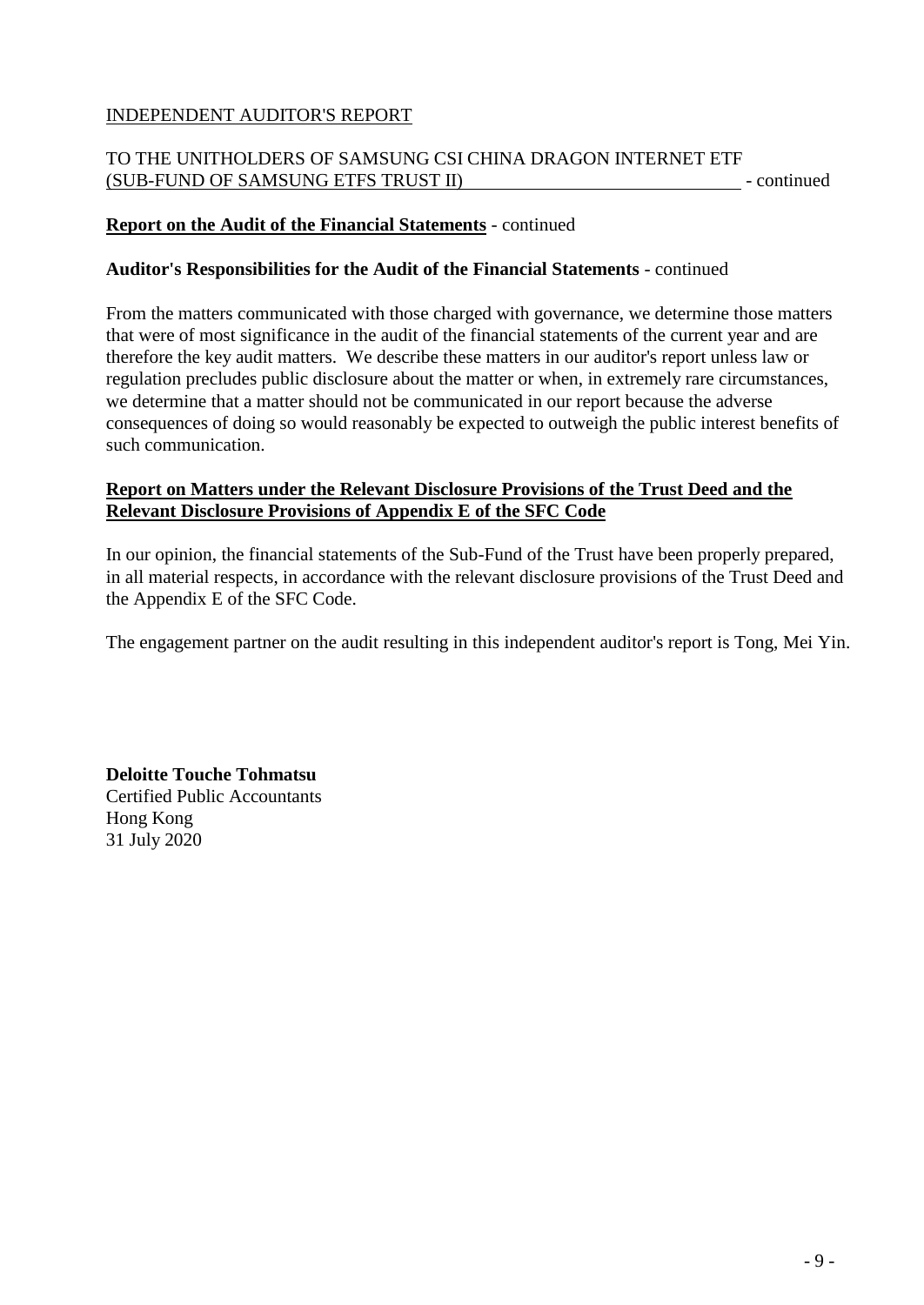# TO THE UNITHOLDERS OF SAMSUNG CSI CHINA DRAGON INTERNET ETF (SUB-FUND OF SAMSUNG ETFS TRUST II) - continued

## **Report on the Audit of the Financial Statements** - continued

### **Auditor's Responsibilities for the Audit of the Financial Statements** - continued

From the matters communicated with those charged with governance, we determine those matters that were of most significance in the audit of the financial statements of the current year and are therefore the key audit matters. We describe these matters in our auditor's report unless law or regulation precludes public disclosure about the matter or when, in extremely rare circumstances, we determine that a matter should not be communicated in our report because the adverse consequences of doing so would reasonably be expected to outweigh the public interest benefits of such communication.

# **Report on Matters under the Relevant Disclosure Provisions of the Trust Deed and the Relevant Disclosure Provisions of Appendix E of the SFC Code**

In our opinion, the financial statements of the Sub-Fund of the Trust have been properly prepared, in all material respects, in accordance with the relevant disclosure provisions of the Trust Deed and the Appendix E of the SFC Code.

The engagement partner on the audit resulting in this independent auditor's report is Tong, Mei Yin.

**Deloitte Touche Tohmatsu** Certified Public Accountants Hong Kong 31 July 2020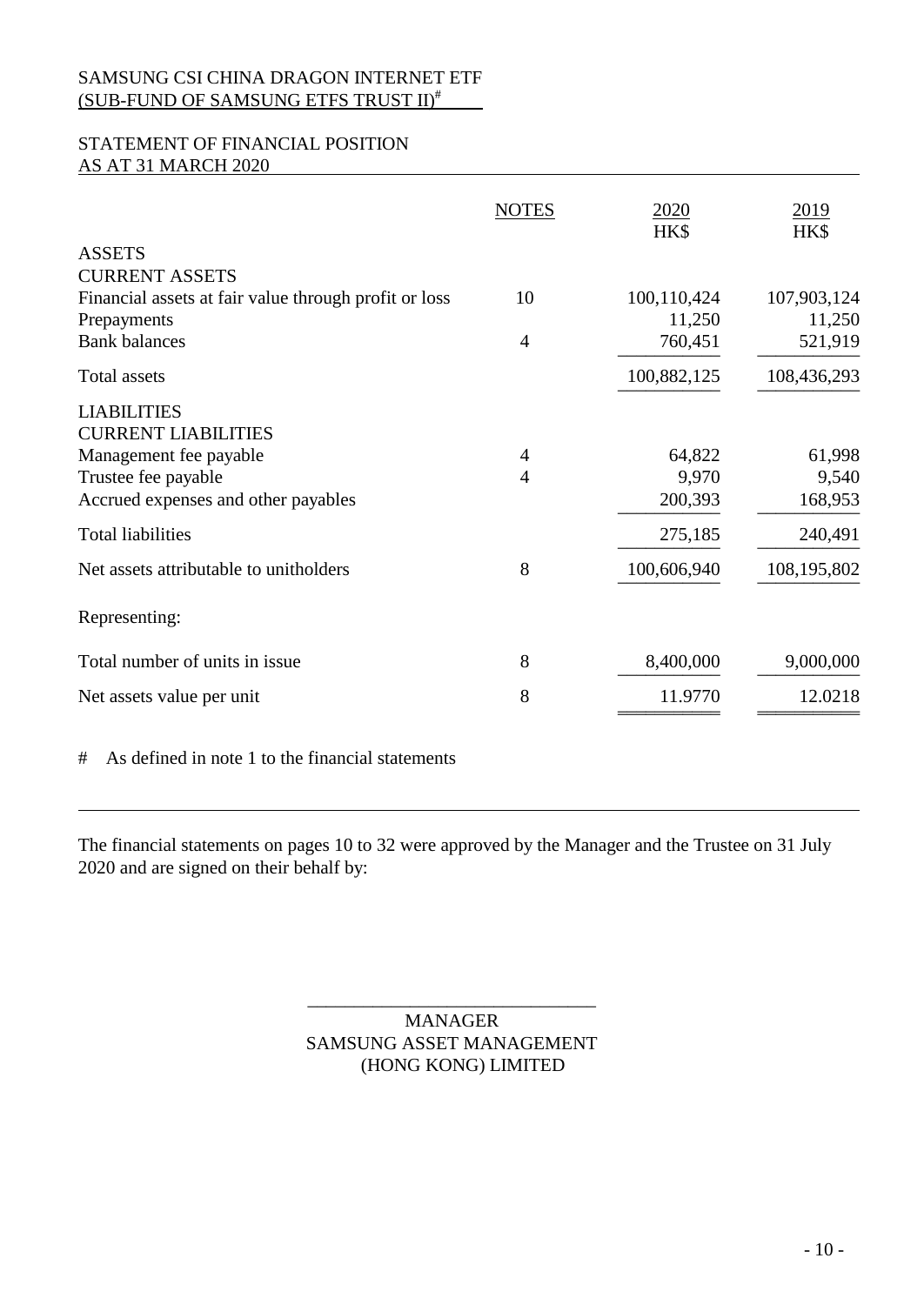## STATEMENT OF FINANCIAL POSITION AS AT 31 MARCH 2020

|                                                       | <b>NOTES</b>   | <u>2020</u><br>HK\$ | <u>2019</u><br>HK\$ |
|-------------------------------------------------------|----------------|---------------------|---------------------|
| <b>ASSETS</b>                                         |                |                     |                     |
| <b>CURRENT ASSETS</b>                                 |                |                     |                     |
| Financial assets at fair value through profit or loss | 10             | 100,110,424         | 107,903,124         |
| Prepayments                                           |                | 11,250              | 11,250              |
| <b>Bank balances</b>                                  | $\overline{4}$ | 760,451             | 521,919             |
| Total assets                                          |                | 100,882,125         | 108,436,293         |
| <b>LIABILITIES</b>                                    |                |                     |                     |
| <b>CURRENT LIABILITIES</b>                            |                |                     |                     |
| Management fee payable                                | $\overline{4}$ | 64,822              | 61,998              |
| Trustee fee payable                                   | $\overline{4}$ | 9,970               | 9,540               |
| Accrued expenses and other payables                   |                | 200,393             | 168,953             |
| <b>Total liabilities</b>                              |                | 275,185             | 240,491             |
| Net assets attributable to unitholders                | 8              | 100,606,940         | 108,195,802         |
| Representing:                                         |                |                     |                     |
| Total number of units in issue                        | 8              | 8,400,000           | 9,000,000           |
| Net assets value per unit                             | 8              | 11.9770             | 12.0218             |
|                                                       |                |                     |                     |

# As defined in note 1 to the financial statements

The financial statements on pages 10 to 32 were approved by the Manager and the Trustee on 31 July 2020 and are signed on their behalf by:

# \_\_\_\_\_\_\_\_\_\_\_\_\_\_\_\_\_\_\_\_\_\_\_\_\_\_\_\_\_\_\_ MANAGER SAMSUNG ASSET MANAGEMENT (HONG KONG) LIMITED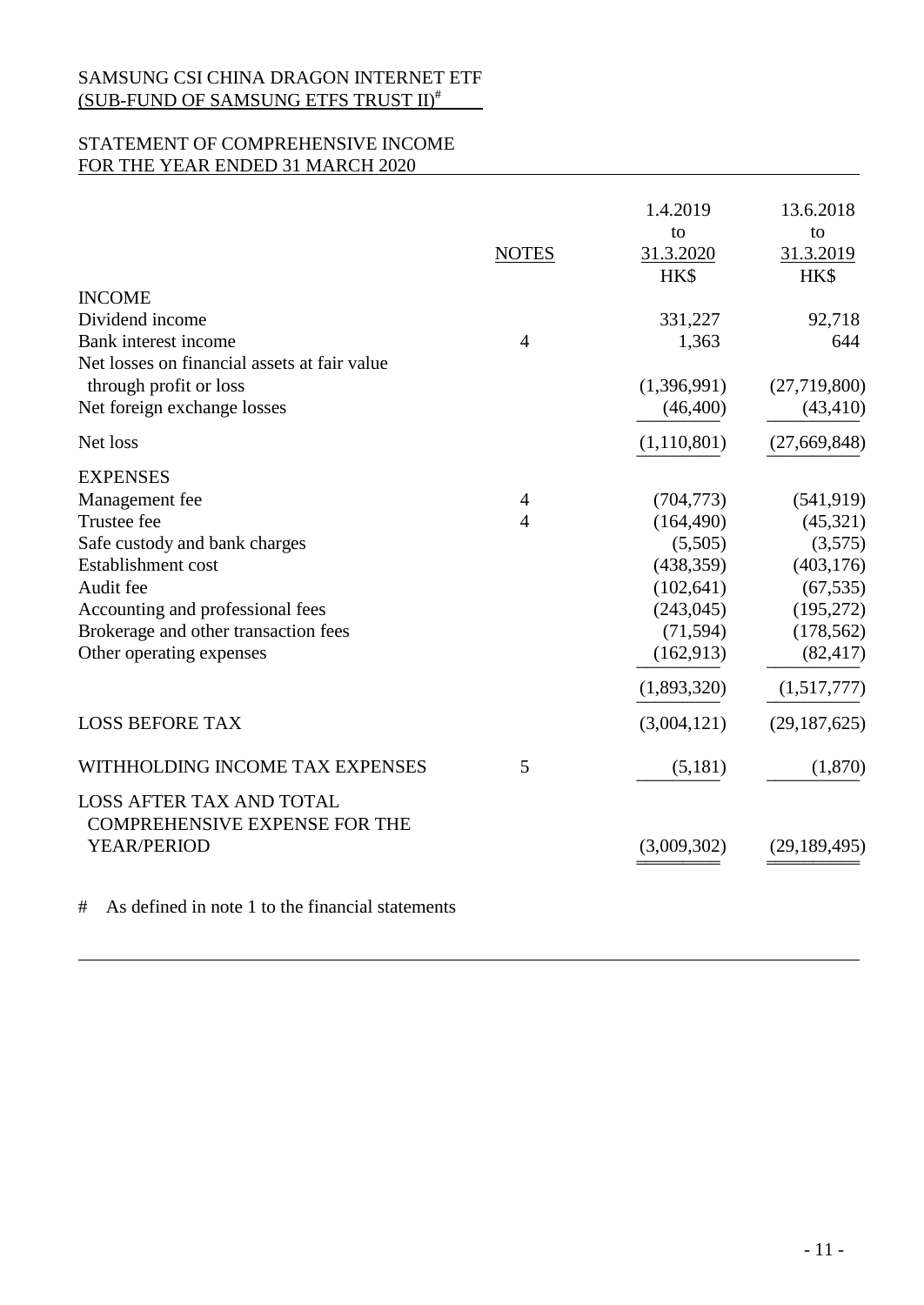# STATEMENT OF COMPREHENSIVE INCOME FOR THE YEAR ENDED 31 MARCH 2020

|                                                                         | <b>NOTES</b>   | 1.4.2019<br>to<br>31.3.2020<br>HK\$ | 13.6.2018<br>to<br>31.3.2019<br>HK\$ |
|-------------------------------------------------------------------------|----------------|-------------------------------------|--------------------------------------|
| <b>INCOME</b>                                                           |                |                                     |                                      |
| Dividend income                                                         |                | 331,227                             | 92,718                               |
| Bank interest income                                                    | $\overline{4}$ | 1,363                               | 644                                  |
| Net losses on financial assets at fair value                            |                |                                     |                                      |
| through profit or loss                                                  |                | (1,396,991)                         | (27,719,800)                         |
| Net foreign exchange losses                                             |                | (46, 400)                           | (43, 410)                            |
| Net loss                                                                |                | (1,110,801)                         | (27, 669, 848)                       |
| <b>EXPENSES</b>                                                         |                |                                     |                                      |
| Management fee                                                          | $\overline{4}$ | (704, 773)                          | (541, 919)                           |
| Trustee fee                                                             | $\overline{4}$ | (164, 490)                          | (45, 321)                            |
| Safe custody and bank charges                                           |                | (5,505)                             | (3,575)                              |
| Establishment cost                                                      |                | (438, 359)                          | (403, 176)                           |
| Audit fee                                                               |                | (102, 641)                          | (67, 535)                            |
| Accounting and professional fees                                        |                | (243, 045)                          | (195, 272)                           |
| Brokerage and other transaction fees                                    |                | (71, 594)                           | (178, 562)                           |
| Other operating expenses                                                |                | (162, 913)                          | (82, 417)                            |
|                                                                         |                | (1,893,320)                         | (1,517,777)                          |
| <b>LOSS BEFORE TAX</b>                                                  |                | (3,004,121)                         | (29, 187, 625)                       |
| WITHHOLDING INCOME TAX EXPENSES                                         | 5              | (5,181)                             | (1,870)                              |
| <b>LOSS AFTER TAX AND TOTAL</b><br><b>COMPREHENSIVE EXPENSE FOR THE</b> |                |                                     |                                      |
| YEAR/PERIOD                                                             |                | (3,009,302)                         | (29, 189, 495)                       |
|                                                                         |                |                                     |                                      |

# As defined in note 1 to the financial statements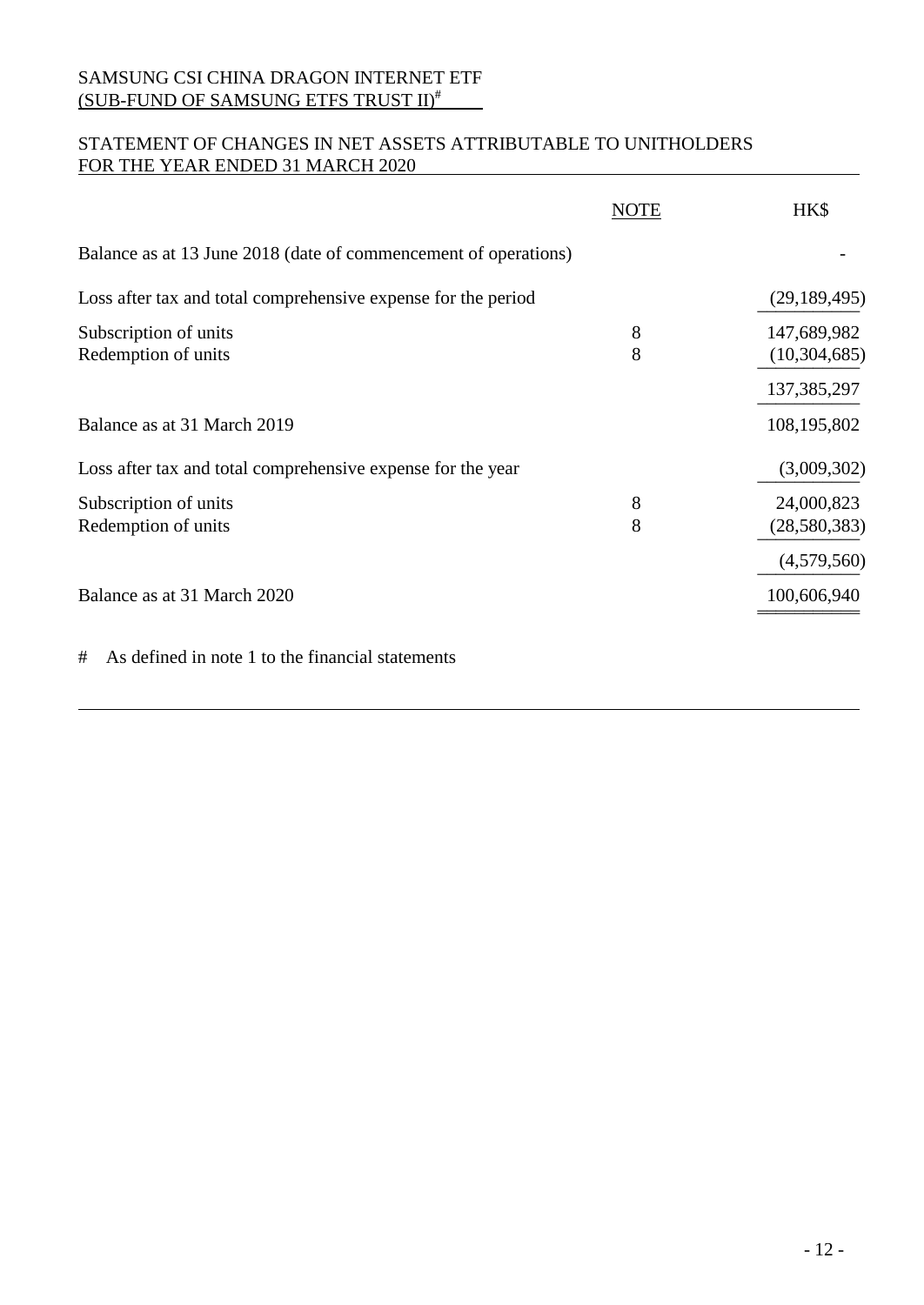# STATEMENT OF CHANGES IN NET ASSETS ATTRIBUTABLE TO UNITHOLDERS FOR THE YEAR ENDED 31 MARCH 2020

|                                                                 | <b>NOTE</b> | HK\$                                           |
|-----------------------------------------------------------------|-------------|------------------------------------------------|
| Balance as at 13 June 2018 (date of commencement of operations) |             |                                                |
| Loss after tax and total comprehensive expense for the period   |             | (29, 189, 495)                                 |
| Subscription of units<br>Redemption of units                    | 8<br>8      | 147,689,982<br>(10, 304, 685)<br>137, 385, 297 |
| Balance as at 31 March 2019                                     |             | 108,195,802                                    |
| Loss after tax and total comprehensive expense for the year     |             | (3,009,302)                                    |
| Subscription of units<br>Redemption of units                    | 8<br>8      | 24,000,823<br>(28, 580, 383)                   |
|                                                                 |             | (4,579,560)                                    |
| Balance as at 31 March 2020                                     |             | 100,606,940                                    |
| As defined in note 1 to the financial statements<br>#           |             |                                                |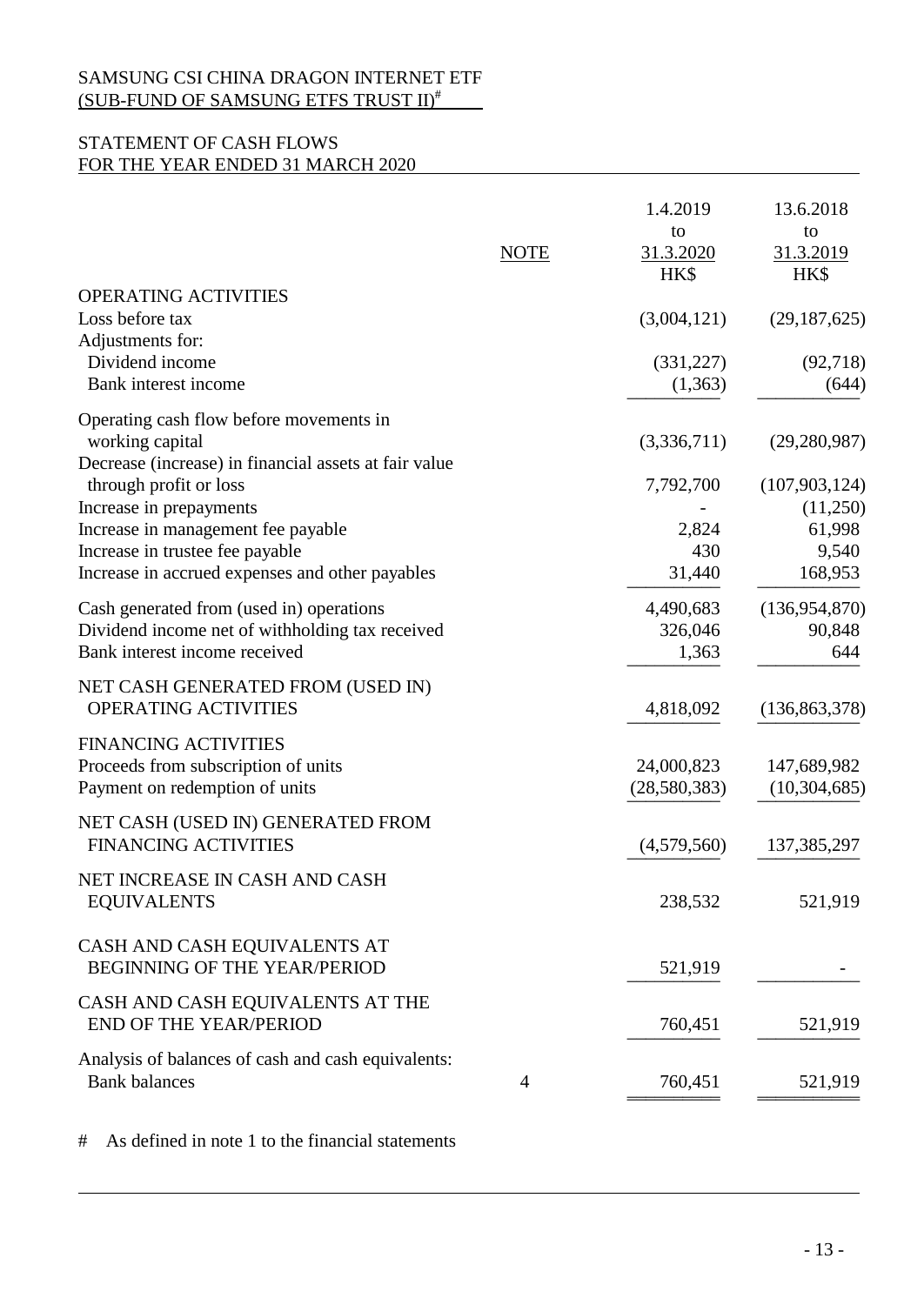# STATEMENT OF CASH FLOWS FOR THE YEAR ENDED 31 MARCH 2020

|                                                                                                                                                                               | <b>NOTE</b>    | 1.4.2019<br>to<br>31.3.2020         | 13.6.2018<br>to<br>31.3.2019                              |
|-------------------------------------------------------------------------------------------------------------------------------------------------------------------------------|----------------|-------------------------------------|-----------------------------------------------------------|
| OPERATING ACTIVITIES                                                                                                                                                          |                | HK\$                                | HK\$                                                      |
| Loss before tax                                                                                                                                                               |                | (3,004,121)                         | (29, 187, 625)                                            |
| Adjustments for:<br>Dividend income<br>Bank interest income                                                                                                                   |                | (331, 227)<br>(1,363)               | (92, 718)<br>(644)                                        |
| Operating cash flow before movements in<br>working capital<br>Decrease (increase) in financial assets at fair value                                                           |                | (3,336,711)                         | (29, 280, 987)                                            |
| through profit or loss<br>Increase in prepayments<br>Increase in management fee payable<br>Increase in trustee fee payable<br>Increase in accrued expenses and other payables |                | 7,792,700<br>2,824<br>430<br>31,440 | (107, 903, 124)<br>(11,250)<br>61,998<br>9,540<br>168,953 |
| Cash generated from (used in) operations<br>Dividend income net of withholding tax received<br>Bank interest income received                                                  |                | 4,490,683<br>326,046<br>1,363       | (136, 954, 870)<br>90,848<br>644                          |
| NET CASH GENERATED FROM (USED IN)<br>OPERATING ACTIVITIES                                                                                                                     |                | 4,818,092                           | (136, 863, 378)                                           |
| <b>FINANCING ACTIVITIES</b><br>Proceeds from subscription of units<br>Payment on redemption of units                                                                          |                | 24,000,823<br>(28,580,383)          | 147,689,982<br>(10, 304, 685)                             |
| NET CASH (USED IN) GENERATED FROM<br><b>FINANCING ACTIVITIES</b>                                                                                                              |                | (4,579,560)                         | 137, 385, 297                                             |
| NET INCREASE IN CASH AND CASH<br><b>EQUIVALENTS</b>                                                                                                                           |                | 238,532                             | 521,919                                                   |
| CASH AND CASH EQUIVALENTS AT<br><b>BEGINNING OF THE YEAR/PERIOD</b>                                                                                                           |                | 521,919                             |                                                           |
| CASH AND CASH EQUIVALENTS AT THE<br>END OF THE YEAR/PERIOD                                                                                                                    |                | 760,451                             | 521,919                                                   |
| Analysis of balances of cash and cash equivalents:<br><b>Bank balances</b>                                                                                                    | $\overline{4}$ | 760,451                             | 521,919                                                   |
|                                                                                                                                                                               |                |                                     |                                                           |

# As defined in note 1 to the financial statements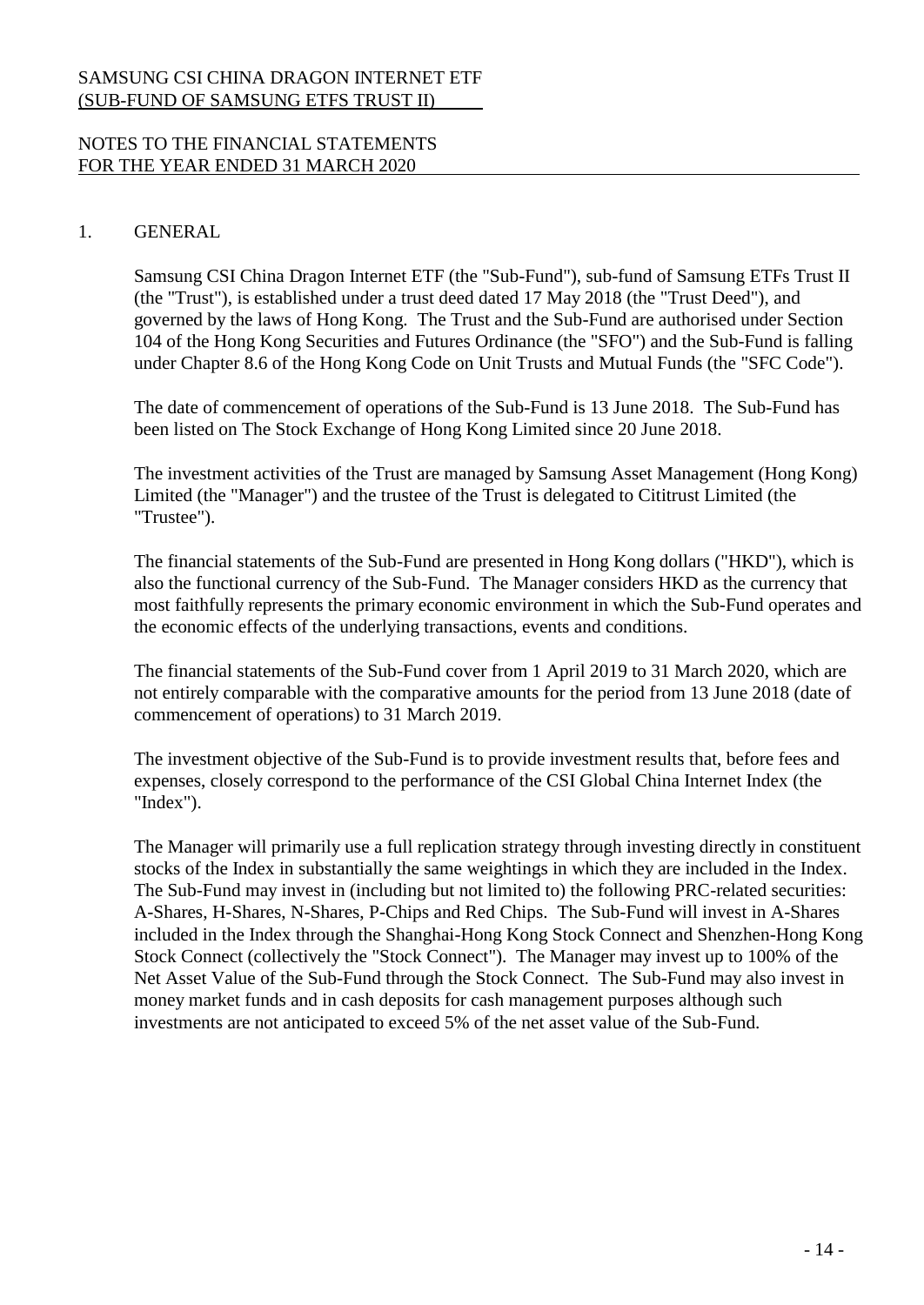### NOTES TO THE FINANCIAL STATEMENTS FOR THE YEAR ENDED 31 MARCH 2020

#### 1. GENERAL

Samsung CSI China Dragon Internet ETF (the "Sub-Fund"), sub-fund of Samsung ETFs Trust II (the "Trust"), is established under a trust deed dated 17 May 2018 (the "Trust Deed"), and governed by the laws of Hong Kong. The Trust and the Sub-Fund are authorised under Section 104 of the Hong Kong Securities and Futures Ordinance (the "SFO") and the Sub-Fund is falling under Chapter 8.6 of the Hong Kong Code on Unit Trusts and Mutual Funds (the "SFC Code").

The date of commencement of operations of the Sub-Fund is 13 June 2018. The Sub-Fund has been listed on The Stock Exchange of Hong Kong Limited since 20 June 2018.

The investment activities of the Trust are managed by Samsung Asset Management (Hong Kong) Limited (the "Manager") and the trustee of the Trust is delegated to Cititrust Limited (the "Trustee").

The financial statements of the Sub-Fund are presented in Hong Kong dollars ("HKD"), which is also the functional currency of the Sub-Fund. The Manager considers HKD as the currency that most faithfully represents the primary economic environment in which the Sub-Fund operates and the economic effects of the underlying transactions, events and conditions.

The financial statements of the Sub-Fund cover from 1 April 2019 to 31 March 2020, which are not entirely comparable with the comparative amounts for the period from 13 June 2018 (date of commencement of operations) to 31 March 2019.

The investment objective of the Sub-Fund is to provide investment results that, before fees and expenses, closely correspond to the performance of the CSI Global China Internet Index (the "Index").

The Manager will primarily use a full replication strategy through investing directly in constituent stocks of the Index in substantially the same weightings in which they are included in the Index. The Sub-Fund may invest in (including but not limited to) the following PRC-related securities: A-Shares, H-Shares, N-Shares, P-Chips and Red Chips. The Sub-Fund will invest in A-Shares included in the Index through the Shanghai-Hong Kong Stock Connect and Shenzhen-Hong Kong Stock Connect (collectively the "Stock Connect"). The Manager may invest up to 100% of the Net Asset Value of the Sub-Fund through the Stock Connect. The Sub-Fund may also invest in money market funds and in cash deposits for cash management purposes although such investments are not anticipated to exceed 5% of the net asset value of the Sub-Fund.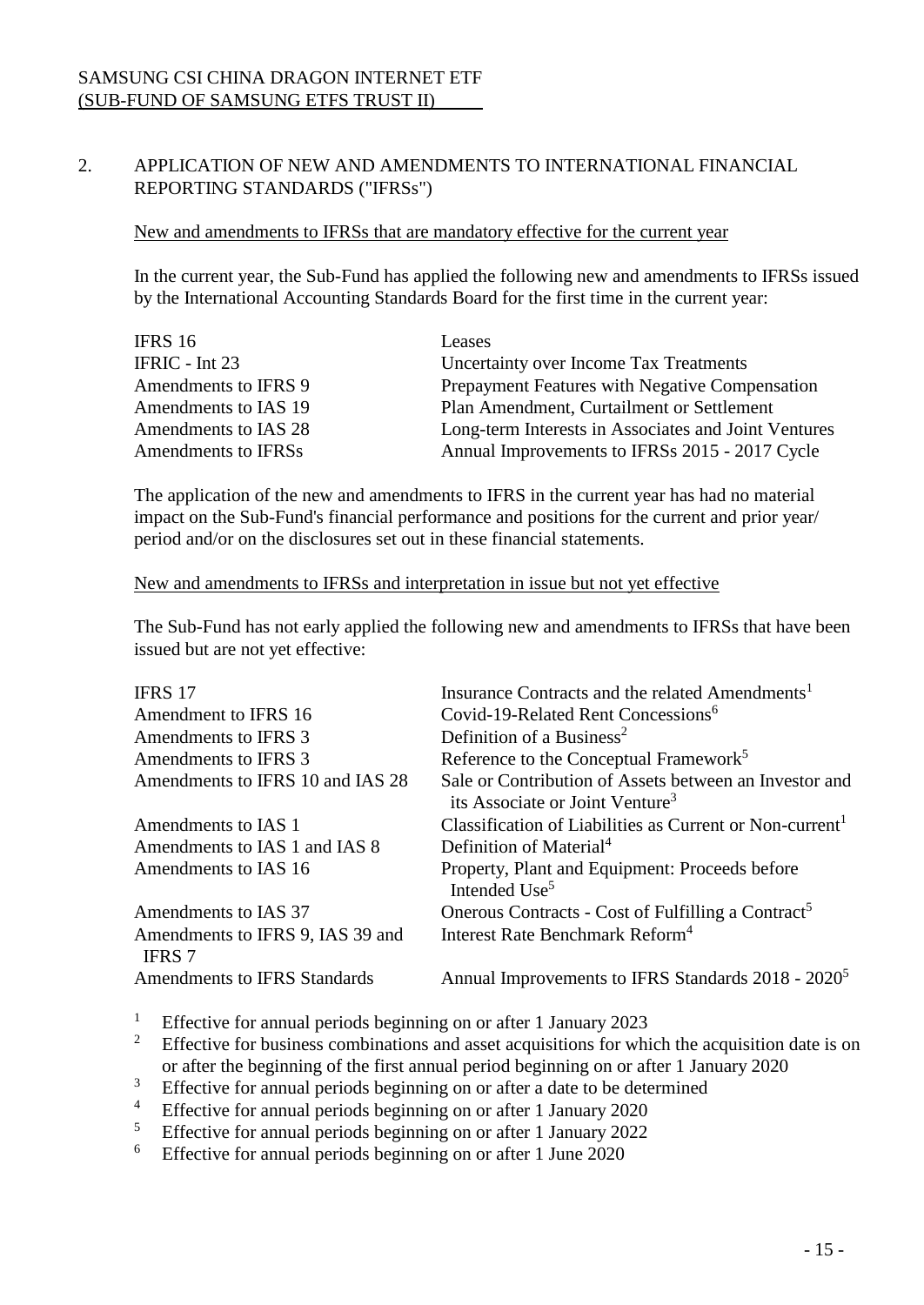# 2. APPLICATION OF NEW AND AMENDMENTS TO INTERNATIONAL FINANCIAL REPORTING STANDARDS ("IFRSs")

#### New and amendments to IFRSs that are mandatory effective for the current year

In the current year, the Sub-Fund has applied the following new and amendments to IFRSs issued by the International Accounting Standards Board for the first time in the current year:

| Leases                                               |
|------------------------------------------------------|
| Uncertainty over Income Tax Treatments               |
| Prepayment Features with Negative Compensation       |
| Plan Amendment, Curtailment or Settlement            |
| Long-term Interests in Associates and Joint Ventures |
| Annual Improvements to IFRSs 2015 - 2017 Cycle       |
|                                                      |

The application of the new and amendments to IFRS in the current year has had no material impact on the Sub-Fund's financial performance and positions for the current and prior year/ period and/or on the disclosures set out in these financial statements.

#### New and amendments to IFRSs and interpretation in issue but not yet effective

The Sub-Fund has not early applied the following new and amendments to IFRSs that have been issued but are not yet effective:

| <b>IFRS 17</b>                                    | Insurance Contracts and the related Amendments <sup>1</sup>                                           |
|---------------------------------------------------|-------------------------------------------------------------------------------------------------------|
| Amendment to IFRS 16                              | Covid-19-Related Rent Concessions <sup>6</sup>                                                        |
| Amendments to IFRS 3                              | Definition of a Business <sup>2</sup>                                                                 |
| Amendments to IFRS 3                              | Reference to the Conceptual Framework <sup>5</sup>                                                    |
| Amendments to IFRS 10 and IAS 28                  | Sale or Contribution of Assets between an Investor and<br>its Associate or Joint Venture <sup>3</sup> |
| Amendments to IAS 1                               | Classification of Liabilities as Current or Non-current <sup>1</sup>                                  |
| Amendments to IAS 1 and IAS 8                     | Definition of Material <sup>4</sup>                                                                   |
| Amendments to IAS 16                              | Property, Plant and Equipment: Proceeds before<br>Intended Use <sup>5</sup>                           |
| Amendments to IAS 37                              | Onerous Contracts - Cost of Fulfilling a Contract <sup>5</sup>                                        |
| Amendments to IFRS 9, IAS 39 and<br><b>IFRS</b> 7 | Interest Rate Benchmark Reform <sup>4</sup>                                                           |
| <b>Amendments to IFRS Standards</b>               | Annual Improvements to IFRS Standards 2018 - 2020 <sup>5</sup>                                        |
|                                                   |                                                                                                       |

- <sup>1</sup> Effective for annual periods beginning on or after 1 January 2023<br><sup>2</sup> Effective for business combinations and asset acquisitions for which
- <sup>2</sup> Effective for business combinations and asset acquisitions for which the acquisition date is on or after the beginning of the first annual period beginning on or after 1 January 2020
- <sup>3</sup> Effective for annual periods beginning on or after a date to be determined
- <sup>4</sup> Effective for annual periods beginning on or after 1 January 2020<br>
<sup>5</sup> Effective for annual periods beginning on or after 1 January 2022
- <sup>5</sup> Effective for annual periods beginning on or after 1 January 2022<br>
<sup>6</sup> Effective for annual periods beginning on or after 1 June 2020
- <sup>6</sup> Effective for annual periods beginning on or after 1 June 2020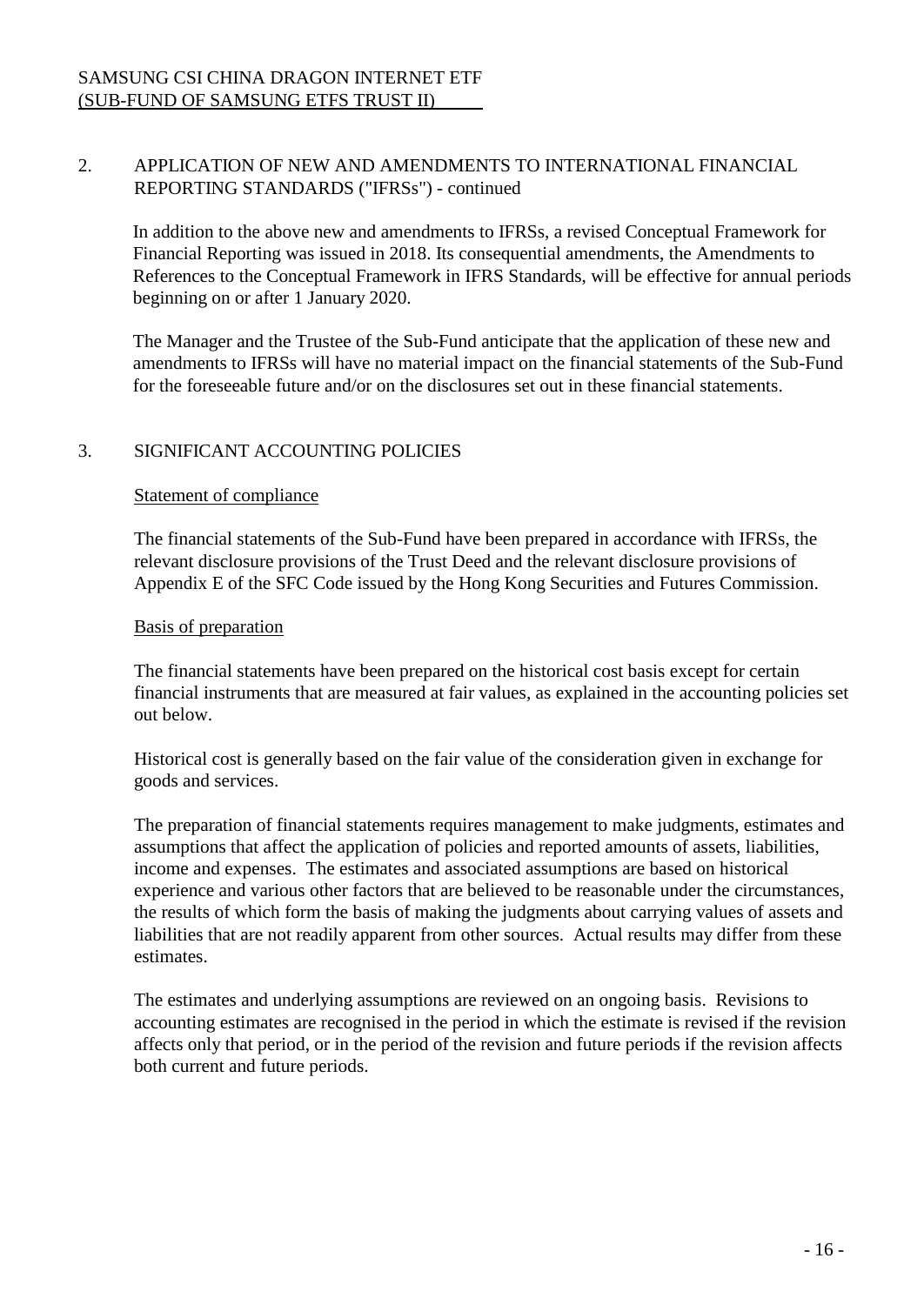# 2. APPLICATION OF NEW AND AMENDMENTS TO INTERNATIONAL FINANCIAL REPORTING STANDARDS ("IFRSs") - continued

In addition to the above new and amendments to IFRSs, a revised Conceptual Framework for Financial Reporting was issued in 2018. Its consequential amendments, the Amendments to References to the Conceptual Framework in IFRS Standards, will be effective for annual periods beginning on or after 1 January 2020.

The Manager and the Trustee of the Sub-Fund anticipate that the application of these new and amendments to IFRSs will have no material impact on the financial statements of the Sub-Fund for the foreseeable future and/or on the disclosures set out in these financial statements.

# 3. SIGNIFICANT ACCOUNTING POLICIES

## Statement of compliance

The financial statements of the Sub-Fund have been prepared in accordance with IFRSs, the relevant disclosure provisions of the Trust Deed and the relevant disclosure provisions of Appendix E of the SFC Code issued by the Hong Kong Securities and Futures Commission.

## Basis of preparation

The financial statements have been prepared on the historical cost basis except for certain financial instruments that are measured at fair values, as explained in the accounting policies set out below.

Historical cost is generally based on the fair value of the consideration given in exchange for goods and services.

The preparation of financial statements requires management to make judgments, estimates and assumptions that affect the application of policies and reported amounts of assets, liabilities, income and expenses. The estimates and associated assumptions are based on historical experience and various other factors that are believed to be reasonable under the circumstances, the results of which form the basis of making the judgments about carrying values of assets and liabilities that are not readily apparent from other sources. Actual results may differ from these estimates.

The estimates and underlying assumptions are reviewed on an ongoing basis. Revisions to accounting estimates are recognised in the period in which the estimate is revised if the revision affects only that period, or in the period of the revision and future periods if the revision affects both current and future periods.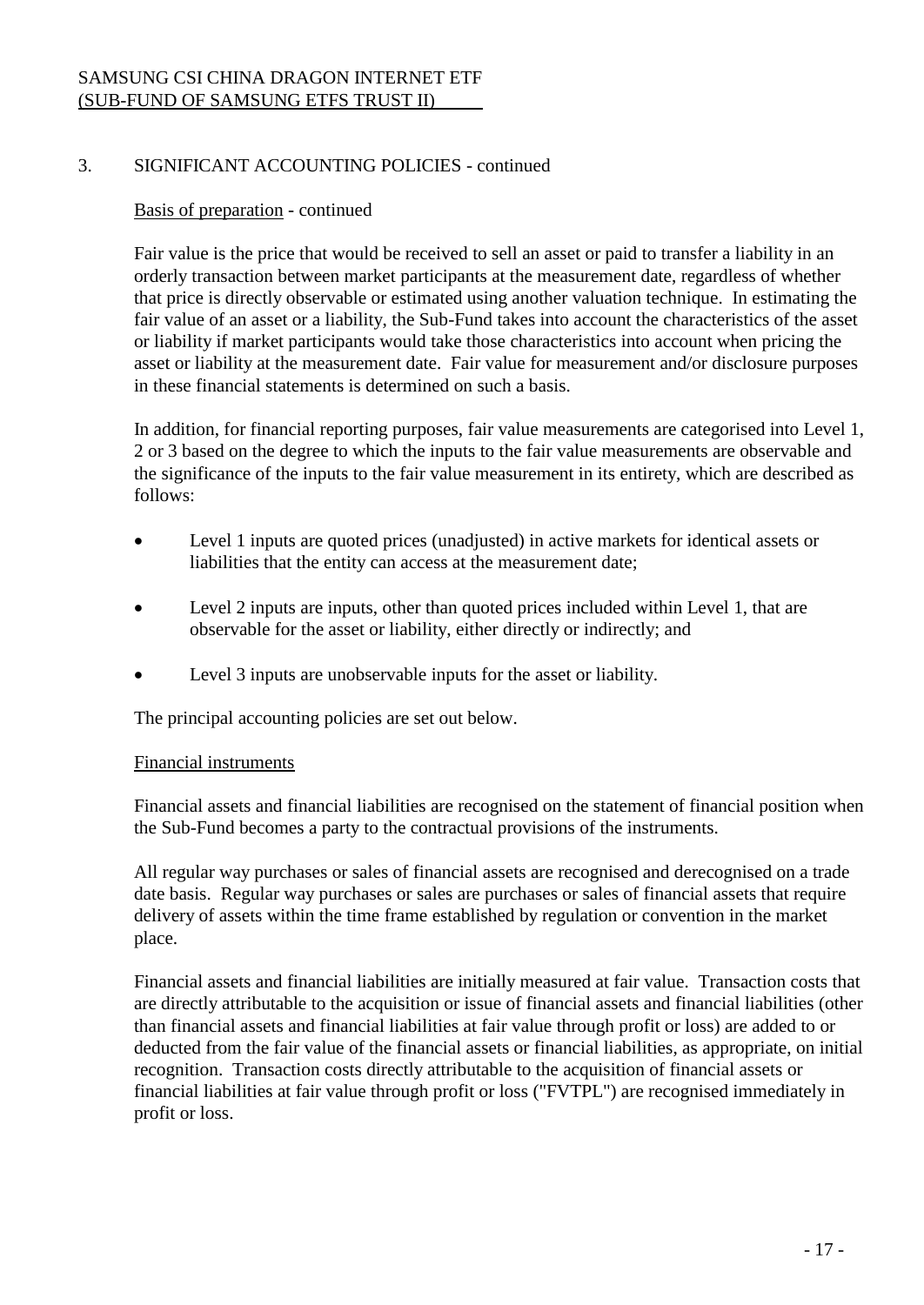# 3. SIGNIFICANT ACCOUNTING POLICIES - continued

### Basis of preparation - continued

Fair value is the price that would be received to sell an asset or paid to transfer a liability in an orderly transaction between market participants at the measurement date, regardless of whether that price is directly observable or estimated using another valuation technique. In estimating the fair value of an asset or a liability, the Sub-Fund takes into account the characteristics of the asset or liability if market participants would take those characteristics into account when pricing the asset or liability at the measurement date. Fair value for measurement and/or disclosure purposes in these financial statements is determined on such a basis.

In addition, for financial reporting purposes, fair value measurements are categorised into Level 1, 2 or 3 based on the degree to which the inputs to the fair value measurements are observable and the significance of the inputs to the fair value measurement in its entirety, which are described as follows:

- Level 1 inputs are quoted prices (unadjusted) in active markets for identical assets or liabilities that the entity can access at the measurement date;
- Level 2 inputs are inputs, other than quoted prices included within Level 1, that are observable for the asset or liability, either directly or indirectly; and
- Level 3 inputs are unobservable inputs for the asset or liability.

The principal accounting policies are set out below.

#### Financial instruments

Financial assets and financial liabilities are recognised on the statement of financial position when the Sub-Fund becomes a party to the contractual provisions of the instruments.

All regular way purchases or sales of financial assets are recognised and derecognised on a trade date basis. Regular way purchases or sales are purchases or sales of financial assets that require delivery of assets within the time frame established by regulation or convention in the market place.

Financial assets and financial liabilities are initially measured at fair value. Transaction costs that are directly attributable to the acquisition or issue of financial assets and financial liabilities (other than financial assets and financial liabilities at fair value through profit or loss) are added to or deducted from the fair value of the financial assets or financial liabilities, as appropriate, on initial recognition. Transaction costs directly attributable to the acquisition of financial assets or financial liabilities at fair value through profit or loss ("FVTPL") are recognised immediately in profit or loss.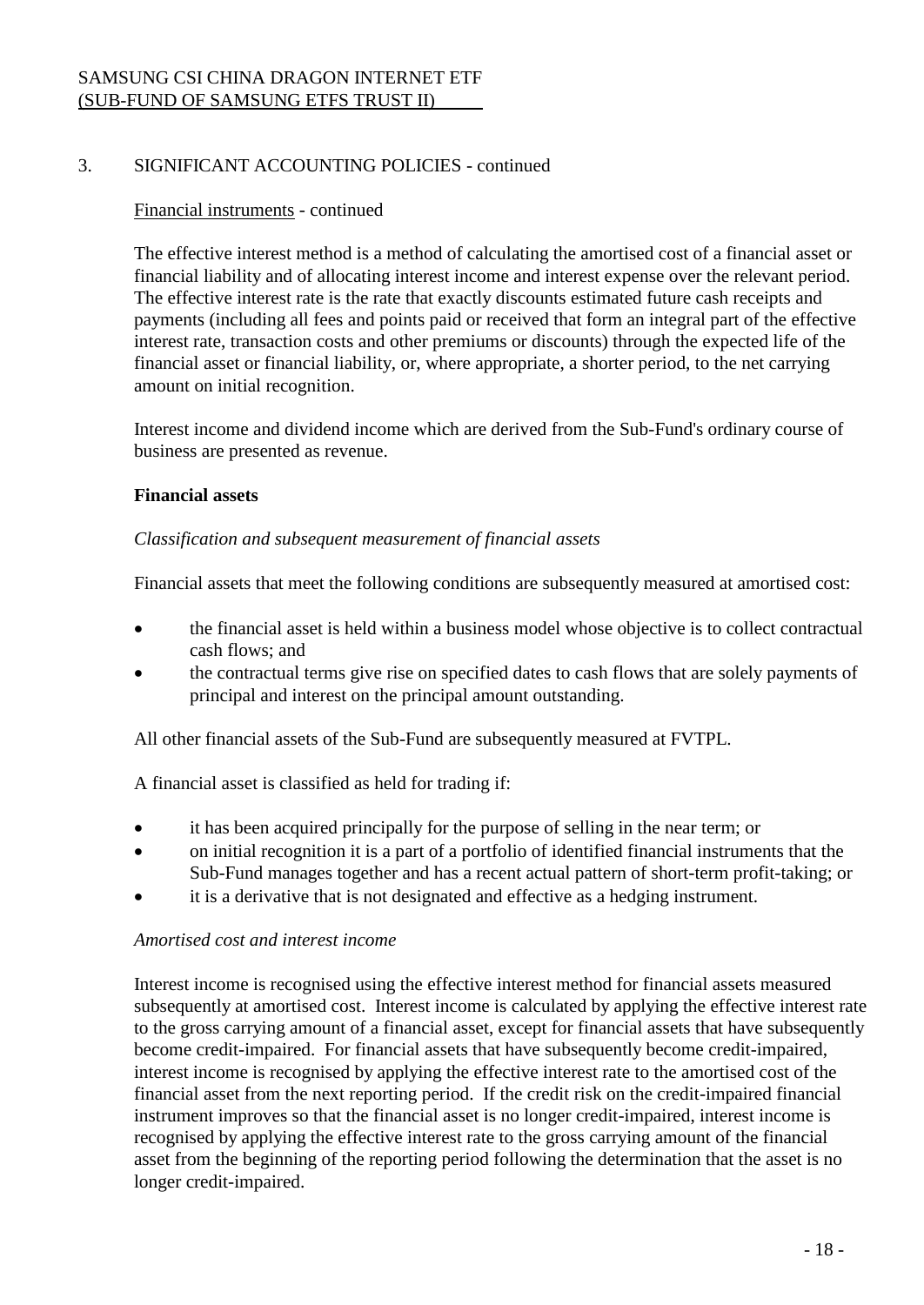# 3. SIGNIFICANT ACCOUNTING POLICIES - continued

### Financial instruments - continued

The effective interest method is a method of calculating the amortised cost of a financial asset or financial liability and of allocating interest income and interest expense over the relevant period. The effective interest rate is the rate that exactly discounts estimated future cash receipts and payments (including all fees and points paid or received that form an integral part of the effective interest rate, transaction costs and other premiums or discounts) through the expected life of the financial asset or financial liability, or, where appropriate, a shorter period, to the net carrying amount on initial recognition.

Interest income and dividend income which are derived from the Sub-Fund's ordinary course of business are presented as revenue.

#### **Financial assets**

### *Classification and subsequent measurement of financial assets*

Financial assets that meet the following conditions are subsequently measured at amortised cost:

- the financial asset is held within a business model whose objective is to collect contractual cash flows; and
- the contractual terms give rise on specified dates to cash flows that are solely payments of principal and interest on the principal amount outstanding.

All other financial assets of the Sub-Fund are subsequently measured at FVTPL.

A financial asset is classified as held for trading if:

- it has been acquired principally for the purpose of selling in the near term; or
- on initial recognition it is a part of a portfolio of identified financial instruments that the Sub-Fund manages together and has a recent actual pattern of short-term profit-taking; or
- it is a derivative that is not designated and effective as a hedging instrument.

#### *Amortised cost and interest income*

Interest income is recognised using the effective interest method for financial assets measured subsequently at amortised cost. Interest income is calculated by applying the effective interest rate to the gross carrying amount of a financial asset, except for financial assets that have subsequently become credit-impaired. For financial assets that have subsequently become credit-impaired, interest income is recognised by applying the effective interest rate to the amortised cost of the financial asset from the next reporting period. If the credit risk on the credit-impaired financial instrument improves so that the financial asset is no longer credit-impaired, interest income is recognised by applying the effective interest rate to the gross carrying amount of the financial asset from the beginning of the reporting period following the determination that the asset is no longer credit-impaired.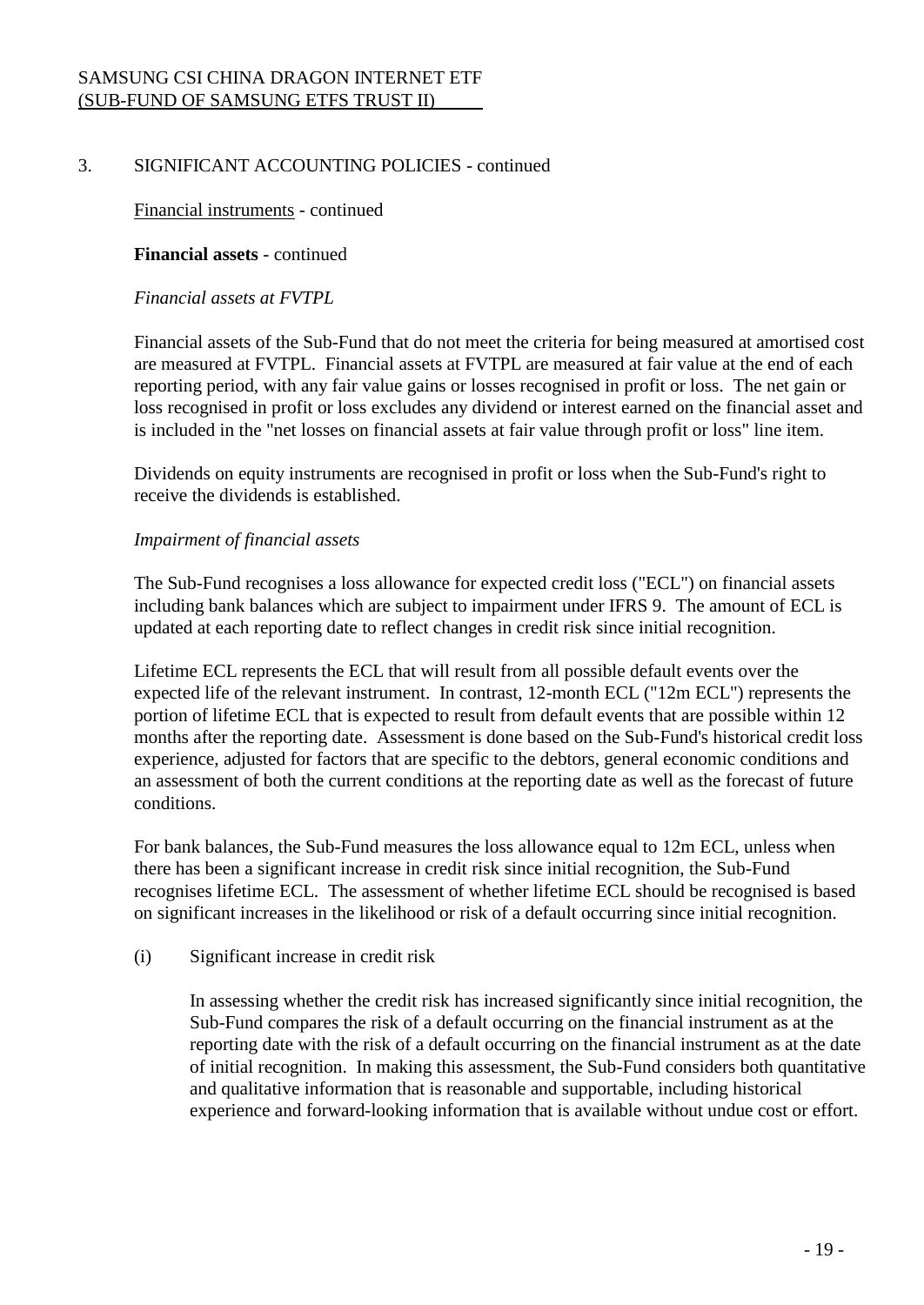# 3. SIGNIFICANT ACCOUNTING POLICIES - continued

Financial instruments - continued

**Financial assets** - continued

#### *Financial assets at FVTPL*

Financial assets of the Sub-Fund that do not meet the criteria for being measured at amortised cost are measured at FVTPL. Financial assets at FVTPL are measured at fair value at the end of each reporting period, with any fair value gains or losses recognised in profit or loss. The net gain or loss recognised in profit or loss excludes any dividend or interest earned on the financial asset and is included in the "net losses on financial assets at fair value through profit or loss" line item.

Dividends on equity instruments are recognised in profit or loss when the Sub-Fund's right to receive the dividends is established.

### *Impairment of financial assets*

The Sub-Fund recognises a loss allowance for expected credit loss ("ECL") on financial assets including bank balances which are subject to impairment under IFRS 9. The amount of ECL is updated at each reporting date to reflect changes in credit risk since initial recognition.

Lifetime ECL represents the ECL that will result from all possible default events over the expected life of the relevant instrument. In contrast, 12-month ECL ("12m ECL") represents the portion of lifetime ECL that is expected to result from default events that are possible within 12 months after the reporting date. Assessment is done based on the Sub-Fund's historical credit loss experience, adjusted for factors that are specific to the debtors, general economic conditions and an assessment of both the current conditions at the reporting date as well as the forecast of future conditions.

For bank balances, the Sub-Fund measures the loss allowance equal to 12m ECL, unless when there has been a significant increase in credit risk since initial recognition, the Sub-Fund recognises lifetime ECL. The assessment of whether lifetime ECL should be recognised is based on significant increases in the likelihood or risk of a default occurring since initial recognition.

### (i) Significant increase in credit risk

In assessing whether the credit risk has increased significantly since initial recognition, the Sub-Fund compares the risk of a default occurring on the financial instrument as at the reporting date with the risk of a default occurring on the financial instrument as at the date of initial recognition. In making this assessment, the Sub-Fund considers both quantitative and qualitative information that is reasonable and supportable, including historical experience and forward-looking information that is available without undue cost or effort.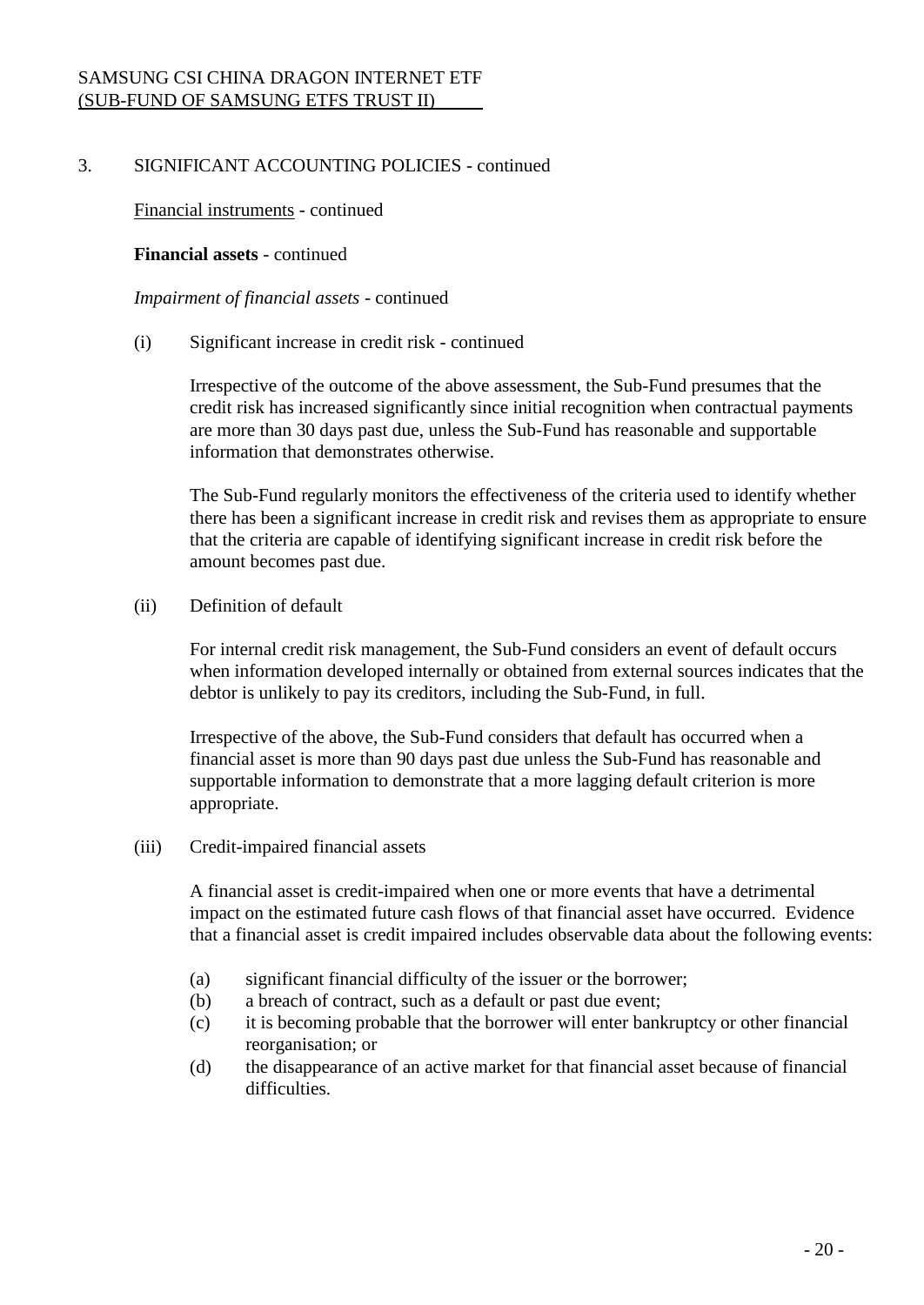# 3. SIGNIFICANT ACCOUNTING POLICIES - continued

Financial instruments - continued

#### **Financial assets** - continued

*Impairment of financial assets* - continued

(i) Significant increase in credit risk - continued

Irrespective of the outcome of the above assessment, the Sub-Fund presumes that the credit risk has increased significantly since initial recognition when contractual payments are more than 30 days past due, unless the Sub-Fund has reasonable and supportable information that demonstrates otherwise.

The Sub-Fund regularly monitors the effectiveness of the criteria used to identify whether there has been a significant increase in credit risk and revises them as appropriate to ensure that the criteria are capable of identifying significant increase in credit risk before the amount becomes past due.

(ii) Definition of default

For internal credit risk management, the Sub-Fund considers an event of default occurs when information developed internally or obtained from external sources indicates that the debtor is unlikely to pay its creditors, including the Sub-Fund, in full.

Irrespective of the above, the Sub-Fund considers that default has occurred when a financial asset is more than 90 days past due unless the Sub-Fund has reasonable and supportable information to demonstrate that a more lagging default criterion is more appropriate.

(iii) Credit-impaired financial assets

A financial asset is credit-impaired when one or more events that have a detrimental impact on the estimated future cash flows of that financial asset have occurred. Evidence that a financial asset is credit impaired includes observable data about the following events:

- (a) significant financial difficulty of the issuer or the borrower;
- (b) a breach of contract, such as a default or past due event;
- (c) it is becoming probable that the borrower will enter bankruptcy or other financial reorganisation; or
- (d) the disappearance of an active market for that financial asset because of financial difficulties.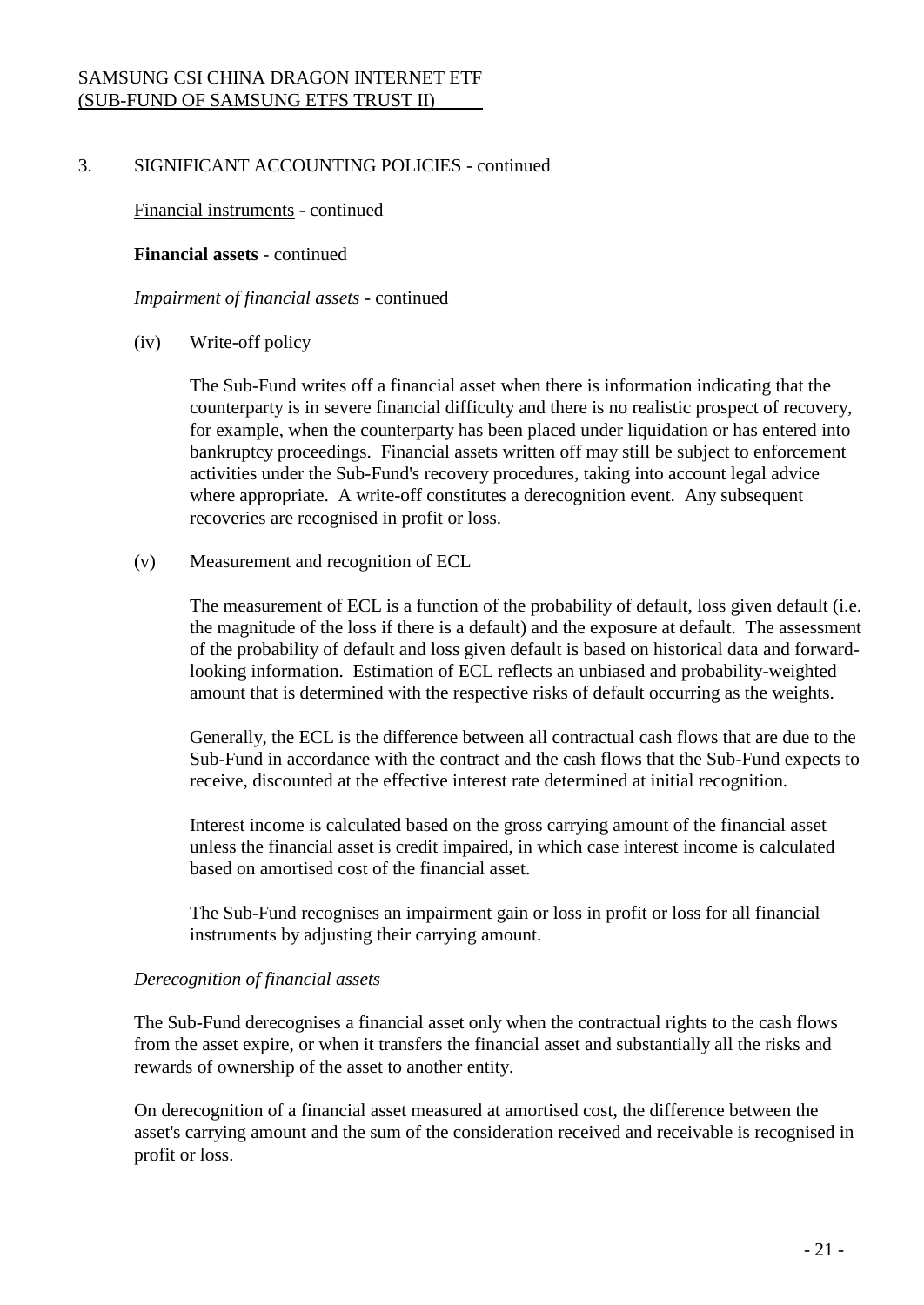# 3. SIGNIFICANT ACCOUNTING POLICIES - continued

Financial instruments - continued

#### **Financial assets** - continued

*Impairment of financial assets* - continued

#### (iv) Write-off policy

The Sub-Fund writes off a financial asset when there is information indicating that the counterparty is in severe financial difficulty and there is no realistic prospect of recovery, for example, when the counterparty has been placed under liquidation or has entered into bankruptcy proceedings. Financial assets written off may still be subject to enforcement activities under the Sub-Fund's recovery procedures, taking into account legal advice where appropriate. A write-off constitutes a derecognition event. Any subsequent recoveries are recognised in profit or loss.

### (v) Measurement and recognition of ECL

The measurement of ECL is a function of the probability of default, loss given default (i.e. the magnitude of the loss if there is a default) and the exposure at default. The assessment of the probability of default and loss given default is based on historical data and forwardlooking information. Estimation of ECL reflects an unbiased and probability-weighted amount that is determined with the respective risks of default occurring as the weights.

Generally, the ECL is the difference between all contractual cash flows that are due to the Sub-Fund in accordance with the contract and the cash flows that the Sub-Fund expects to receive, discounted at the effective interest rate determined at initial recognition.

Interest income is calculated based on the gross carrying amount of the financial asset unless the financial asset is credit impaired, in which case interest income is calculated based on amortised cost of the financial asset.

The Sub-Fund recognises an impairment gain or loss in profit or loss for all financial instruments by adjusting their carrying amount.

### *Derecognition of financial assets*

The Sub-Fund derecognises a financial asset only when the contractual rights to the cash flows from the asset expire, or when it transfers the financial asset and substantially all the risks and rewards of ownership of the asset to another entity.

On derecognition of a financial asset measured at amortised cost, the difference between the asset's carrying amount and the sum of the consideration received and receivable is recognised in profit or loss.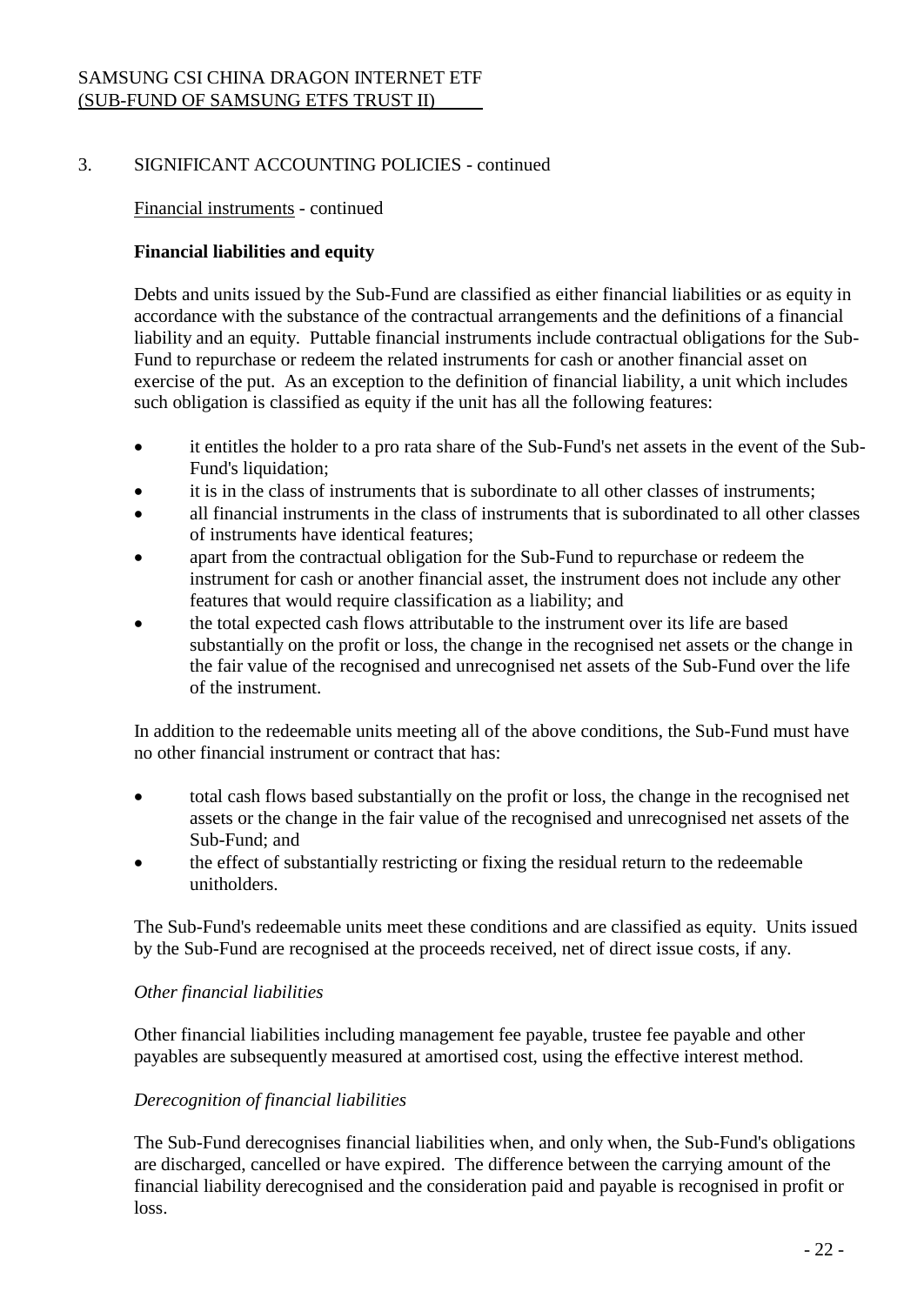# 3. SIGNIFICANT ACCOUNTING POLICIES - continued

# Financial instruments - continued

# **Financial liabilities and equity**

Debts and units issued by the Sub-Fund are classified as either financial liabilities or as equity in accordance with the substance of the contractual arrangements and the definitions of a financial liability and an equity. Puttable financial instruments include contractual obligations for the Sub-Fund to repurchase or redeem the related instruments for cash or another financial asset on exercise of the put. As an exception to the definition of financial liability, a unit which includes such obligation is classified as equity if the unit has all the following features:

- it entitles the holder to a pro rata share of the Sub-Fund's net assets in the event of the Sub-Fund's liquidation;
- it is in the class of instruments that is subordinate to all other classes of instruments;
- all financial instruments in the class of instruments that is subordinated to all other classes of instruments have identical features;
- apart from the contractual obligation for the Sub-Fund to repurchase or redeem the instrument for cash or another financial asset, the instrument does not include any other features that would require classification as a liability; and
- the total expected cash flows attributable to the instrument over its life are based substantially on the profit or loss, the change in the recognised net assets or the change in the fair value of the recognised and unrecognised net assets of the Sub-Fund over the life of the instrument.

In addition to the redeemable units meeting all of the above conditions, the Sub-Fund must have no other financial instrument or contract that has:

- total cash flows based substantially on the profit or loss, the change in the recognised net assets or the change in the fair value of the recognised and unrecognised net assets of the Sub-Fund; and
- the effect of substantially restricting or fixing the residual return to the redeemable unitholders.

The Sub-Fund's redeemable units meet these conditions and are classified as equity. Units issued by the Sub-Fund are recognised at the proceeds received, net of direct issue costs, if any.

# *Other financial liabilities*

Other financial liabilities including management fee payable, trustee fee payable and other payables are subsequently measured at amortised cost, using the effective interest method.

# *Derecognition of financial liabilities*

The Sub-Fund derecognises financial liabilities when, and only when, the Sub-Fund's obligations are discharged, cancelled or have expired. The difference between the carrying amount of the financial liability derecognised and the consideration paid and payable is recognised in profit or loss.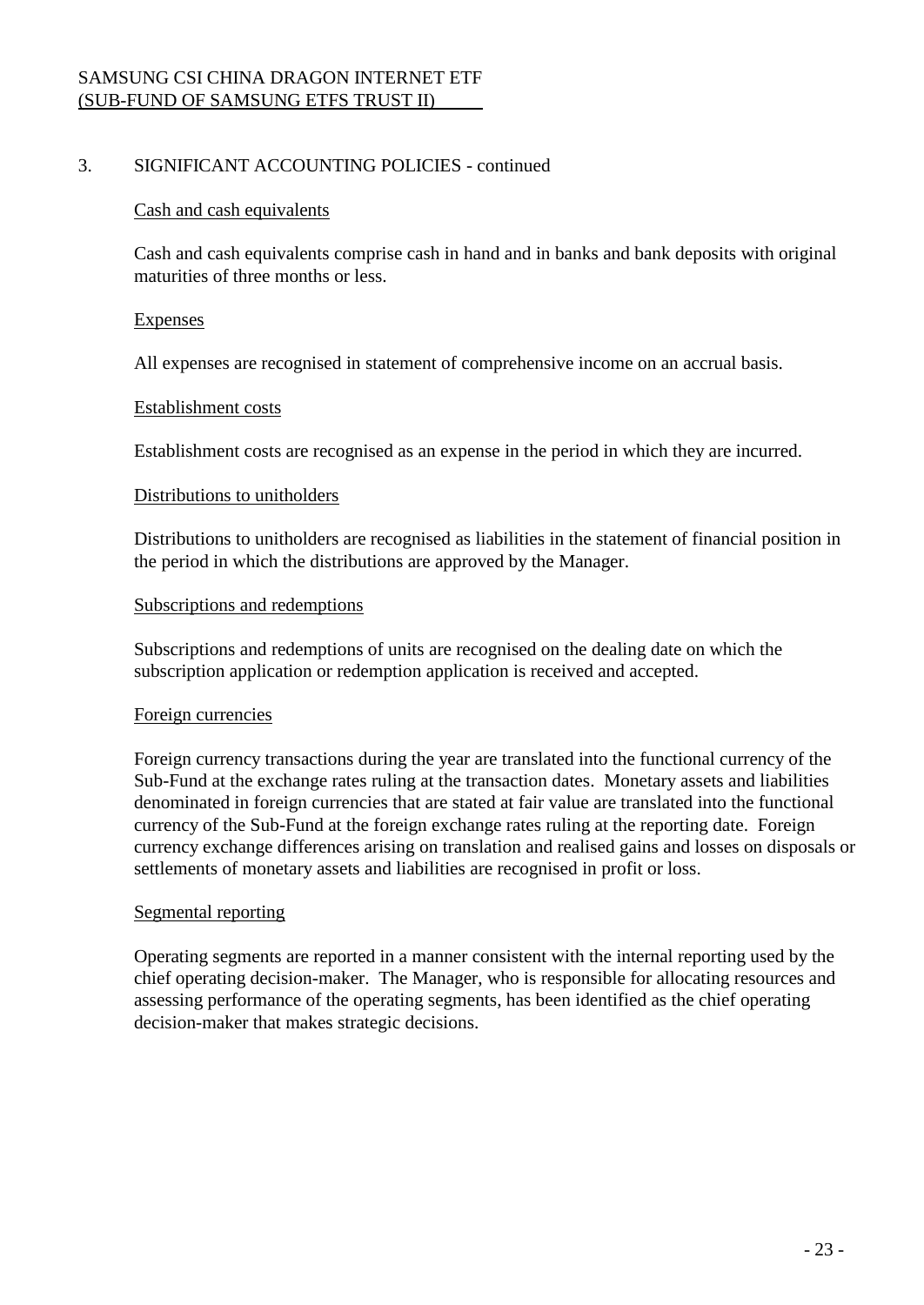## 3. SIGNIFICANT ACCOUNTING POLICIES - continued

#### Cash and cash equivalents

Cash and cash equivalents comprise cash in hand and in banks and bank deposits with original maturities of three months or less.

#### Expenses

All expenses are recognised in statement of comprehensive income on an accrual basis.

### Establishment costs

Establishment costs are recognised as an expense in the period in which they are incurred.

#### Distributions to unitholders

Distributions to unitholders are recognised as liabilities in the statement of financial position in the period in which the distributions are approved by the Manager.

#### Subscriptions and redemptions

Subscriptions and redemptions of units are recognised on the dealing date on which the subscription application or redemption application is received and accepted.

### Foreign currencies

Foreign currency transactions during the year are translated into the functional currency of the Sub-Fund at the exchange rates ruling at the transaction dates. Monetary assets and liabilities denominated in foreign currencies that are stated at fair value are translated into the functional currency of the Sub-Fund at the foreign exchange rates ruling at the reporting date. Foreign currency exchange differences arising on translation and realised gains and losses on disposals or settlements of monetary assets and liabilities are recognised in profit or loss.

### Segmental reporting

Operating segments are reported in a manner consistent with the internal reporting used by the chief operating decision-maker. The Manager, who is responsible for allocating resources and assessing performance of the operating segments, has been identified as the chief operating decision-maker that makes strategic decisions.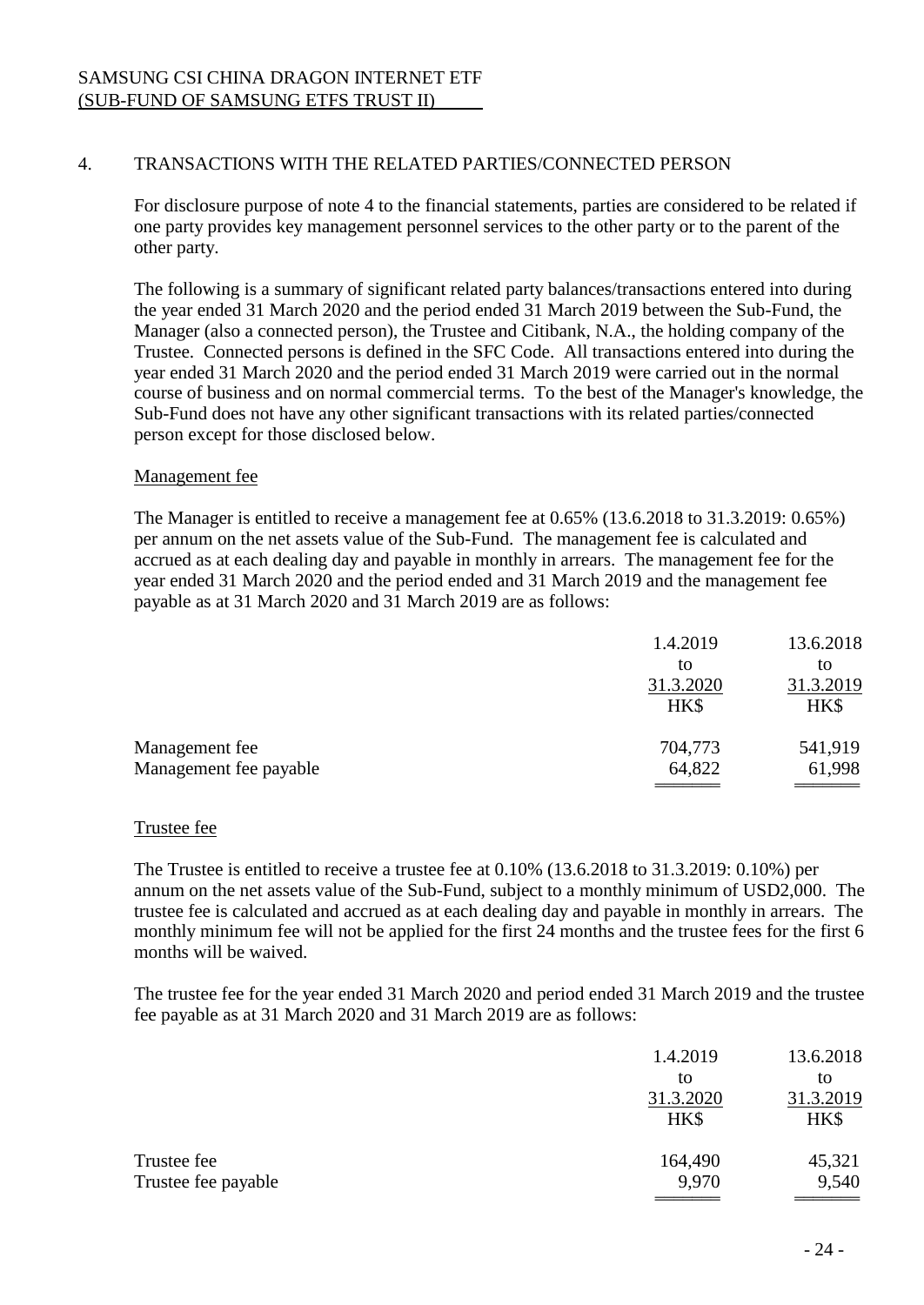## 4. TRANSACTIONS WITH THE RELATED PARTIES/CONNECTED PERSON

For disclosure purpose of note 4 to the financial statements, parties are considered to be related if one party provides key management personnel services to the other party or to the parent of the other party.

The following is a summary of significant related party balances/transactions entered into during the year ended 31 March 2020 and the period ended 31 March 2019 between the Sub-Fund, the Manager (also a connected person), the Trustee and Citibank, N.A., the holding company of the Trustee. Connected persons is defined in the SFC Code. All transactions entered into during the year ended 31 March 2020 and the period ended 31 March 2019 were carried out in the normal course of business and on normal commercial terms. To the best of the Manager's knowledge, the Sub-Fund does not have any other significant transactions with its related parties/connected person except for those disclosed below.

### Management fee

The Manager is entitled to receive a management fee at 0.65% (13.6.2018 to 31.3.2019: 0.65%) per annum on the net assets value of the Sub-Fund. The management fee is calculated and accrued as at each dealing day and payable in monthly in arrears. The management fee for the year ended 31 March 2020 and the period ended and 31 March 2019 and the management fee payable as at 31 March 2020 and 31 March 2019 are as follows:

|                        | 1.4.2019  | 13.6.2018 |
|------------------------|-----------|-----------|
|                        | to        | to        |
|                        | 31.3.2020 | 31.3.2019 |
|                        | HK\$      | HK\$      |
| Management fee         | 704,773   | 541,919   |
| Management fee payable | 64,822    | 61,998    |
|                        |           |           |

### Trustee fee

The Trustee is entitled to receive a trustee fee at 0.10% (13.6.2018 to 31.3.2019: 0.10%) per annum on the net assets value of the Sub-Fund, subject to a monthly minimum of USD2,000. The trustee fee is calculated and accrued as at each dealing day and payable in monthly in arrears. The monthly minimum fee will not be applied for the first 24 months and the trustee fees for the first 6 months will be waived.

The trustee fee for the year ended 31 March 2020 and period ended 31 March 2019 and the trustee fee payable as at 31 March 2020 and 31 March 2019 are as follows:

|                     | 1.4.2019  | 13.6.2018 |
|---------------------|-----------|-----------|
|                     | to        | to        |
|                     | 31.3.2020 | 31.3.2019 |
|                     | HK\$      | HK\$      |
| Trustee fee         | 164,490   | 45,321    |
| Trustee fee payable | 9,970     | 9,540     |
|                     |           |           |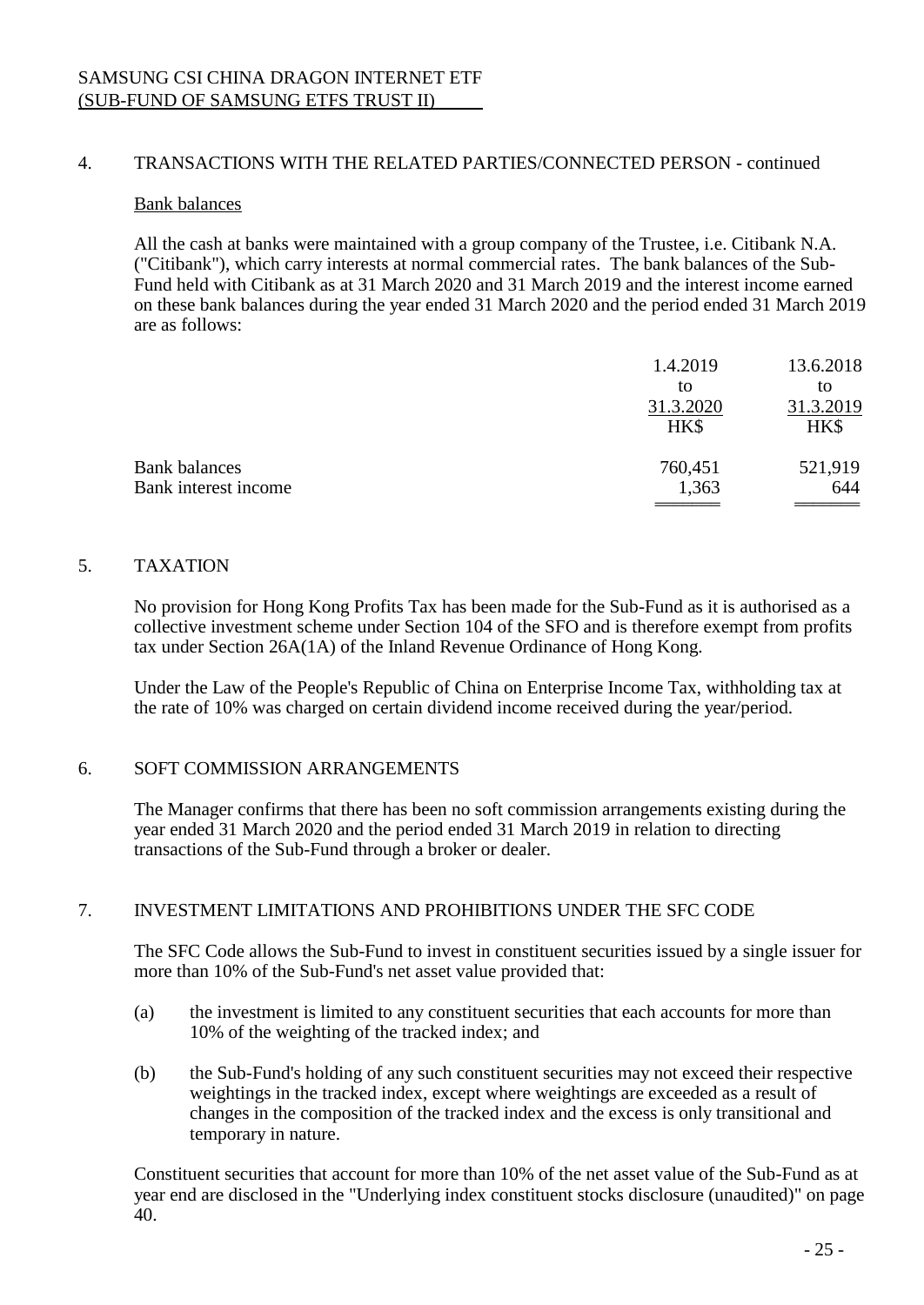## 4. TRANSACTIONS WITH THE RELATED PARTIES/CONNECTED PERSON - continued

#### Bank balances

All the cash at banks were maintained with a group company of the Trustee, i.e. Citibank N.A. ("Citibank"), which carry interests at normal commercial rates. The bank balances of the Sub-Fund held with Citibank as at 31 March 2020 and 31 March 2019 and the interest income earned on these bank balances during the year ended 31 March 2020 and the period ended 31 March 2019 are as follows:

|                      | 1.4.2019  | 13.6.2018 |
|----------------------|-----------|-----------|
|                      | to        | to        |
|                      | 31.3.2020 | 31.3.2019 |
|                      | HK\$      | HK\$      |
| <b>Bank balances</b> | 760,451   | 521,919   |
| Bank interest income | 1,363     | 644       |
|                      |           |           |

### 5. TAXATION

No provision for Hong Kong Profits Tax has been made for the Sub-Fund as it is authorised as a collective investment scheme under Section 104 of the SFO and is therefore exempt from profits tax under Section 26A(1A) of the Inland Revenue Ordinance of Hong Kong.

Under the Law of the People's Republic of China on Enterprise Income Tax, withholding tax at the rate of 10% was charged on certain dividend income received during the year/period.

### 6. SOFT COMMISSION ARRANGEMENTS

The Manager confirms that there has been no soft commission arrangements existing during the year ended 31 March 2020 and the period ended 31 March 2019 in relation to directing transactions of the Sub-Fund through a broker or dealer.

### 7. INVESTMENT LIMITATIONS AND PROHIBITIONS UNDER THE SFC CODE

The SFC Code allows the Sub-Fund to invest in constituent securities issued by a single issuer for more than 10% of the Sub-Fund's net asset value provided that:

- (a) the investment is limited to any constituent securities that each accounts for more than 10% of the weighting of the tracked index; and
- (b) the Sub-Fund's holding of any such constituent securities may not exceed their respective weightings in the tracked index, except where weightings are exceeded as a result of changes in the composition of the tracked index and the excess is only transitional and temporary in nature.

Constituent securities that account for more than 10% of the net asset value of the Sub-Fund as at year end are disclosed in the "Underlying index constituent stocks disclosure (unaudited)" on page 40.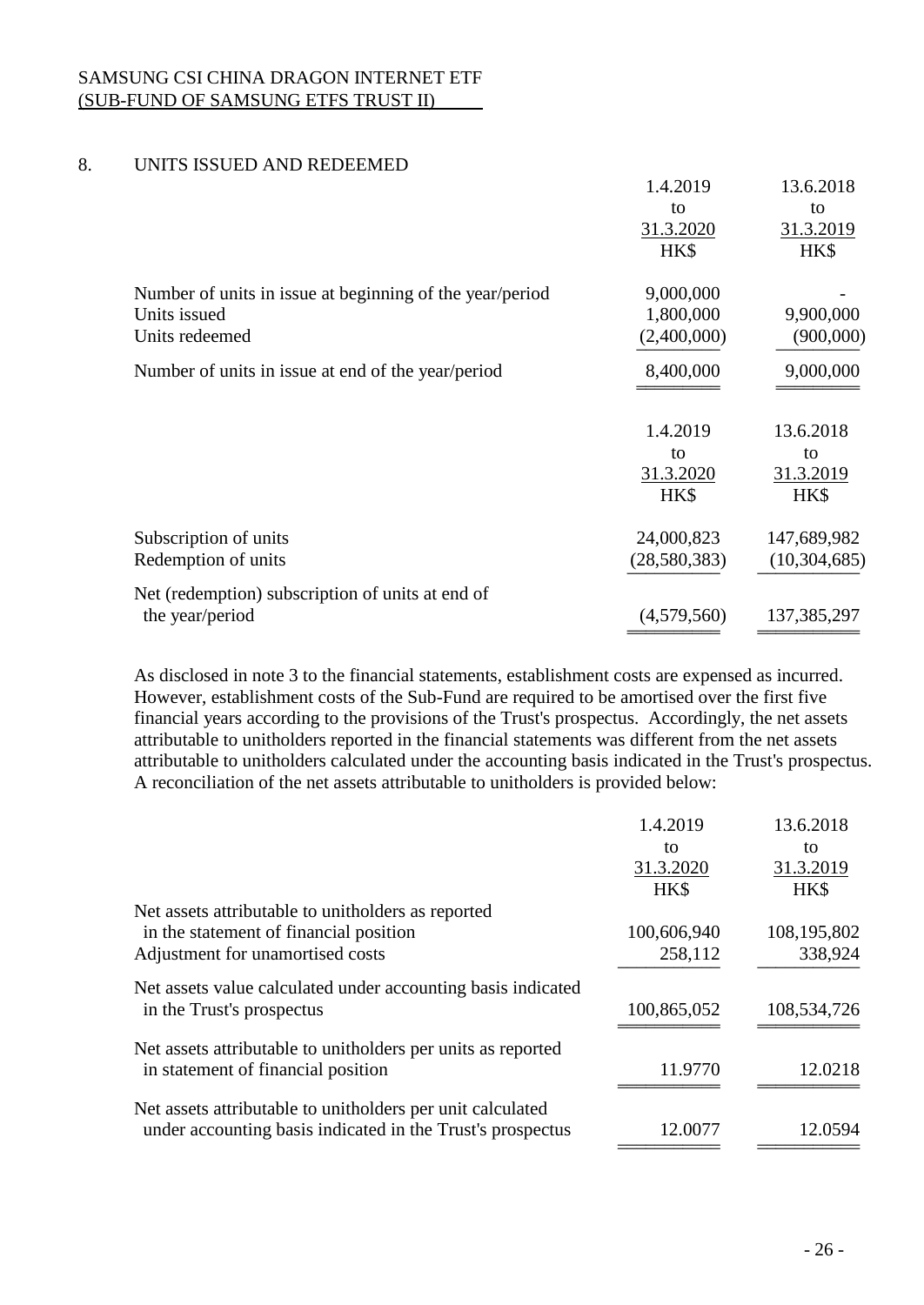# 8. UNITS ISSUED AND REDEEMED

|                                                          | 1.4.2019          | 13.6.2018         |
|----------------------------------------------------------|-------------------|-------------------|
|                                                          | to                | to                |
|                                                          | 31.3.2020         | 31.3.2019         |
|                                                          | HK\$              | HK\$              |
| Number of units in issue at beginning of the year/period | 9,000,000         |                   |
| Units issued                                             | 1,800,000         | 9,900,000         |
| Units redeemed                                           | (2,400,000)       | (900,000)         |
| Number of units in issue at end of the year/period       | 8,400,000         | 9,000,000         |
|                                                          |                   |                   |
|                                                          | 1.4.2019          | 13.6.2018         |
|                                                          | to                | to                |
|                                                          | 31.3.2020<br>HK\$ | 31.3.2019<br>HK\$ |
| Subscription of units                                    | 24,000,823        | 147,689,982       |
| Redemption of units                                      | (28, 580, 383)    | (10, 304, 685)    |
| Net (redemption) subscription of units at end of         |                   |                   |
| the year/period                                          | (4,579,560)       | 137,385,297       |

As disclosed in note 3 to the financial statements, establishment costs are expensed as incurred. However, establishment costs of the Sub-Fund are required to be amortised over the first five financial years according to the provisions of the Trust's prospectus. Accordingly, the net assets attributable to unitholders reported in the financial statements was different from the net assets attributable to unitholders calculated under the accounting basis indicated in the Trust's prospectus. A reconciliation of the net assets attributable to unitholders is provided below:

|                                                              | 1.4.2019    | 13.6.2018   |
|--------------------------------------------------------------|-------------|-------------|
|                                                              | to          | to          |
|                                                              | 31.3.2020   | 31.3.2019   |
|                                                              | HK\$        | HK\$        |
| Net assets attributable to unitholders as reported           |             |             |
| in the statement of financial position                       | 100,606,940 | 108,195,802 |
| Adjustment for unamortised costs                             | 258,112     | 338,924     |
| Net assets value calculated under accounting basis indicated |             |             |
| in the Trust's prospectus                                    | 100,865,052 | 108,534,726 |
| Net assets attributable to unitholders per units as reported |             |             |
| in statement of financial position                           | 11.9770     | 12.0218     |
| Net assets attributable to unitholders per unit calculated   |             |             |
| under accounting basis indicated in the Trust's prospectus   | 12.0077     | 12.0594     |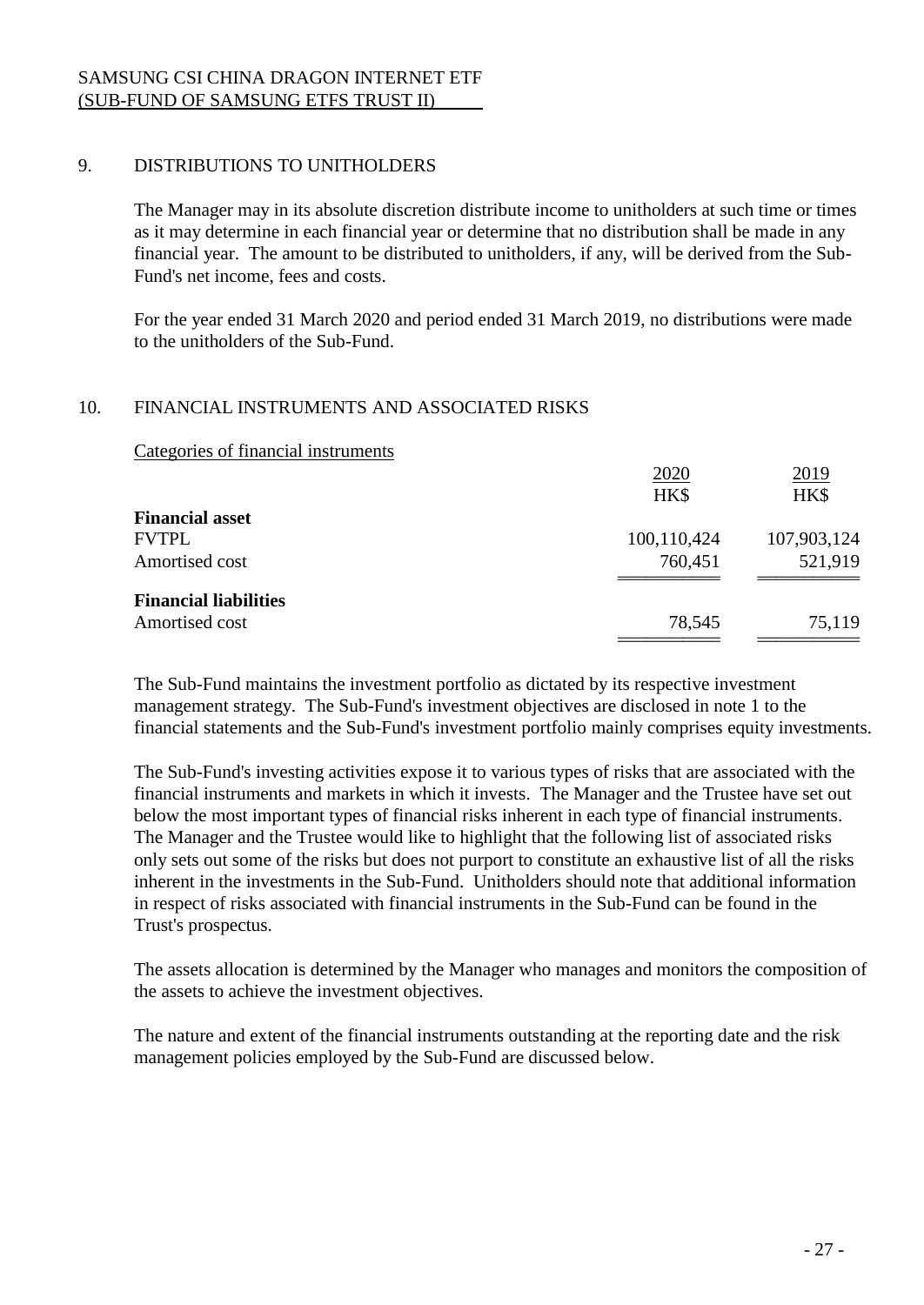# 9. DISTRIBUTIONS TO UNITHOLDERS

The Manager may in its absolute discretion distribute income to unitholders at such time or times as it may determine in each financial year or determine that no distribution shall be made in any financial year. The amount to be distributed to unitholders, if any, will be derived from the Sub-Fund's net income, fees and costs.

For the year ended 31 March 2020 and period ended 31 March 2019, no distributions were made to the unitholders of the Sub-Fund.

## 10. FINANCIAL INSTRUMENTS AND ASSOCIATED RISKS

Categories of financial instruments

|                              | 2020        | 2019        |
|------------------------------|-------------|-------------|
|                              | HK\$        | HK\$        |
| <b>Financial asset</b>       |             |             |
| <b>FVTPL</b>                 | 100,110,424 | 107,903,124 |
| Amortised cost               | 760,451     | 521,919     |
| <b>Financial liabilities</b> |             |             |
|                              |             |             |
| Amortised cost               | 78,545      | 75,119      |
|                              |             |             |

The Sub-Fund maintains the investment portfolio as dictated by its respective investment management strategy. The Sub-Fund's investment objectives are disclosed in note 1 to the financial statements and the Sub-Fund's investment portfolio mainly comprises equity investments.

The Sub-Fund's investing activities expose it to various types of risks that are associated with the financial instruments and markets in which it invests. The Manager and the Trustee have set out below the most important types of financial risks inherent in each type of financial instruments. The Manager and the Trustee would like to highlight that the following list of associated risks only sets out some of the risks but does not purport to constitute an exhaustive list of all the risks inherent in the investments in the Sub-Fund. Unitholders should note that additional information in respect of risks associated with financial instruments in the Sub-Fund can be found in the Trust's prospectus.

The assets allocation is determined by the Manager who manages and monitors the composition of the assets to achieve the investment objectives.

The nature and extent of the financial instruments outstanding at the reporting date and the risk management policies employed by the Sub-Fund are discussed below.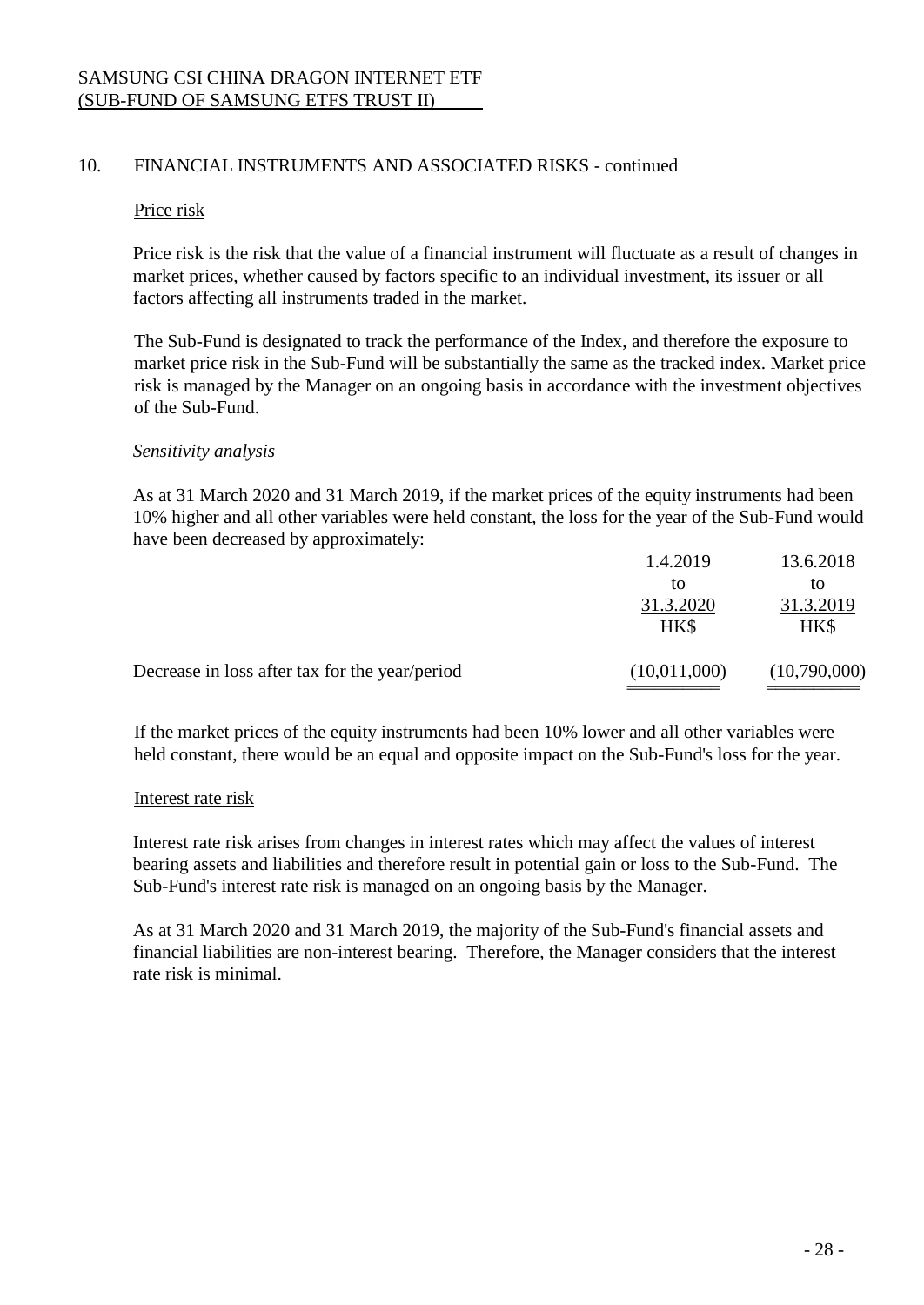#### Price risk

Price risk is the risk that the value of a financial instrument will fluctuate as a result of changes in market prices, whether caused by factors specific to an individual investment, its issuer or all factors affecting all instruments traded in the market.

The Sub-Fund is designated to track the performance of the Index, and therefore the exposure to market price risk in the Sub-Fund will be substantially the same as the tracked index. Market price risk is managed by the Manager on an ongoing basis in accordance with the investment objectives of the Sub-Fund.

## *Sensitivity analysis*

As at 31 March 2020 and 31 March 2019, if the market prices of the equity instruments had been 10% higher and all other variables were held constant, the loss for the year of the Sub-Fund would have been decreased by approximately:

| Decrease in loss after tax for the year/period | (10,011,000)      | (10,790,000)      |
|------------------------------------------------|-------------------|-------------------|
|                                                | 31.3.2020<br>HK\$ | 31.3.2019<br>HK\$ |
|                                                | tΟ                | to                |
|                                                | 1.4.2019          | 13.6.2018         |

If the market prices of the equity instruments had been 10% lower and all other variables were held constant, there would be an equal and opposite impact on the Sub-Fund's loss for the year.

### Interest rate risk

Interest rate risk arises from changes in interest rates which may affect the values of interest bearing assets and liabilities and therefore result in potential gain or loss to the Sub-Fund. The Sub-Fund's interest rate risk is managed on an ongoing basis by the Manager.

As at 31 March 2020 and 31 March 2019, the majority of the Sub-Fund's financial assets and financial liabilities are non-interest bearing. Therefore, the Manager considers that the interest rate risk is minimal.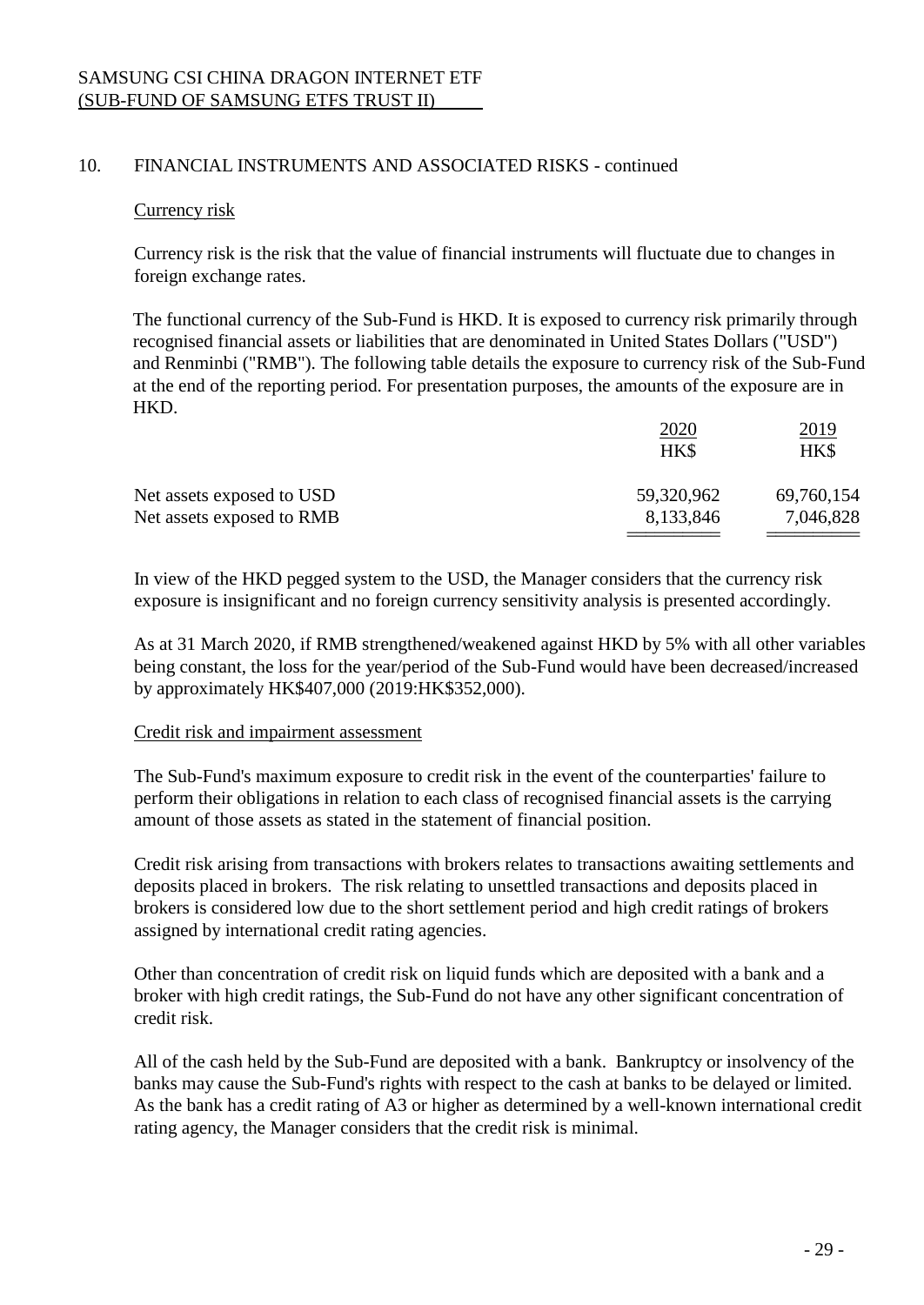### Currency risk

Currency risk is the risk that the value of financial instruments will fluctuate due to changes in foreign exchange rates.

The functional currency of the Sub-Fund is HKD. It is exposed to currency risk primarily through recognised financial assets or liabilities that are denominated in United States Dollars ("USD") and Renminbi ("RMB"). The following table details the exposure to currency risk of the Sub-Fund at the end of the reporting period. For presentation purposes, the amounts of the exposure are in HKD.

| 59,320,962<br>69,760,154 |           |
|--------------------------|-----------|
| 8,133,846                |           |
|                          | 7,046,828 |

In view of the HKD pegged system to the USD, the Manager considers that the currency risk exposure is insignificant and no foreign currency sensitivity analysis is presented accordingly.

As at 31 March 2020, if RMB strengthened/weakened against HKD by 5% with all other variables being constant, the loss for the year/period of the Sub-Fund would have been decreased/increased by approximately HK\$407,000 (2019:HK\$352,000).

### Credit risk and impairment assessment

The Sub-Fund's maximum exposure to credit risk in the event of the counterparties' failure to perform their obligations in relation to each class of recognised financial assets is the carrying amount of those assets as stated in the statement of financial position.

Credit risk arising from transactions with brokers relates to transactions awaiting settlements and deposits placed in brokers. The risk relating to unsettled transactions and deposits placed in brokers is considered low due to the short settlement period and high credit ratings of brokers assigned by international credit rating agencies.

Other than concentration of credit risk on liquid funds which are deposited with a bank and a broker with high credit ratings, the Sub-Fund do not have any other significant concentration of credit risk.

All of the cash held by the Sub-Fund are deposited with a bank. Bankruptcy or insolvency of the banks may cause the Sub-Fund's rights with respect to the cash at banks to be delayed or limited. As the bank has a credit rating of A3 or higher as determined by a well-known international credit rating agency, the Manager considers that the credit risk is minimal.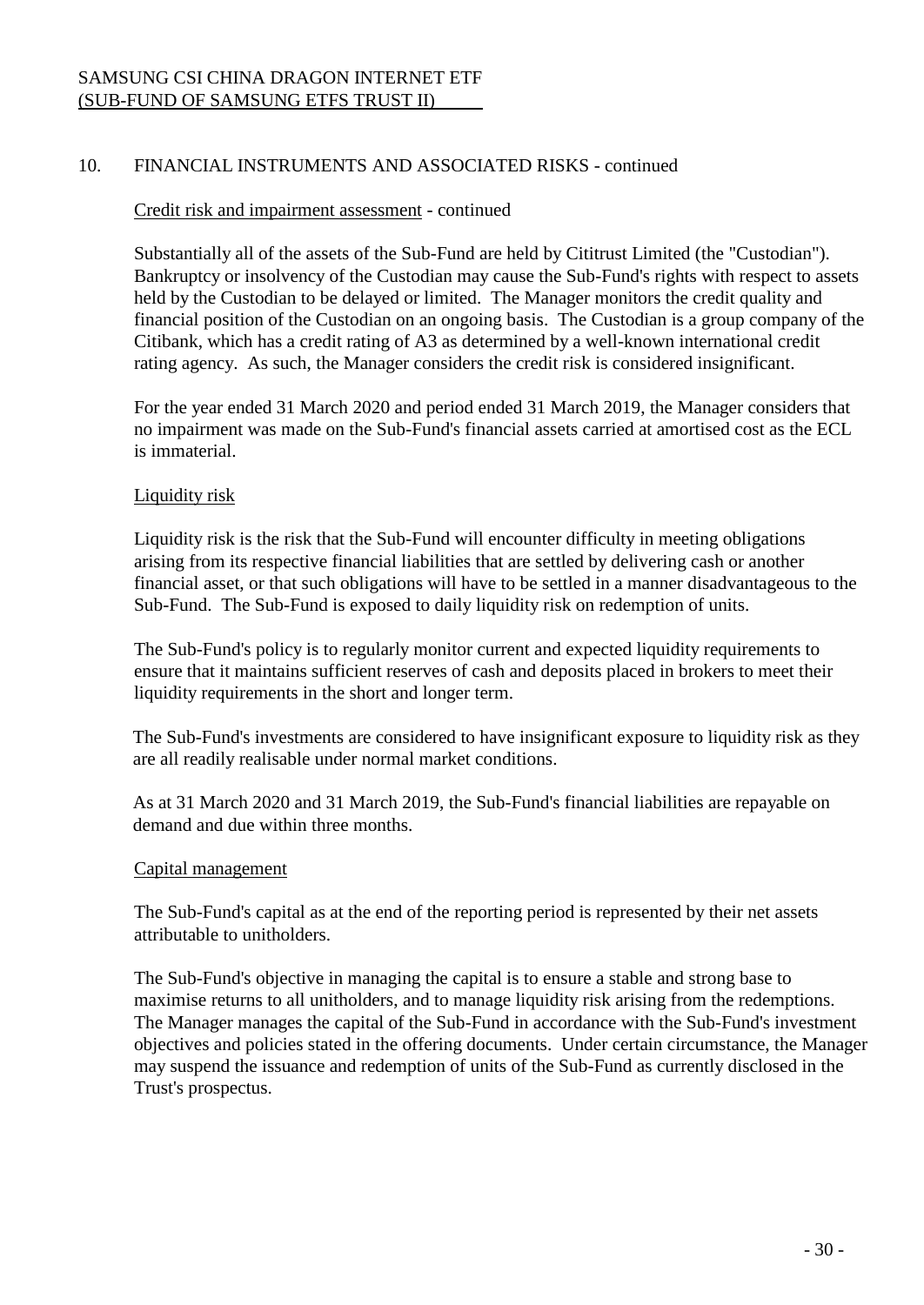## Credit risk and impairment assessment - continued

Substantially all of the assets of the Sub-Fund are held by Cititrust Limited (the "Custodian"). Bankruptcy or insolvency of the Custodian may cause the Sub-Fund's rights with respect to assets held by the Custodian to be delayed or limited. The Manager monitors the credit quality and financial position of the Custodian on an ongoing basis. The Custodian is a group company of the Citibank, which has a credit rating of A3 as determined by a well-known international credit rating agency. As such, the Manager considers the credit risk is considered insignificant.

For the year ended 31 March 2020 and period ended 31 March 2019, the Manager considers that no impairment was made on the Sub-Fund's financial assets carried at amortised cost as the ECL is immaterial.

## Liquidity risk

Liquidity risk is the risk that the Sub-Fund will encounter difficulty in meeting obligations arising from its respective financial liabilities that are settled by delivering cash or another financial asset, or that such obligations will have to be settled in a manner disadvantageous to the Sub-Fund. The Sub-Fund is exposed to daily liquidity risk on redemption of units.

The Sub-Fund's policy is to regularly monitor current and expected liquidity requirements to ensure that it maintains sufficient reserves of cash and deposits placed in brokers to meet their liquidity requirements in the short and longer term.

The Sub-Fund's investments are considered to have insignificant exposure to liquidity risk as they are all readily realisable under normal market conditions.

As at 31 March 2020 and 31 March 2019, the Sub-Fund's financial liabilities are repayable on demand and due within three months.

### Capital management

The Sub-Fund's capital as at the end of the reporting period is represented by their net assets attributable to unitholders.

The Sub-Fund's objective in managing the capital is to ensure a stable and strong base to maximise returns to all unitholders, and to manage liquidity risk arising from the redemptions. The Manager manages the capital of the Sub-Fund in accordance with the Sub-Fund's investment objectives and policies stated in the offering documents. Under certain circumstance, the Manager may suspend the issuance and redemption of units of the Sub-Fund as currently disclosed in the Trust's prospectus.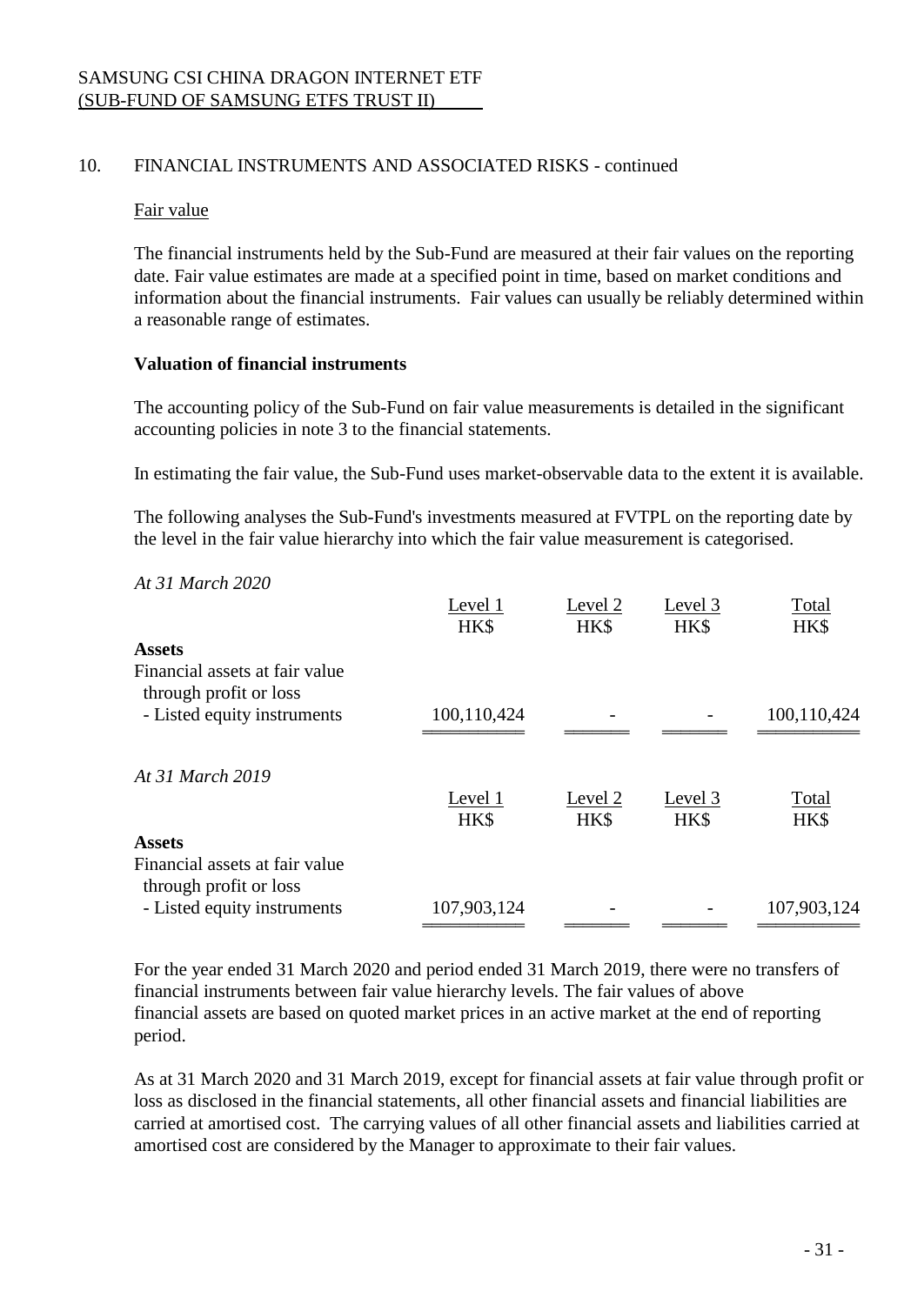#### Fair value

The financial instruments held by the Sub-Fund are measured at their fair values on the reporting date. Fair value estimates are made at a specified point in time, based on market conditions and information about the financial instruments. Fair values can usually be reliably determined within a reasonable range of estimates.

### **Valuation of financial instruments**

The accounting policy of the Sub-Fund on fair value measurements is detailed in the significant accounting policies in note 3 to the financial statements.

In estimating the fair value, the Sub-Fund uses market-observable data to the extent it is available.

The following analyses the Sub-Fund's investments measured at FVTPL on the reporting date by the level in the fair value hierarchy into which the fair value measurement is categorised.

### *At 31 March 2020*

|                                                          | Level 1         | Level 2         | Level 3         | Total         |
|----------------------------------------------------------|-----------------|-----------------|-----------------|---------------|
|                                                          | HK\$            | HK\$            | HK\$            | HK\$          |
| <b>Assets</b>                                            |                 |                 |                 |               |
| Financial assets at fair value<br>through profit or loss |                 |                 |                 |               |
| - Listed equity instruments                              | 100,110,424     |                 |                 | 100,110,424   |
| At 31 March 2019                                         |                 |                 |                 |               |
|                                                          | Level 1<br>HK\$ | Level 2<br>HK\$ | Level 3<br>HK\$ | Total<br>HK\$ |
| <b>Assets</b>                                            |                 |                 |                 |               |
| Financial assets at fair value<br>through profit or loss |                 |                 |                 |               |
| - Listed equity instruments                              | 107,903,124     |                 |                 | 107,903,124   |

For the year ended 31 March 2020 and period ended 31 March 2019, there were no transfers of financial instruments between fair value hierarchy levels. The fair values of above financial assets are based on quoted market prices in an active market at the end of reporting period.

As at 31 March 2020 and 31 March 2019, except for financial assets at fair value through profit or loss as disclosed in the financial statements, all other financial assets and financial liabilities are carried at amortised cost. The carrying values of all other financial assets and liabilities carried at amortised cost are considered by the Manager to approximate to their fair values.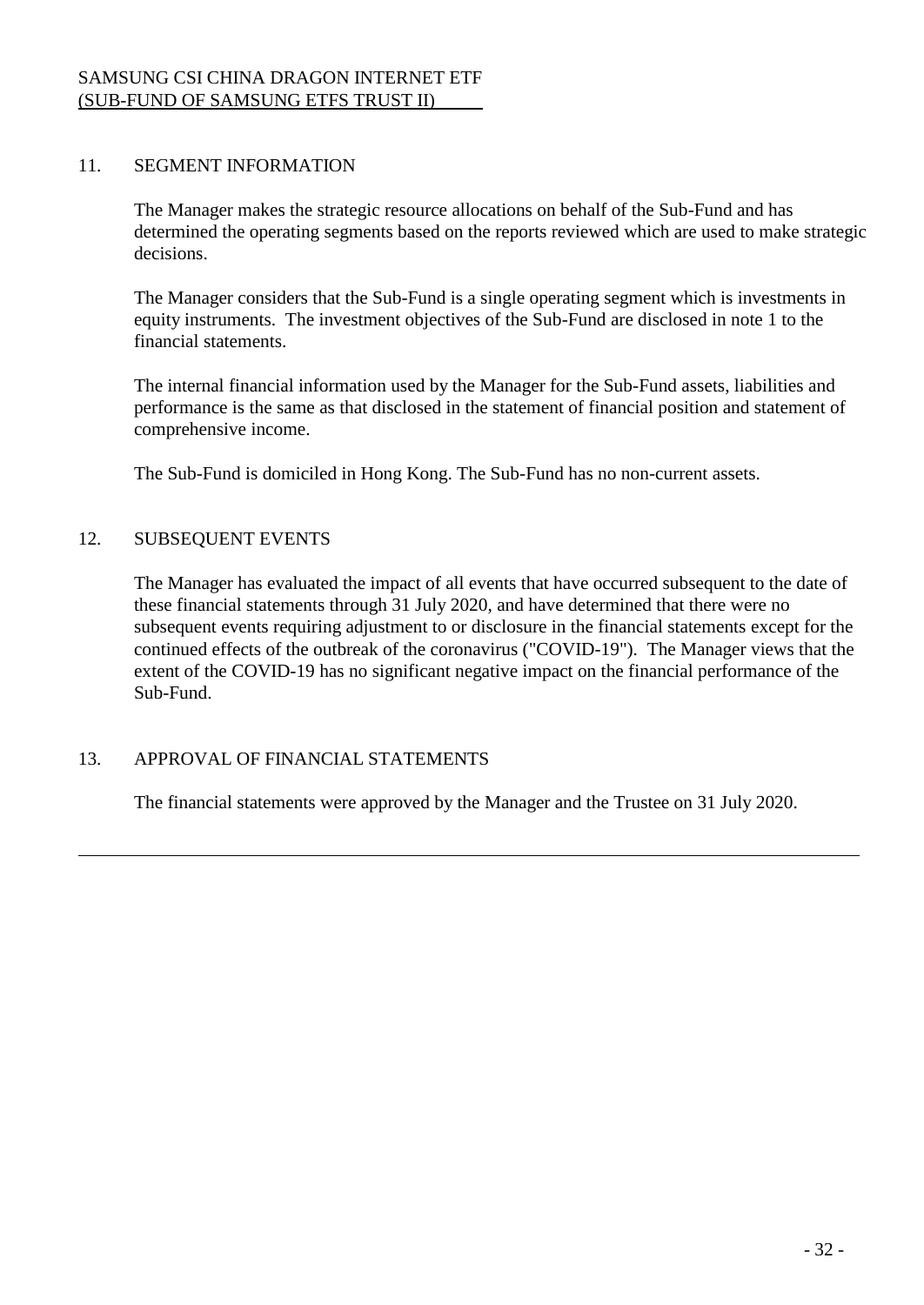## 11. SEGMENT INFORMATION

The Manager makes the strategic resource allocations on behalf of the Sub-Fund and has determined the operating segments based on the reports reviewed which are used to make strategic decisions.

The Manager considers that the Sub-Fund is a single operating segment which is investments in equity instruments. The investment objectives of the Sub-Fund are disclosed in note 1 to the financial statements.

The internal financial information used by the Manager for the Sub-Fund assets, liabilities and performance is the same as that disclosed in the statement of financial position and statement of comprehensive income.

The Sub-Fund is domiciled in Hong Kong. The Sub-Fund has no non-current assets.

## 12. SUBSEQUENT EVENTS

The Manager has evaluated the impact of all events that have occurred subsequent to the date of these financial statements through 31 July 2020, and have determined that there were no subsequent events requiring adjustment to or disclosure in the financial statements except for the continued effects of the outbreak of the coronavirus ("COVID-19"). The Manager views that the extent of the COVID-19 has no significant negative impact on the financial performance of the Sub-Fund.

## 13. APPROVAL OF FINANCIAL STATEMENTS

The financial statements were approved by the Manager and the Trustee on 31 July 2020.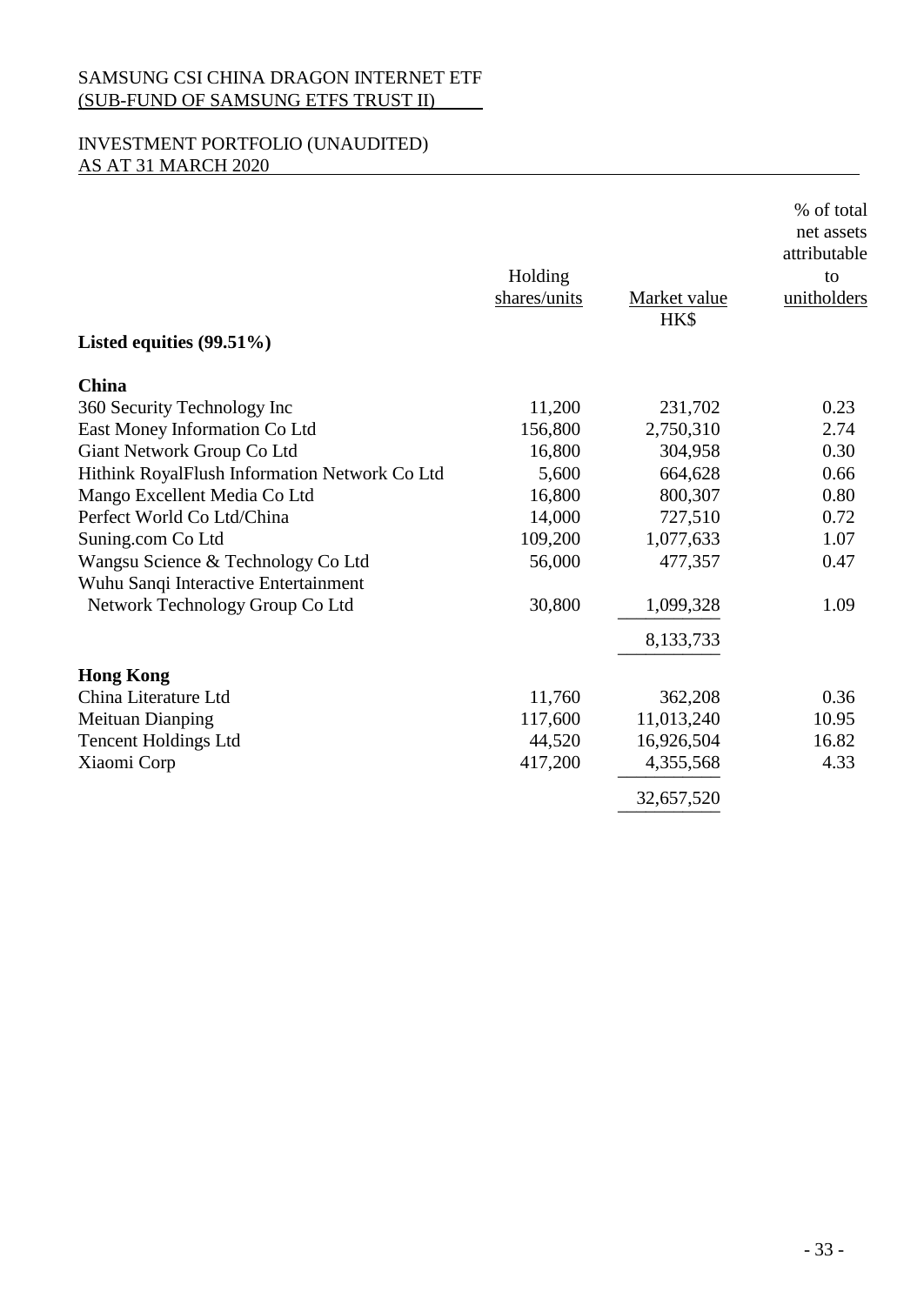# INVESTMENT PORTFOLIO (UNAUDITED) AS AT 31 MARCH 2020

| Listed equities $(99.51\%)$                   | Holding<br>shares/units | Market value<br>HK\$ | % of total<br>net assets<br>attributable<br>to<br>unitholders |
|-----------------------------------------------|-------------------------|----------------------|---------------------------------------------------------------|
| <b>China</b>                                  |                         |                      |                                                               |
| 360 Security Technology Inc                   | 11,200                  | 231,702              | 0.23                                                          |
| East Money Information Co Ltd                 | 156,800                 | 2,750,310            | 2.74                                                          |
| Giant Network Group Co Ltd                    | 16,800                  | 304,958              | 0.30                                                          |
| Hithink RoyalFlush Information Network Co Ltd | 5,600                   | 664,628              | 0.66                                                          |
| Mango Excellent Media Co Ltd                  | 16,800                  | 800,307              | 0.80                                                          |
| Perfect World Co Ltd/China                    | 14,000                  | 727,510              | 0.72                                                          |
| Suning.com Co Ltd                             | 109,200                 | 1,077,633            | 1.07                                                          |
| Wangsu Science & Technology Co Ltd            | 56,000                  | 477,357              | 0.47                                                          |
| Wuhu Sanqi Interactive Entertainment          |                         |                      |                                                               |
| Network Technology Group Co Ltd               | 30,800                  | 1,099,328            | 1.09                                                          |
|                                               |                         | 8,133,733            |                                                               |
| <b>Hong Kong</b>                              |                         |                      |                                                               |
| China Literature Ltd                          | 11,760                  | 362,208              | 0.36                                                          |
| <b>Meituan Dianping</b>                       | 117,600                 | 11,013,240           | 10.95                                                         |
| <b>Tencent Holdings Ltd</b>                   | 44,520                  | 16,926,504           | 16.82                                                         |
| Xiaomi Corp                                   | 417,200                 | 4,355,568            | 4.33                                                          |
|                                               |                         | 32,657,520           |                                                               |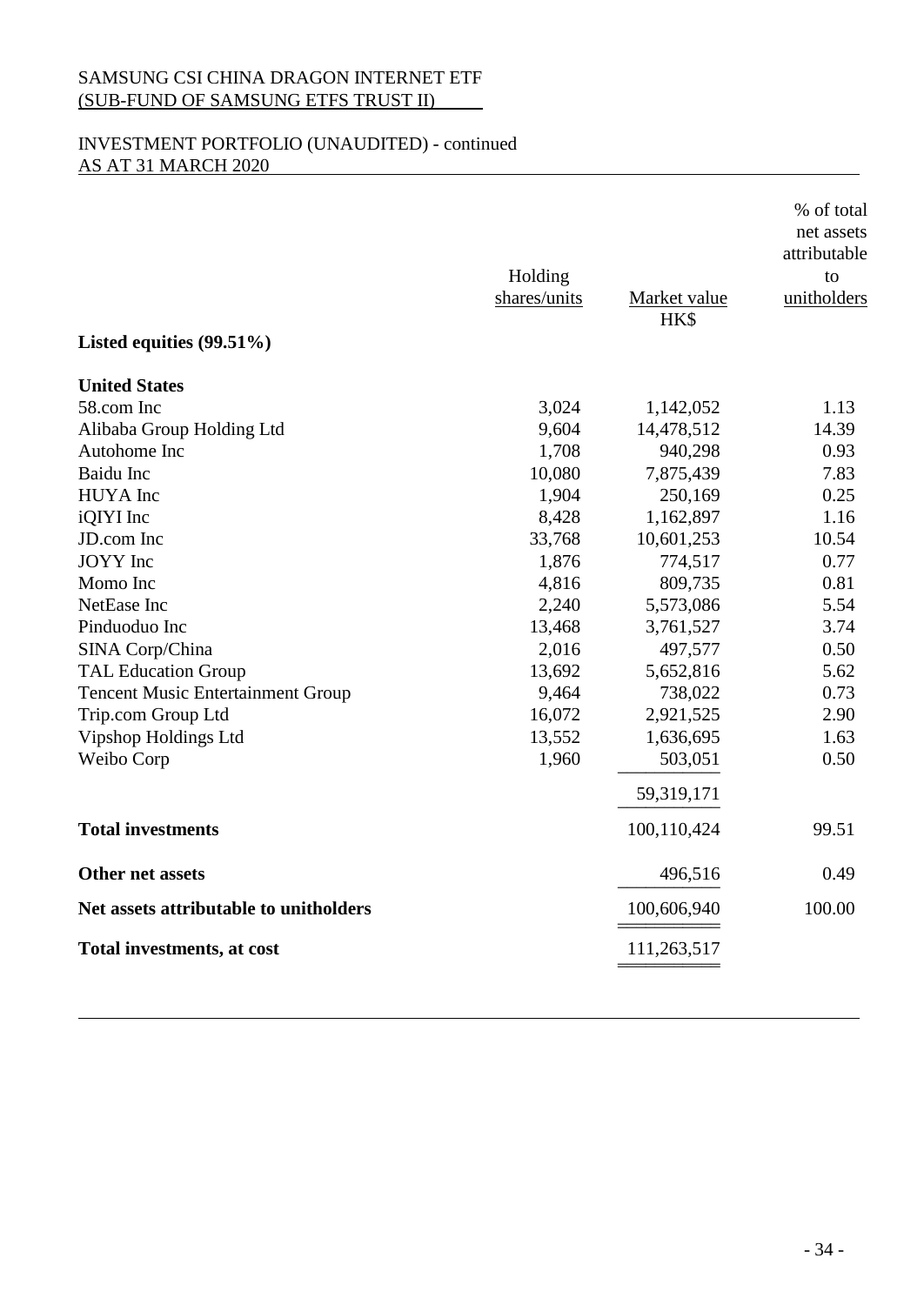# INVESTMENT PORTFOLIO (UNAUDITED) - continued AS AT 31 MARCH 2020

| Listed equities $(99.51\%)$              | Holding<br>shares/units | Market value<br>HK\$ | % of total<br>net assets<br>attributable<br>to<br>unitholders |
|------------------------------------------|-------------------------|----------------------|---------------------------------------------------------------|
| <b>United States</b>                     |                         |                      |                                                               |
| 58.com Inc                               | 3,024                   | 1,142,052            | 1.13                                                          |
| Alibaba Group Holding Ltd                | 9,604                   | 14,478,512           | 14.39                                                         |
| Autohome Inc                             | 1,708                   | 940,298              | 0.93                                                          |
| <b>Baidu</b> Inc                         | 10,080                  | 7,875,439            | 7.83                                                          |
| HUYA Inc                                 | 1,904                   | 250,169              | 0.25                                                          |
| iQIYI Inc                                | 8,428                   | 1,162,897            | 1.16                                                          |
| JD.com Inc                               | 33,768                  | 10,601,253           | 10.54                                                         |
| <b>JOYY</b> Inc                          | 1,876                   | 774,517              | 0.77                                                          |
| Momo Inc                                 | 4,816                   | 809,735              | 0.81                                                          |
| NetEase Inc                              | 2,240                   | 5,573,086            | 5.54                                                          |
| Pinduoduo Inc                            | 13,468                  | 3,761,527            | 3.74                                                          |
| SINA Corp/China                          | 2,016                   | 497,577              | 0.50                                                          |
| <b>TAL Education Group</b>               | 13,692                  | 5,652,816            | 5.62                                                          |
| <b>Tencent Music Entertainment Group</b> | 9,464                   | 738,022              | 0.73                                                          |
| Trip.com Group Ltd                       | 16,072                  | 2,921,525            | 2.90                                                          |
| Vipshop Holdings Ltd                     | 13,552                  | 1,636,695            | 1.63                                                          |
| Weibo Corp                               | 1,960                   | 503,051              | 0.50                                                          |
|                                          |                         | 59,319,171           |                                                               |
| <b>Total investments</b>                 |                         | 100,110,424          | 99.51                                                         |
| Other net assets                         |                         | 496,516              | 0.49                                                          |
| Net assets attributable to unitholders   |                         | 100,606,940          | 100.00                                                        |
| Total investments, at cost               |                         | 111,263,517          |                                                               |
|                                          |                         |                      |                                                               |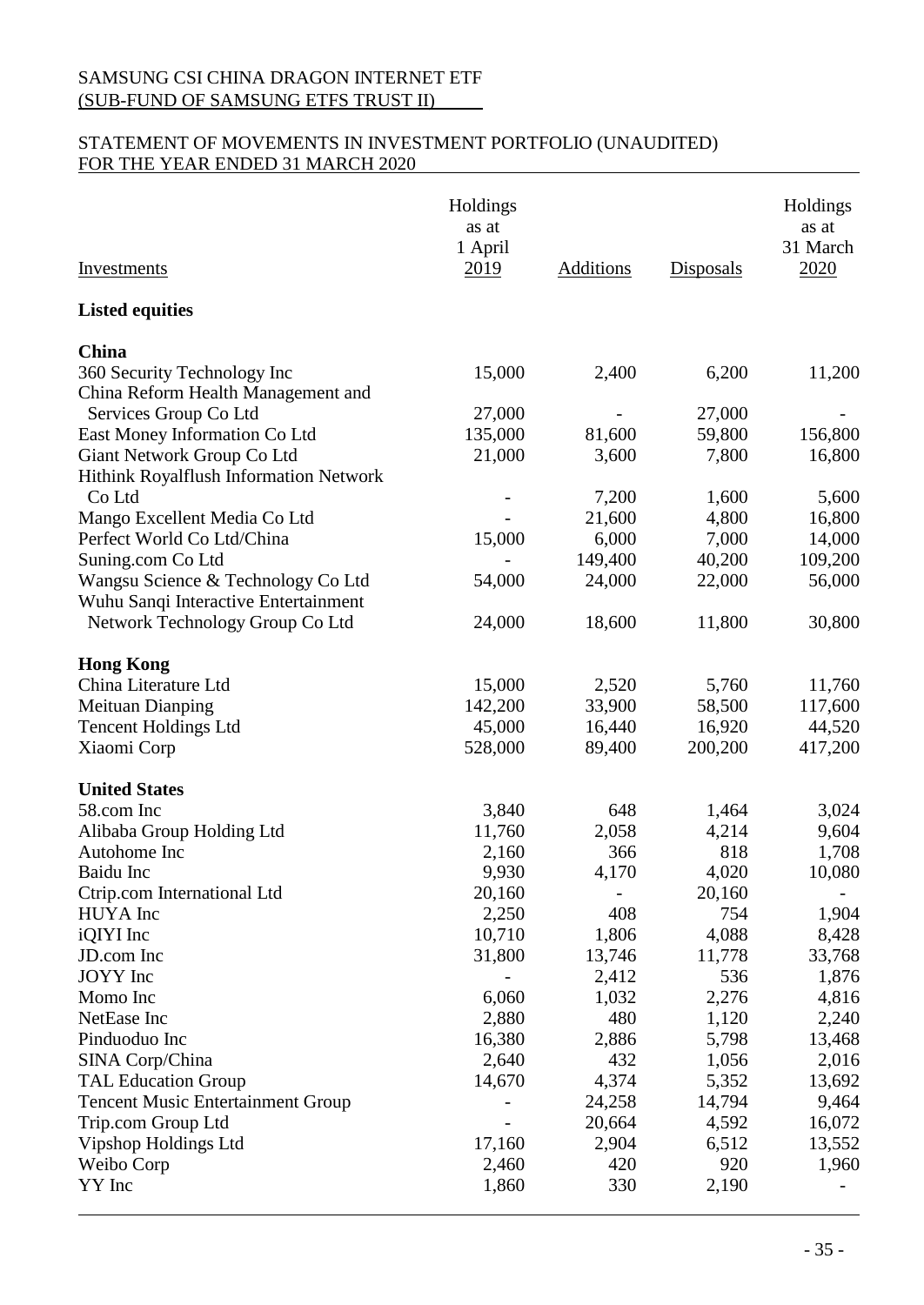# STATEMENT OF MOVEMENTS IN INVESTMENT PORTFOLIO (UNAUDITED) FOR THE YEAR ENDED 31 MARCH 2020

| <b>Investments</b>                                                                                    | Holdings<br>as at<br>1 April<br>2019 | Additions        | <b>Disposals</b> | Holdings<br>as at<br>31 March<br>2020 |
|-------------------------------------------------------------------------------------------------------|--------------------------------------|------------------|------------------|---------------------------------------|
| <b>Listed equities</b>                                                                                |                                      |                  |                  |                                       |
| China<br>360 Security Technology Inc<br>China Reform Health Management and                            | 15,000                               | 2,400            | 6,200            | 11,200                                |
| Services Group Co Ltd                                                                                 | 27,000                               |                  | 27,000           |                                       |
| East Money Information Co Ltd<br>Giant Network Group Co Ltd<br>Hithink Royalflush Information Network | 135,000<br>21,000                    | 81,600<br>3,600  | 59,800<br>7,800  | 156,800<br>16,800                     |
| Co Ltd<br>Mango Excellent Media Co Ltd                                                                |                                      | 7,200<br>21,600  | 1,600<br>4,800   | 5,600<br>16,800                       |
| Perfect World Co Ltd/China<br>Suning.com Co Ltd                                                       | 15,000                               | 6,000<br>149,400 | 7,000<br>40,200  | 14,000<br>109,200                     |
| Wangsu Science & Technology Co Ltd<br>Wuhu Sanqi Interactive Entertainment                            | 54,000                               | 24,000           | 22,000           | 56,000                                |
| Network Technology Group Co Ltd                                                                       | 24,000                               | 18,600           | 11,800           | 30,800                                |
| <b>Hong Kong</b>                                                                                      |                                      |                  |                  |                                       |
| China Literature Ltd<br><b>Meituan Dianping</b>                                                       | 15,000<br>142,200                    | 2,520<br>33,900  | 5,760<br>58,500  | 11,760<br>117,600                     |
| <b>Tencent Holdings Ltd</b>                                                                           | 45,000                               | 16,440           | 16,920           | 44,520                                |
| Xiaomi Corp                                                                                           | 528,000                              | 89,400           | 200,200          | 417,200                               |
| <b>United States</b>                                                                                  |                                      |                  |                  |                                       |
| 58.com Inc                                                                                            | 3,840                                | 648              | 1,464            | 3,024                                 |
| Alibaba Group Holding Ltd                                                                             | 11,760                               | 2,058            | 4,214            | 9,604                                 |
| Autohome Inc                                                                                          | 2,160                                | 366              | 818              | 1,708                                 |
| Baidu Inc                                                                                             | 9,930                                | 4,170            | 4,020            | 10,080                                |
| Ctrip.com International Ltd<br><b>HUYA</b> Inc                                                        | 20,160<br>2,250                      | 408              | 20,160<br>754    | 1,904                                 |
| iQIYI Inc                                                                                             | 10,710                               | 1,806            | 4,088            | 8,428                                 |
| JD.com Inc                                                                                            | 31,800                               | 13,746           | 11,778           | 33,768                                |
| JOYY Inc                                                                                              |                                      | 2,412            | 536              | 1,876                                 |
| Momo Inc                                                                                              | 6,060                                | 1,032            | 2,276            | 4,816                                 |
| NetEase Inc                                                                                           | 2,880                                | 480              | 1,120            | 2,240                                 |
| Pinduoduo Inc                                                                                         | 16,380                               | 2,886            | 5,798            | 13,468                                |
| SINA Corp/China                                                                                       | 2,640                                | 432              | 1,056            | 2,016                                 |
| <b>TAL Education Group</b>                                                                            | 14,670                               | 4,374            | 5,352            | 13,692                                |
| <b>Tencent Music Entertainment Group</b>                                                              |                                      | 24,258           | 14,794           | 9,464                                 |
| Trip.com Group Ltd                                                                                    |                                      | 20,664           | 4,592            | 16,072                                |
| Vipshop Holdings Ltd                                                                                  | 17,160                               | 2,904            | 6,512            | 13,552                                |
| Weibo Corp<br>YY Inc                                                                                  | 2,460<br>1,860                       | 420<br>330       | 920<br>2,190     | 1,960                                 |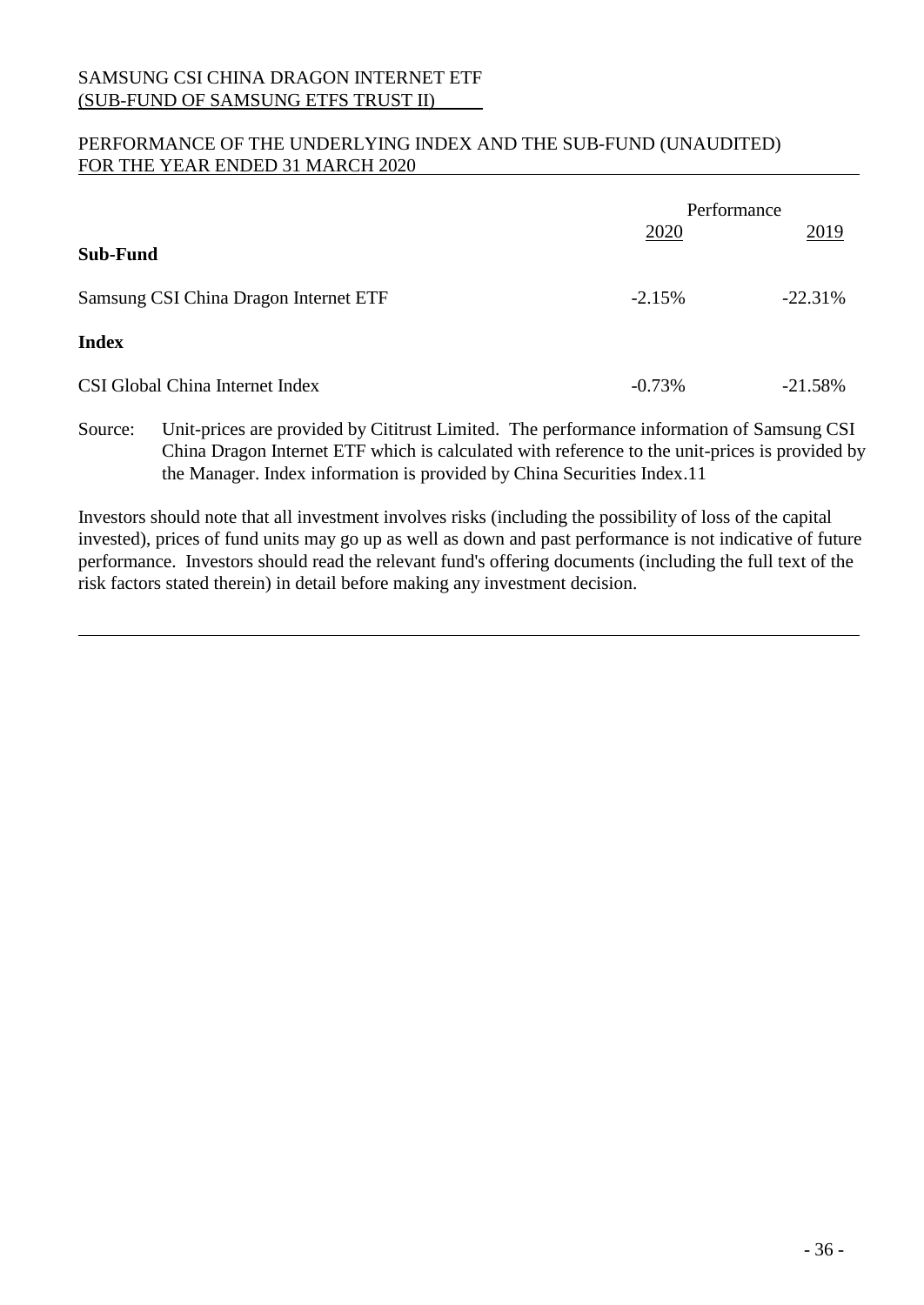# PERFORMANCE OF THE UNDERLYING INDEX AND THE SUB-FUND (UNAUDITED) FOR THE YEAR ENDED 31 MARCH 2020

|                                       |           | Performance |
|---------------------------------------|-----------|-------------|
| Sub-Fund                              | 2020      | 2019        |
| Samsung CSI China Dragon Internet ETF | $-2.15%$  | $-22.31%$   |
| <b>Index</b>                          |           |             |
| CSI Global China Internet Index       | $-0.73\%$ | $-21.58%$   |

Source: Unit-prices are provided by Cititrust Limited. The performance information of Samsung CSI China Dragon Internet ETF which is calculated with reference to the unit-prices is provided by the Manager. Index information is provided by China Securities Index.11

Investors should note that all investment involves risks (including the possibility of loss of the capital invested), prices of fund units may go up as well as down and past performance is not indicative of future performance. Investors should read the relevant fund's offering documents (including the full text of the risk factors stated therein) in detail before making any investment decision.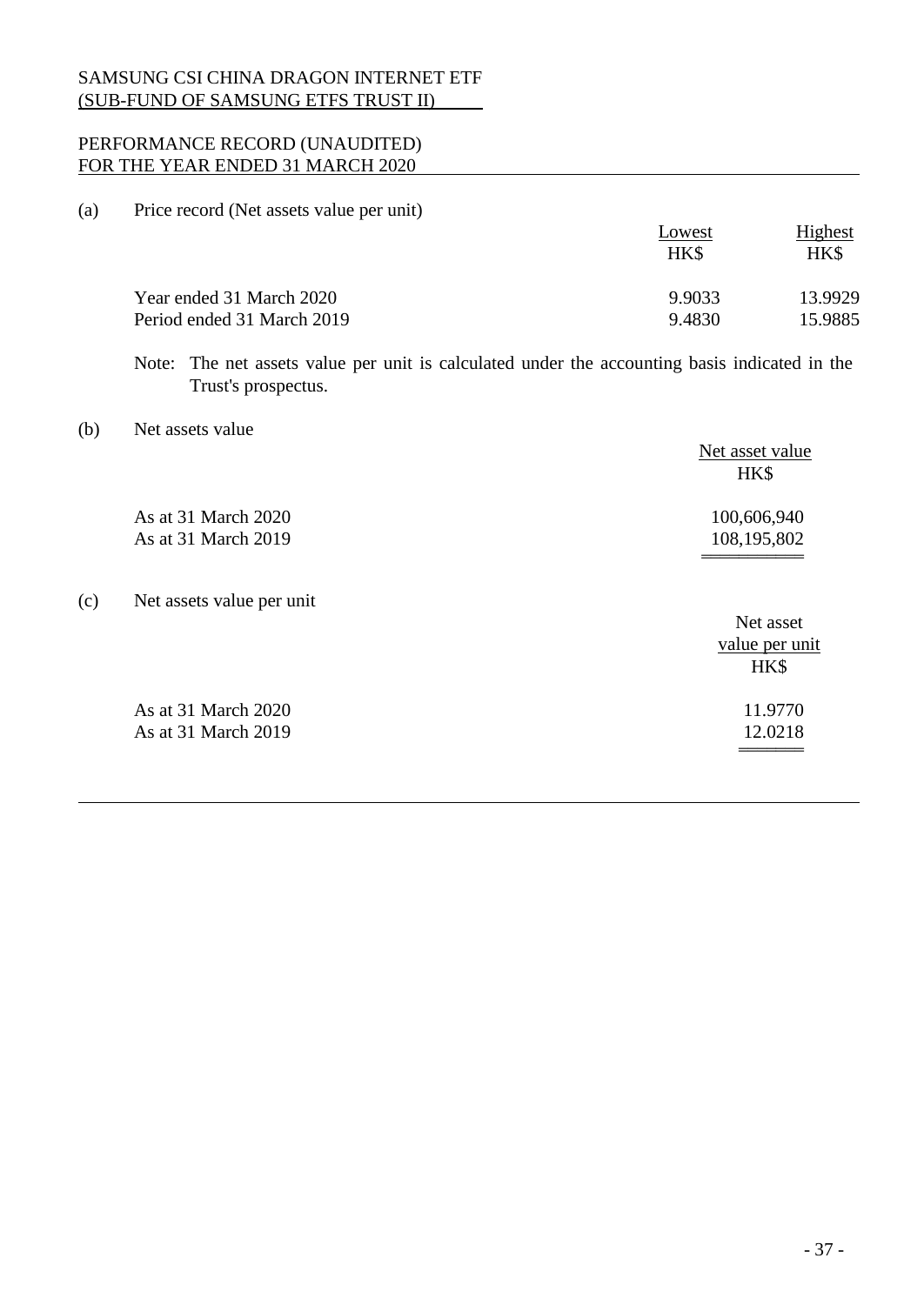# PERFORMANCE RECORD (UNAUDITED) FOR THE YEAR ENDED 31 MARCH 2020

(a) Price record (Net assets value per unit)

|                            | Lowest<br>HK\$ | Highest<br>HK\$ |
|----------------------------|----------------|-----------------|
| Year ended 31 March 2020   | 9.9033         | 13.9929         |
| Period ended 31 March 2019 | 9.4830         | 15.9885         |

Note: The net assets value per unit is calculated under the accounting basis indicated in the Trust's prospectus.

(b) Net assets value

|     |                           | Net asset value<br>HK\$ |
|-----|---------------------------|-------------------------|
|     | As at 31 March 2020       | 100,606,940             |
|     | As at 31 March 2019       | 108,195,802             |
| (c) | Net assets value per unit |                         |
|     |                           | Net asset               |
|     |                           | value per unit          |
|     |                           | HK\$                    |
|     | As at 31 March 2020       | 11.9770                 |
|     | As at 31 March 2019       | 12.0218                 |
|     |                           |                         |